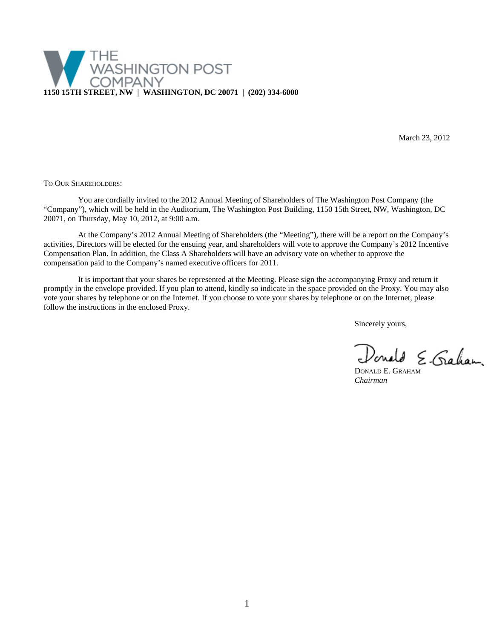

March 23, 2012

TO OUR SHAREHOLDERS:

You are cordially invited to the 2012 Annual Meeting of Shareholders of The Washington Post Company (the "Company"), which will be held in the Auditorium, The Washington Post Building, 1150 15th Street, NW, Washington, DC 20071, on Thursday, May 10, 2012, at 9:00 a.m.

At the Company's 2012 Annual Meeting of Shareholders (the "Meeting"), there will be a report on the Company's activities, Directors will be elected for the ensuing year, and shareholders will vote to approve the Company's 2012 Incentive Compensation Plan. In addition, the Class A Shareholders will have an advisory vote on whether to approve the compensation paid to the Company's named executive officers for 2011.

It is important that your shares be represented at the Meeting. Please sign the accompanying Proxy and return it promptly in the envelope provided. If you plan to attend, kindly so indicate in the space provided on the Proxy. You may also vote your shares by telephone or on the Internet. If you choose to vote your shares by telephone or on the Internet, please follow the instructions in the enclosed Proxy.

Sincerely yours,

Donald E. Graham

*Chairman*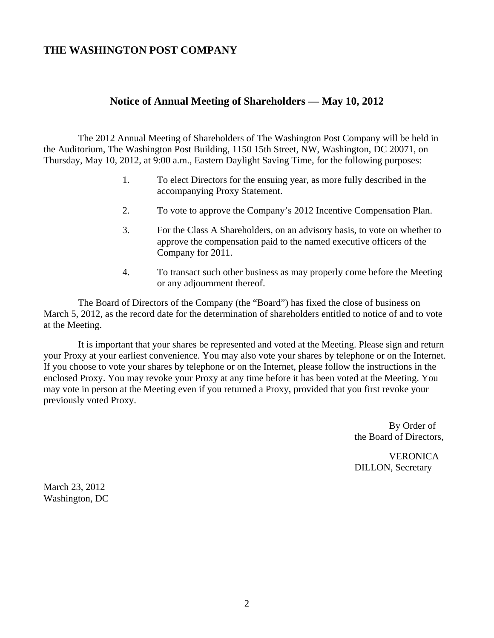# **THE WASHINGTON POST COMPANY**

# **Notice of Annual Meeting of Shareholders — May 10, 2012**

The 2012 Annual Meeting of Shareholders of The Washington Post Company will be held in the Auditorium, The Washington Post Building, 1150 15th Street, NW, Washington, DC 20071, on Thursday, May 10, 2012, at 9:00 a.m., Eastern Daylight Saving Time, for the following purposes:

- 1. To elect Directors for the ensuing year, as more fully described in the accompanying Proxy Statement.
- 2. To vote to approve the Company's 2012 Incentive Compensation Plan.
- 3. For the Class A Shareholders, on an advisory basis, to vote on whether to approve the compensation paid to the named executive officers of the Company for 2011.
- 4. To transact such other business as may properly come before the Meeting or any adjournment thereof.

The Board of Directors of the Company (the "Board") has fixed the close of business on March 5, 2012, as the record date for the determination of shareholders entitled to notice of and to vote at the Meeting.

It is important that your shares be represented and voted at the Meeting. Please sign and return your Proxy at your earliest convenience. You may also vote your shares by telephone or on the Internet. If you choose to vote your shares by telephone or on the Internet, please follow the instructions in the enclosed Proxy. You may revoke your Proxy at any time before it has been voted at the Meeting. You may vote in person at the Meeting even if you returned a Proxy, provided that you first revoke your previously voted Proxy.

> By Order of the Board of Directors,

**VERONICA** DILLON, Secretary

March 23, 2012 Washington, DC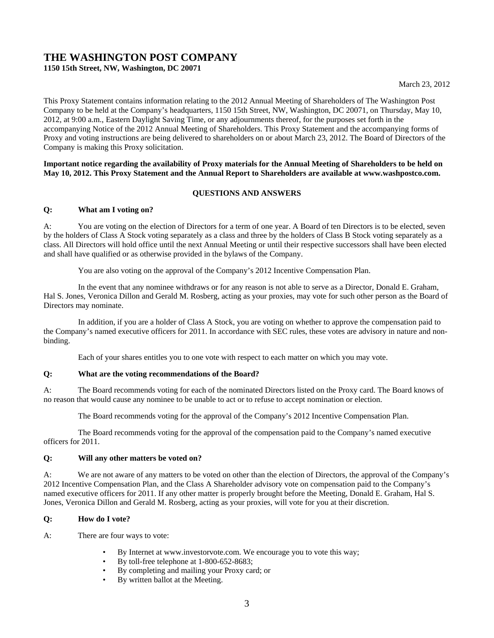# **THE WASHINGTON POST COMPANY 1150 15th Street, NW, Washington, DC 20071**

This Proxy Statement contains information relating to the 2012 Annual Meeting of Shareholders of The Washington Post Company to be held at the Company's headquarters, 1150 15th Street, NW, Washington, DC 20071, on Thursday, May 10, 2012, at 9:00 a.m., Eastern Daylight Saving Time, or any adjournments thereof, for the purposes set forth in the accompanying Notice of the 2012 Annual Meeting of Shareholders. This Proxy Statement and the accompanying forms of Proxy and voting instructions are being delivered to shareholders on or about March 23, 2012. The Board of Directors of the Company is making this Proxy solicitation.

# **Important notice regarding the availability of Proxy materials for the Annual Meeting of Shareholders to be held on May 10, 2012. This Proxy Statement and the Annual Report to Shareholders are available at www.washpostco.com.**

# **QUESTIONS AND ANSWERS**

# **Q: What am I voting on?**

A: You are voting on the election of Directors for a term of one year. A Board of ten Directors is to be elected, seven by the holders of Class A Stock voting separately as a class and three by the holders of Class B Stock voting separately as a class. All Directors will hold office until the next Annual Meeting or until their respective successors shall have been elected and shall have qualified or as otherwise provided in the bylaws of the Company.

You are also voting on the approval of the Company's 2012 Incentive Compensation Plan.

In the event that any nominee withdraws or for any reason is not able to serve as a Director, Donald E. Graham, Hal S. Jones, Veronica Dillon and Gerald M. Rosberg, acting as your proxies, may vote for such other person as the Board of Directors may nominate.

In addition, if you are a holder of Class A Stock, you are voting on whether to approve the compensation paid to the Company's named executive officers for 2011. In accordance with SEC rules, these votes are advisory in nature and nonbinding.

Each of your shares entitles you to one vote with respect to each matter on which you may vote.

# **Q: What are the voting recommendations of the Board?**

A: The Board recommends voting for each of the nominated Directors listed on the Proxy card. The Board knows of no reason that would cause any nominee to be unable to act or to refuse to accept nomination or election.

The Board recommends voting for the approval of the Company's 2012 Incentive Compensation Plan.

The Board recommends voting for the approval of the compensation paid to the Company's named executive officers for 2011.

# **Q: Will any other matters be voted on?**

A: We are not aware of any matters to be voted on other than the election of Directors, the approval of the Company's 2012 Incentive Compensation Plan, and the Class A Shareholder advisory vote on compensation paid to the Company's named executive officers for 2011. If any other matter is properly brought before the Meeting, Donald E. Graham, Hal S. Jones, Veronica Dillon and Gerald M. Rosberg, acting as your proxies, will vote for you at their discretion.

# **Q: How do I vote?**

A: There are four ways to vote:

- By Internet at www.investorvote.com. We encourage you to vote this way;
- By toll-free telephone at 1-800-652-8683;
- By completing and mailing your Proxy card; or
- By written ballot at the Meeting.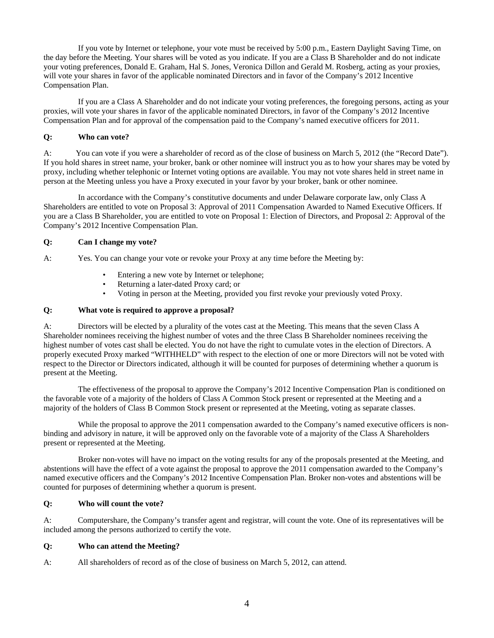If you vote by Internet or telephone, your vote must be received by 5:00 p.m., Eastern Daylight Saving Time, on the day before the Meeting. Your shares will be voted as you indicate. If you are a Class B Shareholder and do not indicate your voting preferences, Donald E. Graham, Hal S. Jones, Veronica Dillon and Gerald M. Rosberg, acting as your proxies, will vote your shares in favor of the applicable nominated Directors and in favor of the Company's 2012 Incentive Compensation Plan.

If you are a Class A Shareholder and do not indicate your voting preferences, the foregoing persons, acting as your proxies, will vote your shares in favor of the applicable nominated Directors, in favor of the Company's 2012 Incentive Compensation Plan and for approval of the compensation paid to the Company's named executive officers for 2011.

# **Q: Who can vote?**

A: You can vote if you were a shareholder of record as of the close of business on March 5, 2012 (the "Record Date"). If you hold shares in street name, your broker, bank or other nominee will instruct you as to how your shares may be voted by proxy, including whether telephonic or Internet voting options are available. You may not vote shares held in street name in person at the Meeting unless you have a Proxy executed in your favor by your broker, bank or other nominee.

In accordance with the Company's constitutive documents and under Delaware corporate law, only Class A Shareholders are entitled to vote on Proposal 3: Approval of 2011 Compensation Awarded to Named Executive Officers. If you are a Class B Shareholder, you are entitled to vote on Proposal 1: Election of Directors, and Proposal 2: Approval of the Company's 2012 Incentive Compensation Plan.

# **Q: Can I change my vote?**

A: Yes. You can change your vote or revoke your Proxy at any time before the Meeting by:

- Entering a new vote by Internet or telephone;
- Returning a later-dated Proxy card; or
- Voting in person at the Meeting, provided you first revoke your previously voted Proxy.

## **Q: What vote is required to approve a proposal?**

A: Directors will be elected by a plurality of the votes cast at the Meeting. This means that the seven Class A Shareholder nominees receiving the highest number of votes and the three Class B Shareholder nominees receiving the highest number of votes cast shall be elected. You do not have the right to cumulate votes in the election of Directors. A properly executed Proxy marked "WITHHELD" with respect to the election of one or more Directors will not be voted with respect to the Director or Directors indicated, although it will be counted for purposes of determining whether a quorum is present at the Meeting.

The effectiveness of the proposal to approve the Company's 2012 Incentive Compensation Plan is conditioned on the favorable vote of a majority of the holders of Class A Common Stock present or represented at the Meeting and a majority of the holders of Class B Common Stock present or represented at the Meeting, voting as separate classes.

While the proposal to approve the 2011 compensation awarded to the Company's named executive officers is nonbinding and advisory in nature, it will be approved only on the favorable vote of a majority of the Class A Shareholders present or represented at the Meeting.

Broker non-votes will have no impact on the voting results for any of the proposals presented at the Meeting, and abstentions will have the effect of a vote against the proposal to approve the 2011 compensation awarded to the Company's named executive officers and the Company's 2012 Incentive Compensation Plan. Broker non-votes and abstentions will be counted for purposes of determining whether a quorum is present.

# **Q: Who will count the vote?**

A: Computershare, the Company's transfer agent and registrar, will count the vote. One of its representatives will be included among the persons authorized to certify the vote.

### **Q: Who can attend the Meeting?**

A: All shareholders of record as of the close of business on March 5, 2012, can attend.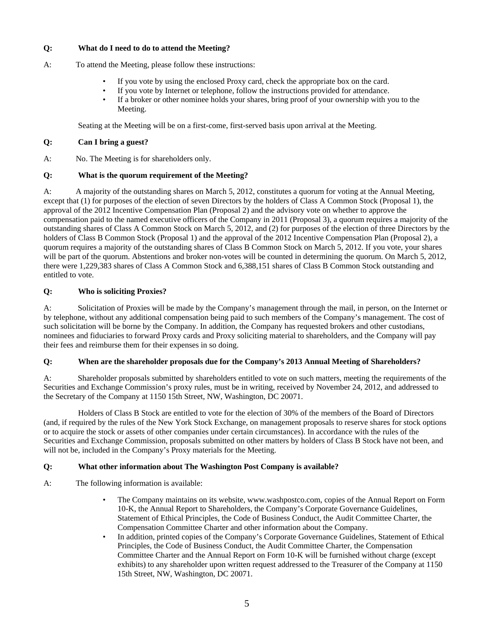# **Q: What do I need to do to attend the Meeting?**

- A: To attend the Meeting, please follow these instructions:
	- If you vote by using the enclosed Proxy card, check the appropriate box on the card.
	- If you vote by Internet or telephone, follow the instructions provided for attendance.
	- If a broker or other nominee holds your shares, bring proof of your ownership with you to the Meeting.

Seating at the Meeting will be on a first-come, first-served basis upon arrival at the Meeting.

# **Q: Can I bring a guest?**

A: No. The Meeting is for shareholders only.

# **Q: What is the quorum requirement of the Meeting?**

A: A majority of the outstanding shares on March 5, 2012, constitutes a quorum for voting at the Annual Meeting, except that (1) for purposes of the election of seven Directors by the holders of Class A Common Stock (Proposal 1), the approval of the 2012 Incentive Compensation Plan (Proposal 2) and the advisory vote on whether to approve the compensation paid to the named executive officers of the Company in 2011 (Proposal 3), a quorum requires a majority of the outstanding shares of Class A Common Stock on March 5, 2012, and (2) for purposes of the election of three Directors by the holders of Class B Common Stock (Proposal 1) and the approval of the 2012 Incentive Compensation Plan (Proposal 2), a quorum requires a majority of the outstanding shares of Class B Common Stock on March 5, 2012. If you vote, your shares will be part of the quorum. Abstentions and broker non-votes will be counted in determining the quorum. On March 5, 2012, there were 1,229,383 shares of Class A Common Stock and 6,388,151 shares of Class B Common Stock outstanding and entitled to vote.

# **Q: Who is soliciting Proxies?**

A: Solicitation of Proxies will be made by the Company's management through the mail, in person, on the Internet or by telephone, without any additional compensation being paid to such members of the Company's management. The cost of such solicitation will be borne by the Company. In addition, the Company has requested brokers and other custodians, nominees and fiduciaries to forward Proxy cards and Proxy soliciting material to shareholders, and the Company will pay their fees and reimburse them for their expenses in so doing.

# **Q: When are the shareholder proposals due for the Company's 2013 Annual Meeting of Shareholders?**

A: Shareholder proposals submitted by shareholders entitled to vote on such matters, meeting the requirements of the Securities and Exchange Commission's proxy rules, must be in writing, received by November 24, 2012, and addressed to the Secretary of the Company at 1150 15th Street, NW, Washington, DC 20071.

Holders of Class B Stock are entitled to vote for the election of 30% of the members of the Board of Directors (and, if required by the rules of the New York Stock Exchange, on management proposals to reserve shares for stock options or to acquire the stock or assets of other companies under certain circumstances). In accordance with the rules of the Securities and Exchange Commission, proposals submitted on other matters by holders of Class B Stock have not been, and will not be, included in the Company's Proxy materials for the Meeting.

# **Q: What other information about The Washington Post Company is available?**

A: The following information is available:

- The Company maintains on its website, www.washpostco.com, copies of the Annual Report on Form 10-K, the Annual Report to Shareholders, the Company's Corporate Governance Guidelines, Statement of Ethical Principles, the Code of Business Conduct, the Audit Committee Charter, the Compensation Committee Charter and other information about the Company.
- In addition, printed copies of the Company's Corporate Governance Guidelines, Statement of Ethical Principles, the Code of Business Conduct, the Audit Committee Charter, the Compensation Committee Charter and the Annual Report on Form 10-K will be furnished without charge (except exhibits) to any shareholder upon written request addressed to the Treasurer of the Company at 1150 15th Street, NW, Washington, DC 20071.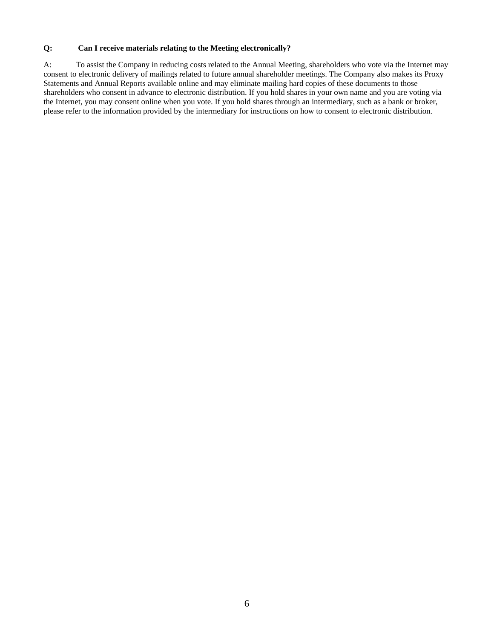# **Q: Can I receive materials relating to the Meeting electronically?**

A: To assist the Company in reducing costs related to the Annual Meeting, shareholders who vote via the Internet may consent to electronic delivery of mailings related to future annual shareholder meetings. The Company also makes its Proxy Statements and Annual Reports available online and may eliminate mailing hard copies of these documents to those shareholders who consent in advance to electronic distribution. If you hold shares in your own name and you are voting via the Internet, you may consent online when you vote. If you hold shares through an intermediary, such as a bank or broker, please refer to the information provided by the intermediary for instructions on how to consent to electronic distribution.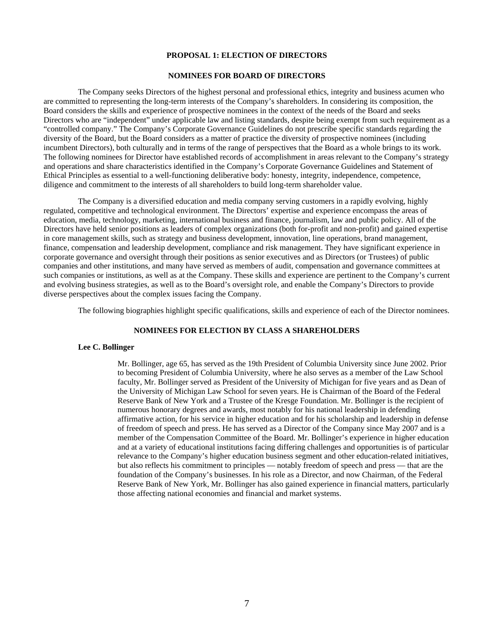#### **PROPOSAL 1: ELECTION OF DIRECTORS**

# **NOMINEES FOR BOARD OF DIRECTORS**

The Company seeks Directors of the highest personal and professional ethics, integrity and business acumen who are committed to representing the long-term interests of the Company's shareholders. In considering its composition, the Board considers the skills and experience of prospective nominees in the context of the needs of the Board and seeks Directors who are "independent" under applicable law and listing standards, despite being exempt from such requirement as a "controlled company." The Company's Corporate Governance Guidelines do not prescribe specific standards regarding the diversity of the Board, but the Board considers as a matter of practice the diversity of prospective nominees (including incumbent Directors), both culturally and in terms of the range of perspectives that the Board as a whole brings to its work. The following nominees for Director have established records of accomplishment in areas relevant to the Company's strategy and operations and share characteristics identified in the Company's Corporate Governance Guidelines and Statement of Ethical Principles as essential to a well-functioning deliberative body: honesty, integrity, independence, competence, diligence and commitment to the interests of all shareholders to build long-term shareholder value.

The Company is a diversified education and media company serving customers in a rapidly evolving, highly regulated, competitive and technological environment. The Directors' expertise and experience encompass the areas of education, media, technology, marketing, international business and finance, journalism, law and public policy. All of the Directors have held senior positions as leaders of complex organizations (both for-profit and non-profit) and gained expertise in core management skills, such as strategy and business development, innovation, line operations, brand management, finance, compensation and leadership development, compliance and risk management. They have significant experience in corporate governance and oversight through their positions as senior executives and as Directors (or Trustees) of public companies and other institutions, and many have served as members of audit, compensation and governance committees at such companies or institutions, as well as at the Company. These skills and experience are pertinent to the Company's current and evolving business strategies, as well as to the Board's oversight role, and enable the Company's Directors to provide diverse perspectives about the complex issues facing the Company.

The following biographies highlight specific qualifications, skills and experience of each of the Director nominees.

### **NOMINEES FOR ELECTION BY CLASS A SHAREHOLDERS**

### **Lee C. Bollinger**

Mr. Bollinger, age 65, has served as the 19th President of Columbia University since June 2002. Prior to becoming President of Columbia University, where he also serves as a member of the Law School faculty, Mr. Bollinger served as President of the University of Michigan for five years and as Dean of the University of Michigan Law School for seven years. He is Chairman of the Board of the Federal Reserve Bank of New York and a Trustee of the Kresge Foundation. Mr. Bollinger is the recipient of numerous honorary degrees and awards, most notably for his national leadership in defending affirmative action, for his service in higher education and for his scholarship and leadership in defense of freedom of speech and press. He has served as a Director of the Company since May 2007 and is a member of the Compensation Committee of the Board. Mr. Bollinger's experience in higher education and at a variety of educational institutions facing differing challenges and opportunities is of particular relevance to the Company's higher education business segment and other education-related initiatives, but also reflects his commitment to principles — notably freedom of speech and press — that are the foundation of the Company's businesses. In his role as a Director, and now Chairman, of the Federal Reserve Bank of New York, Mr. Bollinger has also gained experience in financial matters, particularly those affecting national economies and financial and market systems.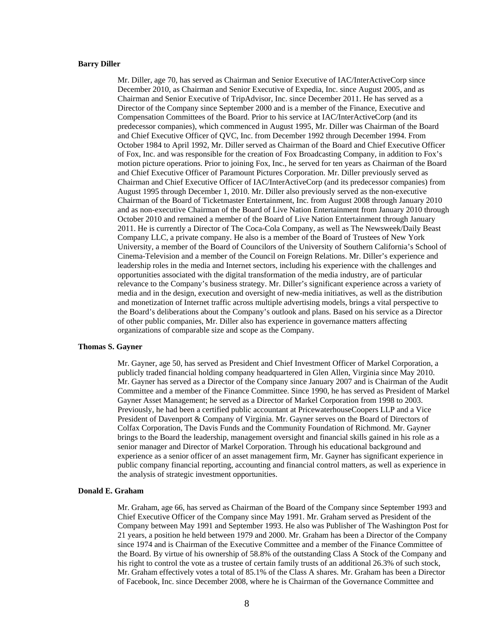#### **Barry Diller**

Mr. Diller, age 70, has served as Chairman and Senior Executive of IAC/InterActiveCorp since December 2010, as Chairman and Senior Executive of Expedia, Inc. since August 2005, and as Chairman and Senior Executive of TripAdvisor, Inc. since December 2011. He has served as a Director of the Company since September 2000 and is a member of the Finance, Executive and Compensation Committees of the Board. Prior to his service at IAC/InterActiveCorp (and its predecessor companies), which commenced in August 1995, Mr. Diller was Chairman of the Board and Chief Executive Officer of QVC, Inc. from December 1992 through December 1994. From October 1984 to April 1992, Mr. Diller served as Chairman of the Board and Chief Executive Officer of Fox, Inc. and was responsible for the creation of Fox Broadcasting Company, in addition to Fox's motion picture operations. Prior to joining Fox, Inc., he served for ten years as Chairman of the Board and Chief Executive Officer of Paramount Pictures Corporation. Mr. Diller previously served as Chairman and Chief Executive Officer of IAC/InterActiveCorp (and its predecessor companies) from August 1995 through December 1, 2010. Mr. Diller also previously served as the non-executive Chairman of the Board of Ticketmaster Entertainment, Inc. from August 2008 through January 2010 and as non-executive Chairman of the Board of Live Nation Entertainment from January 2010 through October 2010 and remained a member of the Board of Live Nation Entertainment through January 2011. He is currently a Director of The Coca-Cola Company, as well as The Newsweek/Daily Beast Company LLC, a private company. He also is a member of the Board of Trustees of New York University, a member of the Board of Councilors of the University of Southern California's School of Cinema-Television and a member of the Council on Foreign Relations. Mr. Diller's experience and leadership roles in the media and Internet sectors, including his experience with the challenges and opportunities associated with the digital transformation of the media industry, are of particular relevance to the Company's business strategy. Mr. Diller's significant experience across a variety of media and in the design, execution and oversight of new-media initiatives, as well as the distribution and monetization of Internet traffic across multiple advertising models, brings a vital perspective to the Board's deliberations about the Company's outlook and plans. Based on his service as a Director of other public companies, Mr. Diller also has experience in governance matters affecting organizations of comparable size and scope as the Company.

# **Thomas S. Gayner**

Mr. Gayner, age 50, has served as President and Chief Investment Officer of Markel Corporation, a publicly traded financial holding company headquartered in Glen Allen, Virginia since May 2010. Mr. Gayner has served as a Director of the Company since January 2007 and is Chairman of the Audit Committee and a member of the Finance Committee. Since 1990, he has served as President of Markel Gayner Asset Management; he served as a Director of Markel Corporation from 1998 to 2003. Previously, he had been a certified public accountant at PricewaterhouseCoopers LLP and a Vice President of Davenport & Company of Virginia. Mr. Gayner serves on the Board of Directors of Colfax Corporation, The Davis Funds and the Community Foundation of Richmond. Mr. Gayner brings to the Board the leadership, management oversight and financial skills gained in his role as a senior manager and Director of Markel Corporation. Through his educational background and experience as a senior officer of an asset management firm, Mr. Gayner has significant experience in public company financial reporting, accounting and financial control matters, as well as experience in the analysis of strategic investment opportunities.

### **Donald E. Graham**

Mr. Graham, age 66, has served as Chairman of the Board of the Company since September 1993 and Chief Executive Officer of the Company since May 1991. Mr. Graham served as President of the Company between May 1991 and September 1993. He also was Publisher of The Washington Post for 21 years, a position he held between 1979 and 2000. Mr. Graham has been a Director of the Company since 1974 and is Chairman of the Executive Committee and a member of the Finance Committee of the Board. By virtue of his ownership of 58.8% of the outstanding Class A Stock of the Company and his right to control the vote as a trustee of certain family trusts of an additional 26.3% of such stock, Mr. Graham effectively votes a total of 85.1% of the Class A shares. Mr. Graham has been a Director of Facebook, Inc. since December 2008, where he is Chairman of the Governance Committee and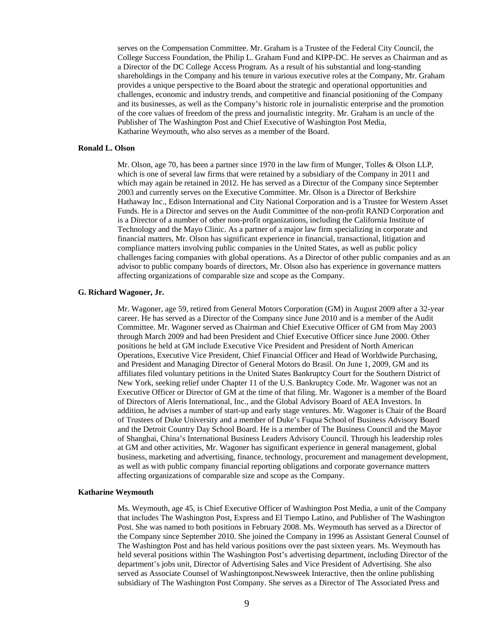serves on the Compensation Committee. Mr. Graham is a Trustee of the Federal City Council, the College Success Foundation, the Philip L. Graham Fund and KIPP-DC. He serves as Chairman and as a Director of the DC College Access Program. As a result of his substantial and long-standing shareholdings in the Company and his tenure in various executive roles at the Company, Mr. Graham provides a unique perspective to the Board about the strategic and operational opportunities and challenges, economic and industry trends, and competitive and financial positioning of the Company and its businesses, as well as the Company's historic role in journalistic enterprise and the promotion of the core values of freedom of the press and journalistic integrity. Mr. Graham is an uncle of the Publisher of The Washington Post and Chief Executive of Washington Post Media, Katharine Weymouth, who also serves as a member of the Board.

### **Ronald L. Olson**

Mr. Olson, age 70, has been a partner since 1970 in the law firm of Munger, Tolles & Olson LLP, which is one of several law firms that were retained by a subsidiary of the Company in 2011 and which may again be retained in 2012. He has served as a Director of the Company since September 2003 and currently serves on the Executive Committee. Mr. Olson is a Director of Berkshire Hathaway Inc., Edison International and City National Corporation and is a Trustee for Western Asset Funds. He is a Director and serves on the Audit Committee of the non-profit RAND Corporation and is a Director of a number of other non-profit organizations, including the California Institute of Technology and the Mayo Clinic. As a partner of a major law firm specializing in corporate and financial matters, Mr. Olson has significant experience in financial, transactional, litigation and compliance matters involving public companies in the United States, as well as public policy challenges facing companies with global operations. As a Director of other public companies and as an advisor to public company boards of directors, Mr. Olson also has experience in governance matters affecting organizations of comparable size and scope as the Company.

### **G. Richard Wagoner, Jr.**

Mr. Wagoner, age 59, retired from General Motors Corporation (GM) in August 2009 after a 32-year career. He has served as a Director of the Company since June 2010 and is a member of the Audit Committee. Mr. Wagoner served as Chairman and Chief Executive Officer of GM from May 2003 through March 2009 and had been President and Chief Executive Officer since June 2000. Other positions he held at GM include Executive Vice President and President of North American Operations, Executive Vice President, Chief Financial Officer and Head of Worldwide Purchasing, and President and Managing Director of General Motors do Brasil. On June 1, 2009, GM and its affiliates filed voluntary petitions in the United States Bankruptcy Court for the Southern District of New York, seeking relief under Chapter 11 of the U.S. Bankruptcy Code. Mr. Wagoner was not an Executive Officer or Director of GM at the time of that filing. Mr. Wagoner is a member of the Board of Directors of Aleris International, Inc., and the Global Advisory Board of AEA Investors. In addition, he advises a number of start-up and early stage ventures. Mr. Wagoner is Chair of the Board of Trustees of Duke University and a member of Duke's Fuqua School of Business Advisory Board and the Detroit Country Day School Board. He is a member of The Business Council and the Mayor of Shanghai, China's International Business Leaders Advisory Council. Through his leadership roles at GM and other activities, Mr. Wagoner has significant experience in general management, global business, marketing and advertising, finance, technology, procurement and management development, as well as with public company financial reporting obligations and corporate governance matters affecting organizations of comparable size and scope as the Company.

### **Katharine Weymouth**

Ms. Weymouth, age 45, is Chief Executive Officer of Washington Post Media, a unit of the Company that includes The Washington Post, Express and El Tiempo Latino, and Publisher of The Washington Post. She was named to both positions in February 2008. Ms. Weymouth has served as a Director of the Company since September 2010. She joined the Company in 1996 as Assistant General Counsel of The Washington Post and has held various positions over the past sixteen years. Ms. Weymouth has held several positions within The Washington Post's advertising department, including Director of the department's jobs unit, Director of Advertising Sales and Vice President of Advertising. She also served as Associate Counsel of Washingtonpost.Newsweek Interactive, then the online publishing subsidiary of The Washington Post Company. She serves as a Director of The Associated Press and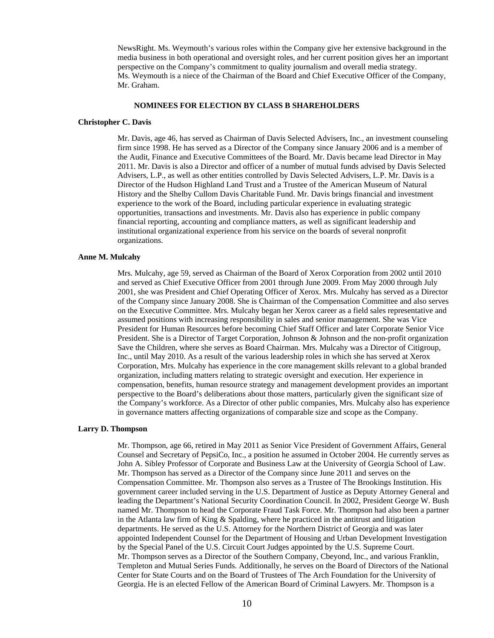NewsRight. Ms. Weymouth's various roles within the Company give her extensive background in the media business in both operational and oversight roles, and her current position gives her an important perspective on the Company's commitment to quality journalism and overall media strategy. Ms. Weymouth is a niece of the Chairman of the Board and Chief Executive Officer of the Company, Mr. Graham.

# **NOMINEES FOR ELECTION BY CLASS B SHAREHOLDERS**

#### **Christopher C. Davis**

Mr. Davis, age 46, has served as Chairman of Davis Selected Advisers, Inc., an investment counseling firm since 1998. He has served as a Director of the Company since January 2006 and is a member of the Audit, Finance and Executive Committees of the Board. Mr. Davis became lead Director in May 2011. Mr. Davis is also a Director and officer of a number of mutual funds advised by Davis Selected Advisers, L.P., as well as other entities controlled by Davis Selected Advisers, L.P. Mr. Davis is a Director of the Hudson Highland Land Trust and a Trustee of the American Museum of Natural History and the Shelby Cullom Davis Charitable Fund. Mr. Davis brings financial and investment experience to the work of the Board, including particular experience in evaluating strategic opportunities, transactions and investments. Mr. Davis also has experience in public company financial reporting, accounting and compliance matters, as well as significant leadership and institutional organizational experience from his service on the boards of several nonprofit organizations.

#### **Anne M. Mulcahy**

Mrs. Mulcahy, age 59, served as Chairman of the Board of Xerox Corporation from 2002 until 2010 and served as Chief Executive Officer from 2001 through June 2009. From May 2000 through July 2001, she was President and Chief Operating Officer of Xerox. Mrs. Mulcahy has served as a Director of the Company since January 2008. She is Chairman of the Compensation Committee and also serves on the Executive Committee. Mrs. Mulcahy began her Xerox career as a field sales representative and assumed positions with increasing responsibility in sales and senior management. She was Vice President for Human Resources before becoming Chief Staff Officer and later Corporate Senior Vice President. She is a Director of Target Corporation, Johnson & Johnson and the non-profit organization Save the Children, where she serves as Board Chairman. Mrs. Mulcahy was a Director of Citigroup, Inc., until May 2010. As a result of the various leadership roles in which she has served at Xerox Corporation, Mrs. Mulcahy has experience in the core management skills relevant to a global branded organization, including matters relating to strategic oversight and execution. Her experience in compensation, benefits, human resource strategy and management development provides an important perspective to the Board's deliberations about those matters, particularly given the significant size of the Company's workforce. As a Director of other public companies, Mrs. Mulcahy also has experience in governance matters affecting organizations of comparable size and scope as the Company.

#### **Larry D. Thompson**

Mr. Thompson, age 66, retired in May 2011 as Senior Vice President of Government Affairs, General Counsel and Secretary of PepsiCo, Inc., a position he assumed in October 2004. He currently serves as John A. Sibley Professor of Corporate and Business Law at the University of Georgia School of Law. Mr. Thompson has served as a Director of the Company since June 2011 and serves on the Compensation Committee. Mr. Thompson also serves as a Trustee of The Brookings Institution. His government career included serving in the U.S. Department of Justice as Deputy Attorney General and leading the Department's National Security Coordination Council. In 2002, President George W. Bush named Mr. Thompson to head the Corporate Fraud Task Force. Mr. Thompson had also been a partner in the Atlanta law firm of King & Spalding, where he practiced in the antitrust and litigation departments. He served as the U.S. Attorney for the Northern District of Georgia and was later appointed Independent Counsel for the Department of Housing and Urban Development Investigation by the Special Panel of the U.S. Circuit Court Judges appointed by the U.S. Supreme Court. Mr. Thompson serves as a Director of the Southern Company, Cbeyond, Inc., and various Franklin, Templeton and Mutual Series Funds. Additionally, he serves on the Board of Directors of the National Center for State Courts and on the Board of Trustees of The Arch Foundation for the University of Georgia. He is an elected Fellow of the American Board of Criminal Lawyers. Mr. Thompson is a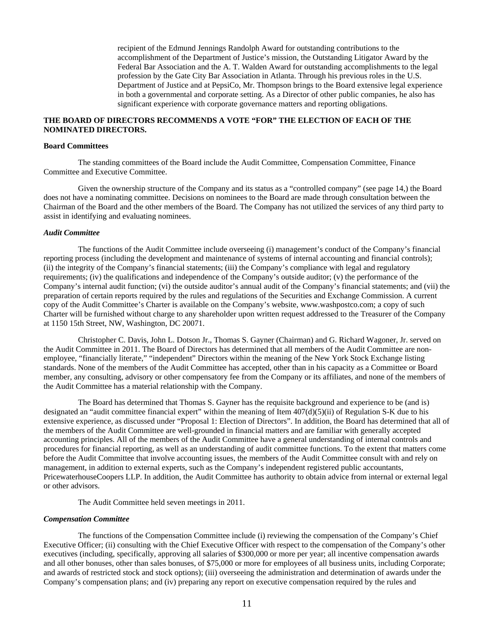recipient of the Edmund Jennings Randolph Award for outstanding contributions to the accomplishment of the Department of Justice's mission, the Outstanding Litigator Award by the Federal Bar Association and the A. T. Walden Award for outstanding accomplishments to the legal profession by the Gate City Bar Association in Atlanta. Through his previous roles in the U.S. Department of Justice and at PepsiCo, Mr. Thompson brings to the Board extensive legal experience in both a governmental and corporate setting. As a Director of other public companies, he also has significant experience with corporate governance matters and reporting obligations.

# **THE BOARD OF DIRECTORS RECOMMENDS A VOTE "FOR" THE ELECTION OF EACH OF THE NOMINATED DIRECTORS.**

### **Board Committees**

The standing committees of the Board include the Audit Committee, Compensation Committee, Finance Committee and Executive Committee.

Given the ownership structure of the Company and its status as a "controlled company" (see page 14,) the Board does not have a nominating committee. Decisions on nominees to the Board are made through consultation between the Chairman of the Board and the other members of the Board. The Company has not utilized the services of any third party to assist in identifying and evaluating nominees.

#### *Audit Committee*

The functions of the Audit Committee include overseeing (i) management's conduct of the Company's financial reporting process (including the development and maintenance of systems of internal accounting and financial controls); (ii) the integrity of the Company's financial statements; (iii) the Company's compliance with legal and regulatory requirements; (iv) the qualifications and independence of the Company's outside auditor; (v) the performance of the Company's internal audit function; (vi) the outside auditor's annual audit of the Company's financial statements; and (vii) the preparation of certain reports required by the rules and regulations of the Securities and Exchange Commission. A current copy of the Audit Committee's Charter is available on the Company's website, www.washpostco.com; a copy of such Charter will be furnished without charge to any shareholder upon written request addressed to the Treasurer of the Company at 1150 15th Street, NW, Washington, DC 20071.

Christopher C. Davis, John L. Dotson Jr., Thomas S. Gayner (Chairman) and G. Richard Wagoner, Jr. served on the Audit Committee in 2011. The Board of Directors has determined that all members of the Audit Committee are nonemployee, "financially literate," "independent" Directors within the meaning of the New York Stock Exchange listing standards. None of the members of the Audit Committee has accepted, other than in his capacity as a Committee or Board member, any consulting, advisory or other compensatory fee from the Company or its affiliates, and none of the members of the Audit Committee has a material relationship with the Company.

The Board has determined that Thomas S. Gayner has the requisite background and experience to be (and is) designated an "audit committee financial expert" within the meaning of Item  $407(d)(5)(ii)$  of Regulation S-K due to his extensive experience, as discussed under "Proposal 1: Election of Directors". In addition, the Board has determined that all of the members of the Audit Committee are well-grounded in financial matters and are familiar with generally accepted accounting principles. All of the members of the Audit Committee have a general understanding of internal controls and procedures for financial reporting, as well as an understanding of audit committee functions. To the extent that matters come before the Audit Committee that involve accounting issues, the members of the Audit Committee consult with and rely on management, in addition to external experts, such as the Company's independent registered public accountants, PricewaterhouseCoopers LLP. In addition, the Audit Committee has authority to obtain advice from internal or external legal or other advisors.

The Audit Committee held seven meetings in 2011.

# *Compensation Committee*

The functions of the Compensation Committee include (i) reviewing the compensation of the Company's Chief Executive Officer; (ii) consulting with the Chief Executive Officer with respect to the compensation of the Company's other executives (including, specifically, approving all salaries of \$300,000 or more per year; all incentive compensation awards and all other bonuses, other than sales bonuses, of \$75,000 or more for employees of all business units, including Corporate; and awards of restricted stock and stock options); (iii) overseeing the administration and determination of awards under the Company's compensation plans; and (iv) preparing any report on executive compensation required by the rules and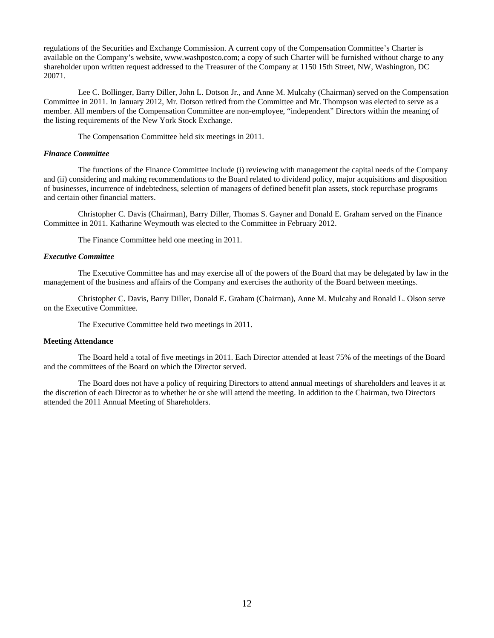regulations of the Securities and Exchange Commission. A current copy of the Compensation Committee's Charter is available on the Company's website, www.washpostco.com; a copy of such Charter will be furnished without charge to any shareholder upon written request addressed to the Treasurer of the Company at 1150 15th Street, NW, Washington, DC 20071.

Lee C. Bollinger, Barry Diller, John L. Dotson Jr., and Anne M. Mulcahy (Chairman) served on the Compensation Committee in 2011. In January 2012, Mr. Dotson retired from the Committee and Mr. Thompson was elected to serve as a member. All members of the Compensation Committee are non-employee, "independent" Directors within the meaning of the listing requirements of the New York Stock Exchange.

The Compensation Committee held six meetings in 2011.

### *Finance Committee*

The functions of the Finance Committee include (i) reviewing with management the capital needs of the Company and (ii) considering and making recommendations to the Board related to dividend policy, major acquisitions and disposition of businesses, incurrence of indebtedness, selection of managers of defined benefit plan assets, stock repurchase programs and certain other financial matters.

Christopher C. Davis (Chairman), Barry Diller, Thomas S. Gayner and Donald E. Graham served on the Finance Committee in 2011. Katharine Weymouth was elected to the Committee in February 2012.

The Finance Committee held one meeting in 2011.

# *Executive Committee*

The Executive Committee has and may exercise all of the powers of the Board that may be delegated by law in the management of the business and affairs of the Company and exercises the authority of the Board between meetings.

Christopher C. Davis, Barry Diller, Donald E. Graham (Chairman), Anne M. Mulcahy and Ronald L. Olson serve on the Executive Committee.

The Executive Committee held two meetings in 2011.

# **Meeting Attendance**

The Board held a total of five meetings in 2011. Each Director attended at least 75% of the meetings of the Board and the committees of the Board on which the Director served.

The Board does not have a policy of requiring Directors to attend annual meetings of shareholders and leaves it at the discretion of each Director as to whether he or she will attend the meeting. In addition to the Chairman, two Directors attended the 2011 Annual Meeting of Shareholders.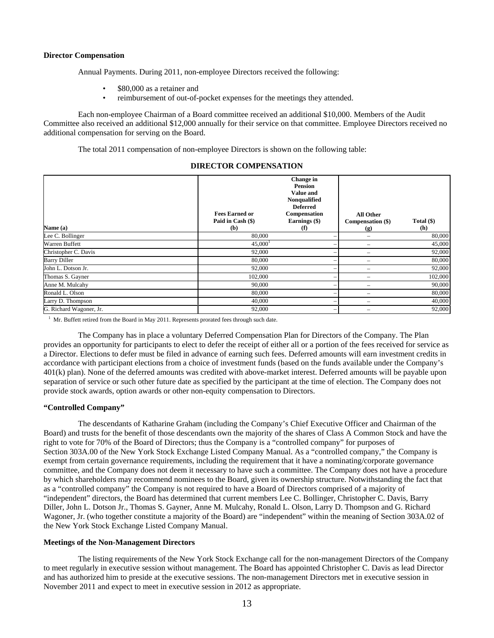### **Director Compensation**

Annual Payments. During 2011, non-employee Directors received the following:

- \$80,000 as a retainer and
- reimbursement of out-of-pocket expenses for the meetings they attended.

Each non-employee Chairman of a Board committee received an additional \$10,000. Members of the Audit Committee also received an additional \$12,000 annually for their service on that committee. Employee Directors received no additional compensation for serving on the Board.

The total 2011 compensation of non-employee Directors is shown on the following table:

| Name (a)                | <b>Fees Earned or</b><br>Paid in Cash (\$)<br>(b) | Change in<br><b>Pension</b><br>Value and<br>Nonqualified<br><b>Deferred</b><br>Compensation<br>Earnings (\$)<br>(f) | <b>All Other</b><br>Compensation (\$)<br>$\left( \mathbf{g} \right)$ | Total $(\$)$<br>(h) |
|-------------------------|---------------------------------------------------|---------------------------------------------------------------------------------------------------------------------|----------------------------------------------------------------------|---------------------|
| Lee C. Bollinger        | 80,000                                            |                                                                                                                     |                                                                      | 80,000              |
| Warren Buffett          | 45,000 <sup>1</sup>                               |                                                                                                                     |                                                                      | 45,000              |
| Christopher C. Davis    | 92,000                                            |                                                                                                                     |                                                                      | 92,000              |
| <b>Barry Diller</b>     | 80,000                                            |                                                                                                                     |                                                                      | 80,000              |
| John L. Dotson Jr.      | 92,000                                            |                                                                                                                     |                                                                      | 92,000              |
| Thomas S. Gayner        | 102,000                                           |                                                                                                                     |                                                                      | 102,000             |
| Anne M. Mulcahy         | 90,000                                            |                                                                                                                     |                                                                      | 90,000              |
| Ronald L. Olson         | 80,000                                            | -                                                                                                                   |                                                                      | 80,000              |
| Larry D. Thompson       | 40,000                                            |                                                                                                                     |                                                                      | 40,000              |
| G. Richard Wagoner, Jr. | 92,000                                            |                                                                                                                     |                                                                      | 92,000              |

### **DIRECTOR COMPENSATION**

<sup>1</sup> Mr. Buffett retired from the Board in May 2011. Represents prorated fees through such date.

The Company has in place a voluntary Deferred Compensation Plan for Directors of the Company. The Plan provides an opportunity for participants to elect to defer the receipt of either all or a portion of the fees received for service as a Director. Elections to defer must be filed in advance of earning such fees. Deferred amounts will earn investment credits in accordance with participant elections from a choice of investment funds (based on the funds available under the Company's 401(k) plan). None of the deferred amounts was credited with above-market interest. Deferred amounts will be payable upon separation of service or such other future date as specified by the participant at the time of election. The Company does not provide stock awards, option awards or other non-equity compensation to Directors.

### **"Controlled Company"**

The descendants of Katharine Graham (including the Company's Chief Executive Officer and Chairman of the Board) and trusts for the benefit of those descendants own the majority of the shares of Class A Common Stock and have the right to vote for 70% of the Board of Directors; thus the Company is a "controlled company" for purposes of Section 303A.00 of the New York Stock Exchange Listed Company Manual. As a "controlled company," the Company is exempt from certain governance requirements, including the requirement that it have a nominating/corporate governance committee, and the Company does not deem it necessary to have such a committee. The Company does not have a procedure by which shareholders may recommend nominees to the Board, given its ownership structure. Notwithstanding the fact that as a "controlled company" the Company is not required to have a Board of Directors comprised of a majority of "independent" directors, the Board has determined that current members Lee C. Bollinger, Christopher C. Davis, Barry Diller, John L. Dotson Jr., Thomas S. Gayner, Anne M. Mulcahy, Ronald L. Olson, Larry D. Thompson and G. Richard Wagoner, Jr. (who together constitute a majority of the Board) are "independent" within the meaning of Section 303A.02 of the New York Stock Exchange Listed Company Manual.

### **Meetings of the Non-Management Directors**

The listing requirements of the New York Stock Exchange call for the non-management Directors of the Company to meet regularly in executive session without management. The Board has appointed Christopher C. Davis as lead Director and has authorized him to preside at the executive sessions. The non-management Directors met in executive session in November 2011 and expect to meet in executive session in 2012 as appropriate.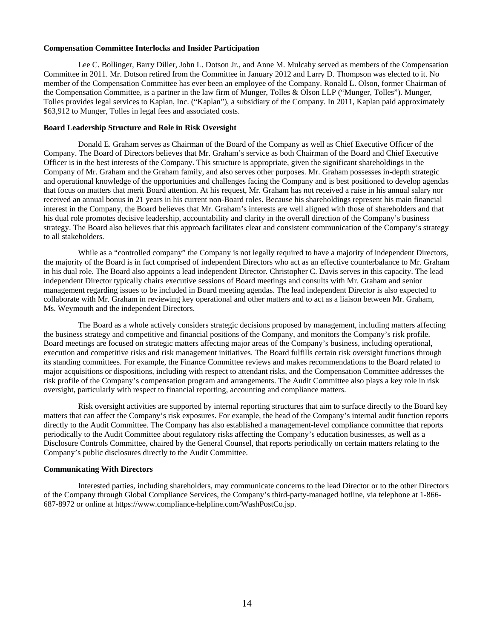# **Compensation Committee Interlocks and Insider Participation**

Lee C. Bollinger, Barry Diller, John L. Dotson Jr., and Anne M. Mulcahy served as members of the Compensation Committee in 2011. Mr. Dotson retired from the Committee in January 2012 and Larry D. Thompson was elected to it. No member of the Compensation Committee has ever been an employee of the Company. Ronald L. Olson, former Chairman of the Compensation Committee, is a partner in the law firm of Munger, Tolles & Olson LLP ("Munger, Tolles"). Munger, Tolles provides legal services to Kaplan, Inc. ("Kaplan"), a subsidiary of the Company. In 2011, Kaplan paid approximately \$63,912 to Munger, Tolles in legal fees and associated costs.

### **Board Leadership Structure and Role in Risk Oversight**

Donald E. Graham serves as Chairman of the Board of the Company as well as Chief Executive Officer of the Company. The Board of Directors believes that Mr. Graham's service as both Chairman of the Board and Chief Executive Officer is in the best interests of the Company. This structure is appropriate, given the significant shareholdings in the Company of Mr. Graham and the Graham family, and also serves other purposes. Mr. Graham possesses in-depth strategic and operational knowledge of the opportunities and challenges facing the Company and is best positioned to develop agendas that focus on matters that merit Board attention. At his request, Mr. Graham has not received a raise in his annual salary nor received an annual bonus in 21 years in his current non-Board roles. Because his shareholdings represent his main financial interest in the Company, the Board believes that Mr. Graham's interests are well aligned with those of shareholders and that his dual role promotes decisive leadership, accountability and clarity in the overall direction of the Company's business strategy. The Board also believes that this approach facilitates clear and consistent communication of the Company's strategy to all stakeholders.

While as a "controlled company" the Company is not legally required to have a majority of independent Directors, the majority of the Board is in fact comprised of independent Directors who act as an effective counterbalance to Mr. Graham in his dual role. The Board also appoints a lead independent Director. Christopher C. Davis serves in this capacity. The lead independent Director typically chairs executive sessions of Board meetings and consults with Mr. Graham and senior management regarding issues to be included in Board meeting agendas. The lead independent Director is also expected to collaborate with Mr. Graham in reviewing key operational and other matters and to act as a liaison between Mr. Graham, Ms. Weymouth and the independent Directors.

The Board as a whole actively considers strategic decisions proposed by management, including matters affecting the business strategy and competitive and financial positions of the Company, and monitors the Company's risk profile. Board meetings are focused on strategic matters affecting major areas of the Company's business, including operational, execution and competitive risks and risk management initiatives. The Board fulfills certain risk oversight functions through its standing committees. For example, the Finance Committee reviews and makes recommendations to the Board related to major acquisitions or dispositions, including with respect to attendant risks, and the Compensation Committee addresses the risk profile of the Company's compensation program and arrangements. The Audit Committee also plays a key role in risk oversight, particularly with respect to financial reporting, accounting and compliance matters.

Risk oversight activities are supported by internal reporting structures that aim to surface directly to the Board key matters that can affect the Company's risk exposures. For example, the head of the Company's internal audit function reports directly to the Audit Committee. The Company has also established a management-level compliance committee that reports periodically to the Audit Committee about regulatory risks affecting the Company's education businesses, as well as a Disclosure Controls Committee, chaired by the General Counsel, that reports periodically on certain matters relating to the Company's public disclosures directly to the Audit Committee.

### **Communicating With Directors**

Interested parties, including shareholders, may communicate concerns to the lead Director or to the other Directors of the Company through Global Compliance Services, the Company's third-party-managed hotline, via telephone at 1-866- 687-8972 or online at https://www.compliance-helpline.com/WashPostCo.jsp.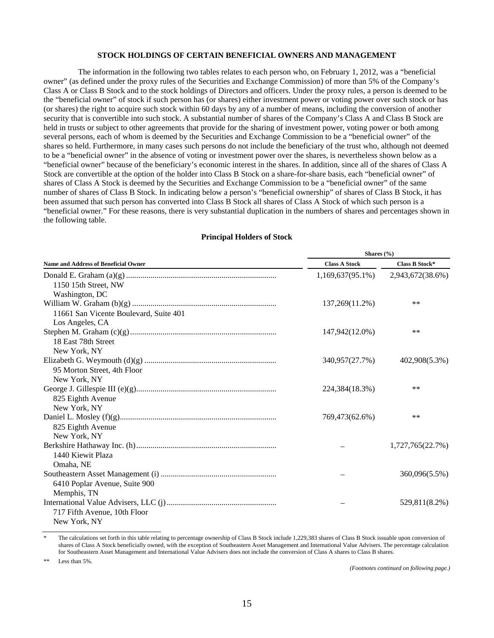#### **STOCK HOLDINGS OF CERTAIN BENEFICIAL OWNERS AND MANAGEMENT**

The information in the following two tables relates to each person who, on February 1, 2012, was a "beneficial owner" (as defined under the proxy rules of the Securities and Exchange Commission) of more than 5% of the Company's Class A or Class B Stock and to the stock holdings of Directors and officers. Under the proxy rules, a person is deemed to be the "beneficial owner" of stock if such person has (or shares) either investment power or voting power over such stock or has (or shares) the right to acquire such stock within 60 days by any of a number of means, including the conversion of another security that is convertible into such stock. A substantial number of shares of the Company's Class A and Class B Stock are held in trusts or subject to other agreements that provide for the sharing of investment power, voting power or both among several persons, each of whom is deemed by the Securities and Exchange Commission to be a "beneficial owner" of the shares so held. Furthermore, in many cases such persons do not include the beneficiary of the trust who, although not deemed to be a "beneficial owner" in the absence of voting or investment power over the shares, is nevertheless shown below as a "beneficial owner" because of the beneficiary's economic interest in the shares. In addition, since all of the shares of Class A Stock are convertible at the option of the holder into Class B Stock on a share-for-share basis, each "beneficial owner" of shares of Class A Stock is deemed by the Securities and Exchange Commission to be a "beneficial owner" of the same number of shares of Class B Stock. In indicating below a person's "beneficial ownership" of shares of Class B Stock, it has been assumed that such person has converted into Class B Stock all shares of Class A Stock of which such person is a "beneficial owner." For these reasons, there is very substantial duplication in the numbers of shares and percentages shown in the following table.

|                                             | Shares (%)           |                       |  |  |
|---------------------------------------------|----------------------|-----------------------|--|--|
| <b>Name and Address of Beneficial Owner</b> | <b>Class A Stock</b> | <b>Class B Stock*</b> |  |  |
|                                             | $1,169,637(95.1\%)$  | 2,943,672(38.6%)      |  |  |
| 1150 15th Street, NW                        |                      |                       |  |  |
| Washington, DC                              |                      |                       |  |  |
|                                             | 137,269(11.2%)       | $***$                 |  |  |
| 11661 San Vicente Boulevard, Suite 401      |                      |                       |  |  |
| Los Angeles, CA                             |                      |                       |  |  |
|                                             | 147,942(12.0%)       | $***$                 |  |  |
| 18 East 78th Street                         |                      |                       |  |  |
| New York, NY                                |                      |                       |  |  |
|                                             | 340,957(27.7%)       | 402,908(5.3%)         |  |  |
| 95 Morton Street, 4th Floor                 |                      |                       |  |  |
| New York, NY                                |                      |                       |  |  |
|                                             | 224,384(18.3%)       | $***$                 |  |  |
| 825 Eighth Avenue                           |                      |                       |  |  |
| New York, NY                                |                      |                       |  |  |
|                                             | 769,473(62.6%)       | $***$                 |  |  |
| 825 Eighth Avenue                           |                      |                       |  |  |
| New York, NY                                |                      |                       |  |  |
|                                             |                      | 1,727,765(22.7%)      |  |  |
| 1440 Kiewit Plaza                           |                      |                       |  |  |
| Omaha, NE                                   |                      |                       |  |  |
|                                             |                      | 360,096(5.5%)         |  |  |
| 6410 Poplar Avenue, Suite 900               |                      |                       |  |  |
| Memphis, TN                                 |                      |                       |  |  |
|                                             |                      | 529,811(8.2%)         |  |  |
| 717 Fifth Avenue, 10th Floor                |                      |                       |  |  |
| New York, NY                                |                      |                       |  |  |

# **Principal Holders of Stock**

The calculations set forth in this table relating to percentage ownership of Class B Stock include 1,229,383 shares of Class B Stock issuable upon conversion of shares of Class A Stock beneficially owned, with the exception of Southeastern Asset Management and International Value Advisers. The percentage calculation for Southeastern Asset Management and International Value Advisers does not include the conversion of Class A shares to Class B shares.

Less than 5%.

*(Footnotes continued on following page.)*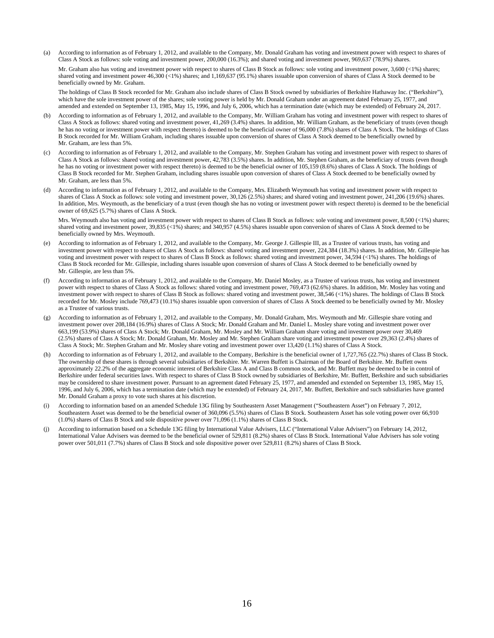(a) According to information as of February 1, 2012, and available to the Company, Mr. Donald Graham has voting and investment power with respect to shares of Class A Stock as follows: sole voting and investment power, 200,000 (16.3%); and shared voting and investment power, 969,637 (78.9%) shares.

 Mr. Graham also has voting and investment power with respect to shares of Class B Stock as follows: sole voting and investment power, 3,600 (<1%) shares; shared voting and investment power 46,300 (<1%) shares; and 1,169,637 (95.1%) shares issuable upon conversion of shares of Class A Stock deemed to be beneficially owned by Mr. Graham.

 The holdings of Class B Stock recorded for Mr. Graham also include shares of Class B Stock owned by subsidiaries of Berkshire Hathaway Inc. ("Berkshire"), which have the sole investment power of the shares; sole voting power is held by Mr. Donald Graham under an agreement dated February 25, 1977, and amended and extended on September 13, 1985, May 15, 1996, and July 6, 2006, which has a termination date (which may be extended) of February 24, 2017.

- (b) According to information as of February 1, 2012, and available to the Company, Mr. William Graham has voting and investment power with respect to shares of Class A Stock as follows: shared voting and investment power, 41,269 (3.4%) shares. In addition, Mr. William Graham, as the beneficiary of trusts (even though he has no voting or investment power with respect thereto) is deemed to be the beneficial owner of 96,000 (7.8%) shares of Class A Stock. The holdings of Class B Stock recorded for Mr. William Graham, including shares issuable upon conversion of shares of Class A Stock deemed to be beneficially owned by Mr. Graham, are less than 5%.
- (c) According to information as of February 1, 2012, and available to the Company, Mr. Stephen Graham has voting and investment power with respect to shares of Class A Stock as follows: shared voting and investment power, 42,783 (3.5%) shares. In addition, Mr. Stephen Graham, as the beneficiary of trusts (even though he has no voting or investment power with respect thereto) is deemed to be the beneficial owner of 105,159 (8.6%) shares of Class A Stock. The holdings of Class B Stock recorded for Mr. Stephen Graham, including shares issuable upon conversion of shares of Class A Stock deemed to be beneficially owned by Mr. Graham, are less than 5%.
- (d) According to information as of February 1, 2012, and available to the Company, Mrs. Elizabeth Weymouth has voting and investment power with respect to shares of Class A Stock as follows: sole voting and investment power, 30,126 (2.5%) shares; and shared voting and investment power, 241,206 (19.6%) shares. In addition, Mrs. Weymouth, as the beneficiary of a trust (even though she has no voting or investment power with respect thereto) is deemed to be the beneficial owner of 69,625 (5.7%) shares of Class A Stock.

 Mrs. Weymouth also has voting and investment power with respect to shares of Class B Stock as follows: sole voting and investment power, 8,500 (<1%) shares; shared voting and investment power, 39,835 (<1%) shares; and 340,957 (4.5%) shares issuable upon conversion of shares of Class A Stock deemed to be beneficially owned by Mrs. Weymouth.

- (e) According to information as of February 1, 2012, and available to the Company, Mr. George J. Gillespie III, as a Trustee of various trusts, has voting and investment power with respect to shares of Class A Stock as follows: shared voting and investment power, 224,384 (18.3%) shares. In addition, Mr. Gillespie has voting and investment power with respect to shares of Class B Stock as follows: shared voting and investment power, 34,594 (<1%) shares. The holdings of Class B Stock recorded for Mr. Gillespie, including shares issuable upon conversion of shares of Class A Stock deemed to be beneficially owned by Mr. Gillespie, are less than 5%.
- (f) According to information as of February 1, 2012, and available to the Company, Mr. Daniel Mosley, as a Trustee of various trusts, has voting and investment power with respect to shares of Class A Stock as follows: shared voting and investment power, 769,473 (62.6%) shares. In addition, Mr. Mosley has voting and investment power with respect to shares of Class B Stock as follows: shared voting and investment power, 38,546 (<1%) shares. The holdings of Class B Stock recorded for Mr. Mosley include 769,473 (10.1%) shares issuable upon conversion of shares of Class A Stock deemed to be beneficially owned by Mr. Mosley as a Trustee of various trusts.
- (g) According to information as of February 1, 2012, and available to the Company, Mr. Donald Graham, Mrs. Weymouth and Mr. Gillespie share voting and investment power over 208,184 (16.9%) shares of Class A Stock; Mr. Donald Graham and Mr. Daniel L. Mosley share voting and investment power over 663,199 (53.9%) shares of Class A Stock; Mr. Donald Graham, Mr. Mosley and Mr. William Graham share voting and investment power over 30,469 (2.5%) shares of Class A Stock; Mr. Donald Graham, Mr. Mosley and Mr. Stephen Graham share voting and investment power over 29,363 (2.4%) shares of Class A Stock; Mr. Stephen Graham and Mr. Mosley share voting and investment power over 13,420 (1.1%) shares of Class A Stock.
- According to information as of February 1, 2012, and available to the Company, Berkshire is the beneficial owner of 1,727,765 (22.7%) shares of Class B Stock. The ownership of these shares is through several subsidiaries of Berkshire. Mr. Warren Buffett is Chairman of the Board of Berkshire. Mr. Buffett owns approximately 22.2% of the aggregate economic interest of Berkshire Class A and Class B common stock, and Mr. Buffett may be deemed to be in control of Berkshire under federal securities laws. With respect to shares of Class B Stock owned by subsidiaries of Berkshire, Mr. Buffett, Berkshire and such subsidiaries may be considered to share investment power. Pursuant to an agreement dated February 25, 1977, and amended and extended on September 13, 1985, May 15, 1996, and July 6, 2006, which has a termination date (which may be extended) of February 24, 2017, Mr. Buffett, Berkshire and such subsidiaries have granted Mr. Donald Graham a proxy to vote such shares at his discretion.
- (i) According to information based on an amended Schedule 13G filing by Southeastern Asset Management ("Southeastern Asset") on February 7, 2012, Southeastern Asset was deemed to be the beneficial owner of 360,096 (5.5%) shares of Class B Stock. Southeastern Asset has sole voting power over 66,910 (1.0%) shares of Class B Stock and sole dispositive power over 71,096 (1.1%) shares of Class B Stock.
- (j) According to information based on a Schedule 13G filing by International Value Advisers, LLC ("International Value Advisers") on February 14, 2012, International Value Advisers was deemed to be the beneficial owner of 529,811 (8.2%) shares of Class B Stock. International Value Advisers has sole voting power over 501,011 (7.7%) shares of Class B Stock and sole dispositive power over 529,811 (8.2%) shares of Class B Stock.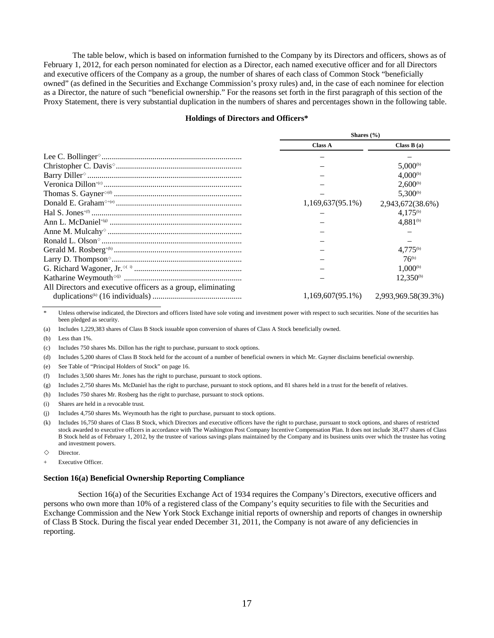The table below, which is based on information furnished to the Company by its Directors and officers, shows as of February 1, 2012, for each person nominated for election as a Director, each named executive officer and for all Directors and executive officers of the Company as a group, the number of shares of each class of Common Stock "beneficially owned" (as defined in the Securities and Exchange Commission's proxy rules) and, in the case of each nominee for election as a Director, the nature of such "beneficial ownership." For the reasons set forth in the first paragraph of this section of the Proxy Statement, there is very substantial duplication in the numbers of shares and percentages shown in the following table.

#### **Holdings of Directors and Officers\***

|                                                              | Shares $(\% )$      |                                            |  |  |
|--------------------------------------------------------------|---------------------|--------------------------------------------|--|--|
|                                                              | <b>Class A</b>      | Class $B(a)$                               |  |  |
|                                                              |                     |                                            |  |  |
|                                                              |                     | $5.000^{(b)}$                              |  |  |
|                                                              |                     | $4.000^{(b)}$                              |  |  |
|                                                              |                     | $2.600^{(b)}$                              |  |  |
|                                                              |                     | $5.300^{(b)}$                              |  |  |
|                                                              | $1,169,637(95.1\%)$ | 2,943,672(38.6%)                           |  |  |
|                                                              |                     | $4.175^{(b)}$                              |  |  |
|                                                              |                     | $4,881^{(b)}$                              |  |  |
|                                                              |                     |                                            |  |  |
|                                                              |                     |                                            |  |  |
|                                                              |                     | $4.775^{(b)}$                              |  |  |
|                                                              |                     | $76^{(b)}$                                 |  |  |
|                                                              |                     | $1.000^{(b)}$                              |  |  |
|                                                              |                     | $12.350^{(b)}$                             |  |  |
| All Directors and executive officers as a group, eliminating |                     |                                            |  |  |
|                                                              |                     | $1,169,607(95.1\%)$ $2,993,969.58(39.3\%)$ |  |  |

Unless otherwise indicated, the Directors and officers listed have sole voting and investment power with respect to such securities. None of the securities has been pledged as security.

(a) Includes 1,229,383 shares of Class B Stock issuable upon conversion of shares of Class A Stock beneficially owned.

(b) Less than 1%.

(c) Includes 750 shares Ms. Dillon has the right to purchase, pursuant to stock options.

(d) Includes 5,200 shares of Class B Stock held for the account of a number of beneficial owners in which Mr. Gayner disclaims beneficial ownership.

(e) See Table of "Principal Holders of Stock" on page 16.

(f) Includes 3,500 shares Mr. Jones has the right to purchase, pursuant to stock options.

(g) Includes 2,750 shares Ms. McDaniel has the right to purchase, pursuant to stock options, and 81 shares held in a trust for the benefit of relatives.

(h) Includes 750 shares Mr. Rosberg has the right to purchase, pursuant to stock options.

(i) Shares are held in a revocable trust.

(j) Includes 4,750 shares Ms. Weymouth has the right to purchase, pursuant to stock options.

(k) Includes 16,750 shares of Class B Stock, which Directors and executive officers have the right to purchase, pursuant to stock options, and shares of restricted stock awarded to executive officers in accordance with The Washington Post Company Incentive Compensation Plan. It does not include 38,477 shares of Class B Stock held as of February 1, 2012, by the trustee of various savings plans maintained by the Company and its business units over which the trustee has voting and investment powers.

 $\Diamond$  Director.

Executive Officer.

#### **Section 16(a) Beneficial Ownership Reporting Compliance**

Section 16(a) of the Securities Exchange Act of 1934 requires the Company's Directors, executive officers and persons who own more than 10% of a registered class of the Company's equity securities to file with the Securities and Exchange Commission and the New York Stock Exchange initial reports of ownership and reports of changes in ownership of Class B Stock. During the fiscal year ended December 31, 2011, the Company is not aware of any deficiencies in reporting.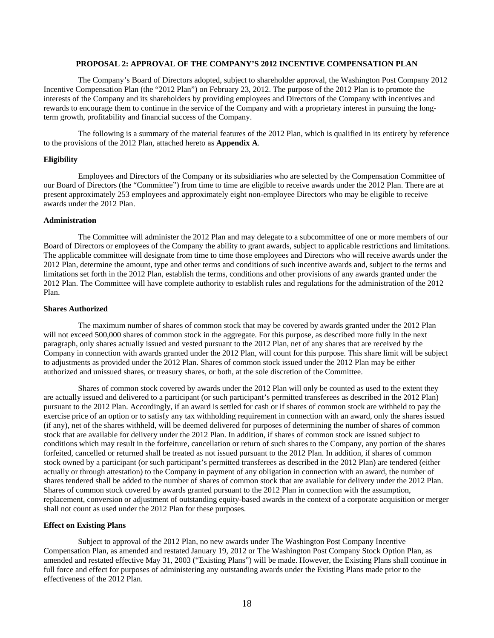### **PROPOSAL 2: APPROVAL OF THE COMPANY'S 2012 INCENTIVE COMPENSATION PLAN**

The Company's Board of Directors adopted, subject to shareholder approval, the Washington Post Company 2012 Incentive Compensation Plan (the "2012 Plan") on February 23, 2012. The purpose of the 2012 Plan is to promote the interests of the Company and its shareholders by providing employees and Directors of the Company with incentives and rewards to encourage them to continue in the service of the Company and with a proprietary interest in pursuing the longterm growth, profitability and financial success of the Company.

The following is a summary of the material features of the 2012 Plan, which is qualified in its entirety by reference to the provisions of the 2012 Plan, attached hereto as **Appendix A**.

### **Eligibility**

Employees and Directors of the Company or its subsidiaries who are selected by the Compensation Committee of our Board of Directors (the "Committee") from time to time are eligible to receive awards under the 2012 Plan. There are at present approximately 253 employees and approximately eight non-employee Directors who may be eligible to receive awards under the 2012 Plan.

#### **Administration**

The Committee will administer the 2012 Plan and may delegate to a subcommittee of one or more members of our Board of Directors or employees of the Company the ability to grant awards, subject to applicable restrictions and limitations. The applicable committee will designate from time to time those employees and Directors who will receive awards under the 2012 Plan, determine the amount, type and other terms and conditions of such incentive awards and, subject to the terms and limitations set forth in the 2012 Plan, establish the terms, conditions and other provisions of any awards granted under the 2012 Plan. The Committee will have complete authority to establish rules and regulations for the administration of the 2012 Plan.

#### **Shares Authorized**

The maximum number of shares of common stock that may be covered by awards granted under the 2012 Plan will not exceed 500,000 shares of common stock in the aggregate. For this purpose, as described more fully in the next paragraph, only shares actually issued and vested pursuant to the 2012 Plan, net of any shares that are received by the Company in connection with awards granted under the 2012 Plan, will count for this purpose. This share limit will be subject to adjustments as provided under the 2012 Plan. Shares of common stock issued under the 2012 Plan may be either authorized and unissued shares, or treasury shares, or both, at the sole discretion of the Committee.

Shares of common stock covered by awards under the 2012 Plan will only be counted as used to the extent they are actually issued and delivered to a participant (or such participant's permitted transferees as described in the 2012 Plan) pursuant to the 2012 Plan. Accordingly, if an award is settled for cash or if shares of common stock are withheld to pay the exercise price of an option or to satisfy any tax withholding requirement in connection with an award, only the shares issued (if any), net of the shares withheld, will be deemed delivered for purposes of determining the number of shares of common stock that are available for delivery under the 2012 Plan. In addition, if shares of common stock are issued subject to conditions which may result in the forfeiture, cancellation or return of such shares to the Company, any portion of the shares forfeited, cancelled or returned shall be treated as not issued pursuant to the 2012 Plan. In addition, if shares of common stock owned by a participant (or such participant's permitted transferees as described in the 2012 Plan) are tendered (either actually or through attestation) to the Company in payment of any obligation in connection with an award, the number of shares tendered shall be added to the number of shares of common stock that are available for delivery under the 2012 Plan. Shares of common stock covered by awards granted pursuant to the 2012 Plan in connection with the assumption, replacement, conversion or adjustment of outstanding equity-based awards in the context of a corporate acquisition or merger shall not count as used under the 2012 Plan for these purposes.

#### **Effect on Existing Plans**

Subject to approval of the 2012 Plan, no new awards under The Washington Post Company Incentive Compensation Plan, as amended and restated January 19, 2012 or The Washington Post Company Stock Option Plan, as amended and restated effective May 31, 2003 ("Existing Plans") will be made. However, the Existing Plans shall continue in full force and effect for purposes of administering any outstanding awards under the Existing Plans made prior to the effectiveness of the 2012 Plan.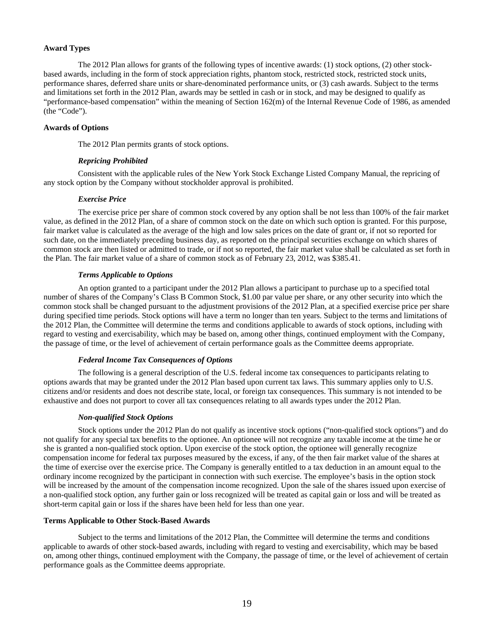### **Award Types**

The 2012 Plan allows for grants of the following types of incentive awards: (1) stock options, (2) other stockbased awards, including in the form of stock appreciation rights, phantom stock, restricted stock, restricted stock units, performance shares, deferred share units or share-denominated performance units, or (3) cash awards. Subject to the terms and limitations set forth in the 2012 Plan, awards may be settled in cash or in stock, and may be designed to qualify as "performance-based compensation" within the meaning of Section 162(m) of the Internal Revenue Code of 1986, as amended (the "Code").

### **Awards of Options**

The 2012 Plan permits grants of stock options.

# *Repricing Prohibited*

Consistent with the applicable rules of the New York Stock Exchange Listed Company Manual, the repricing of any stock option by the Company without stockholder approval is prohibited.

### *Exercise Price*

The exercise price per share of common stock covered by any option shall be not less than 100% of the fair market value, as defined in the 2012 Plan, of a share of common stock on the date on which such option is granted. For this purpose, fair market value is calculated as the average of the high and low sales prices on the date of grant or, if not so reported for such date, on the immediately preceding business day, as reported on the principal securities exchange on which shares of common stock are then listed or admitted to trade, or if not so reported, the fair market value shall be calculated as set forth in the Plan. The fair market value of a share of common stock as of February 23, 2012, was \$385.41.

### *Terms Applicable to Options*

An option granted to a participant under the 2012 Plan allows a participant to purchase up to a specified total number of shares of the Company's Class B Common Stock, \$1.00 par value per share, or any other security into which the common stock shall be changed pursuant to the adjustment provisions of the 2012 Plan, at a specified exercise price per share during specified time periods. Stock options will have a term no longer than ten years. Subject to the terms and limitations of the 2012 Plan, the Committee will determine the terms and conditions applicable to awards of stock options, including with regard to vesting and exercisability, which may be based on, among other things, continued employment with the Company, the passage of time, or the level of achievement of certain performance goals as the Committee deems appropriate.

### *Federal Income Tax Consequences of Options*

The following is a general description of the U.S. federal income tax consequences to participants relating to options awards that may be granted under the 2012 Plan based upon current tax laws. This summary applies only to U.S. citizens and/or residents and does not describe state, local, or foreign tax consequences. This summary is not intended to be exhaustive and does not purport to cover all tax consequences relating to all awards types under the 2012 Plan.

### *Non-qualified Stock Options*

Stock options under the 2012 Plan do not qualify as incentive stock options ("non-qualified stock options") and do not qualify for any special tax benefits to the optionee. An optionee will not recognize any taxable income at the time he or she is granted a non-qualified stock option. Upon exercise of the stock option, the optionee will generally recognize compensation income for federal tax purposes measured by the excess, if any, of the then fair market value of the shares at the time of exercise over the exercise price. The Company is generally entitled to a tax deduction in an amount equal to the ordinary income recognized by the participant in connection with such exercise. The employee's basis in the option stock will be increased by the amount of the compensation income recognized. Upon the sale of the shares issued upon exercise of a non-qualified stock option, any further gain or loss recognized will be treated as capital gain or loss and will be treated as short-term capital gain or loss if the shares have been held for less than one year.

### **Terms Applicable to Other Stock-Based Awards**

Subject to the terms and limitations of the 2012 Plan, the Committee will determine the terms and conditions applicable to awards of other stock-based awards, including with regard to vesting and exercisability, which may be based on, among other things, continued employment with the Company, the passage of time, or the level of achievement of certain performance goals as the Committee deems appropriate.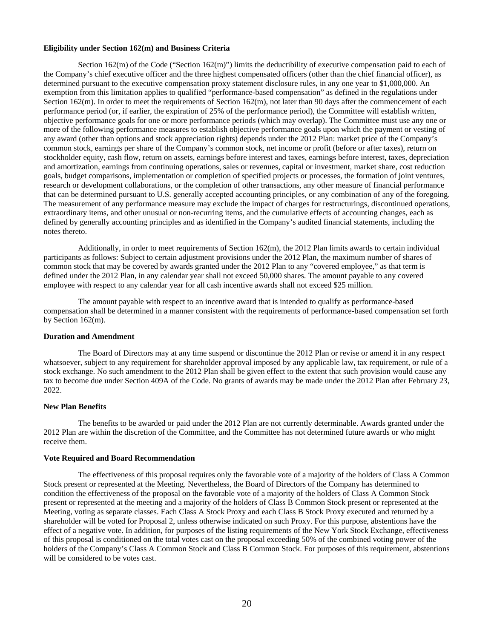### **Eligibility under Section 162(m) and Business Criteria**

Section 162(m) of the Code ("Section 162(m)") limits the deductibility of executive compensation paid to each of the Company's chief executive officer and the three highest compensated officers (other than the chief financial officer), as determined pursuant to the executive compensation proxy statement disclosure rules, in any one year to \$1,000,000. An exemption from this limitation applies to qualified "performance-based compensation" as defined in the regulations under Section 162(m). In order to meet the requirements of Section 162(m), not later than 90 days after the commencement of each performance period (or, if earlier, the expiration of 25% of the performance period), the Committee will establish written, objective performance goals for one or more performance periods (which may overlap). The Committee must use any one or more of the following performance measures to establish objective performance goals upon which the payment or vesting of any award (other than options and stock appreciation rights) depends under the 2012 Plan: market price of the Company's common stock, earnings per share of the Company's common stock, net income or profit (before or after taxes), return on stockholder equity, cash flow, return on assets, earnings before interest and taxes, earnings before interest, taxes, depreciation and amortization, earnings from continuing operations, sales or revenues, capital or investment, market share, cost reduction goals, budget comparisons, implementation or completion of specified projects or processes, the formation of joint ventures, research or development collaborations, or the completion of other transactions, any other measure of financial performance that can be determined pursuant to U.S. generally accepted accounting principles, or any combination of any of the foregoing. The measurement of any performance measure may exclude the impact of charges for restructurings, discontinued operations, extraordinary items, and other unusual or non-recurring items, and the cumulative effects of accounting changes, each as defined by generally accounting principles and as identified in the Company's audited financial statements, including the notes thereto.

Additionally, in order to meet requirements of Section 162(m), the 2012 Plan limits awards to certain individual participants as follows: Subject to certain adjustment provisions under the 2012 Plan, the maximum number of shares of common stock that may be covered by awards granted under the 2012 Plan to any "covered employee," as that term is defined under the 2012 Plan, in any calendar year shall not exceed 50,000 shares. The amount payable to any covered employee with respect to any calendar year for all cash incentive awards shall not exceed \$25 million.

The amount payable with respect to an incentive award that is intended to qualify as performance-based compensation shall be determined in a manner consistent with the requirements of performance-based compensation set forth by Section 162(m).

### **Duration and Amendment**

The Board of Directors may at any time suspend or discontinue the 2012 Plan or revise or amend it in any respect whatsoever, subject to any requirement for shareholder approval imposed by any applicable law, tax requirement, or rule of a stock exchange. No such amendment to the 2012 Plan shall be given effect to the extent that such provision would cause any tax to become due under Section 409A of the Code. No grants of awards may be made under the 2012 Plan after February 23, 2022.

### **New Plan Benefits**

The benefits to be awarded or paid under the 2012 Plan are not currently determinable. Awards granted under the 2012 Plan are within the discretion of the Committee, and the Committee has not determined future awards or who might receive them.

### **Vote Required and Board Recommendation**

The effectiveness of this proposal requires only the favorable vote of a majority of the holders of Class A Common Stock present or represented at the Meeting. Nevertheless, the Board of Directors of the Company has determined to condition the effectiveness of the proposal on the favorable vote of a majority of the holders of Class A Common Stock present or represented at the meeting and a majority of the holders of Class B Common Stock present or represented at the Meeting, voting as separate classes. Each Class A Stock Proxy and each Class B Stock Proxy executed and returned by a shareholder will be voted for Proposal 2, unless otherwise indicated on such Proxy. For this purpose, abstentions have the effect of a negative vote. In addition, for purposes of the listing requirements of the New York Stock Exchange, effectiveness of this proposal is conditioned on the total votes cast on the proposal exceeding 50% of the combined voting power of the holders of the Company's Class A Common Stock and Class B Common Stock. For purposes of this requirement, abstentions will be considered to be votes cast.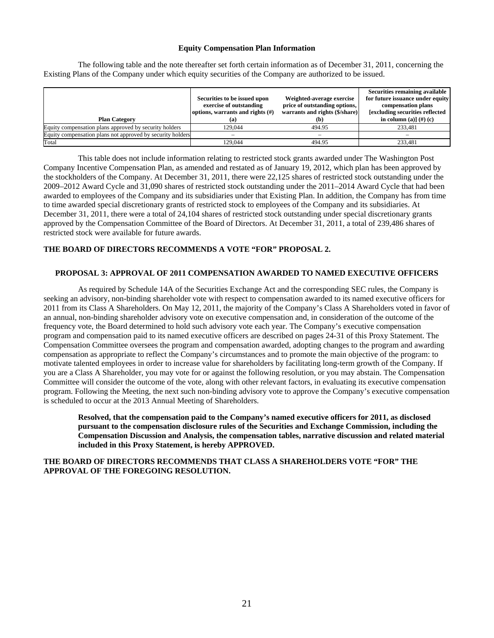### **Equity Compensation Plan Information**

The following table and the note thereafter set forth certain information as of December 31, 2011, concerning the Existing Plans of the Company under which equity securities of the Company are authorized to be issued.

|                                                            | Securities to be issued upon<br>exercise of outstanding<br>options, warrants and rights $(f)$ | Weighted-average exercise<br>price of outstanding options,<br>warrants and rights (\$/share) | Securities remaining available<br>for future issuance under equity<br>compensation plans<br><b>[excluding securities reflected]</b> |
|------------------------------------------------------------|-----------------------------------------------------------------------------------------------|----------------------------------------------------------------------------------------------|-------------------------------------------------------------------------------------------------------------------------------------|
| <b>Plan Category</b>                                       | (a)                                                                                           | (b)                                                                                          | in column (a)] $(\#)$ (c)                                                                                                           |
| Equity compensation plans approved by security holders     | 129.044                                                                                       | 494.95                                                                                       | 233.481                                                                                                                             |
| Equity compensation plans not approved by security holders |                                                                                               | -                                                                                            |                                                                                                                                     |
| Total                                                      | 129.044                                                                                       | 494.95                                                                                       | 233.481                                                                                                                             |

This table does not include information relating to restricted stock grants awarded under The Washington Post Company Incentive Compensation Plan, as amended and restated as of January 19, 2012, which plan has been approved by the stockholders of the Company. At December 31, 2011, there were 22,125 shares of restricted stock outstanding under the 2009–2012 Award Cycle and 31,090 shares of restricted stock outstanding under the 2011–2014 Award Cycle that had been awarded to employees of the Company and its subsidiaries under that Existing Plan. In addition, the Company has from time to time awarded special discretionary grants of restricted stock to employees of the Company and its subsidiaries. At December 31, 2011, there were a total of 24,104 shares of restricted stock outstanding under special discretionary grants approved by the Compensation Committee of the Board of Directors. At December 31, 2011, a total of 239,486 shares of restricted stock were available for future awards.

# **THE BOARD OF DIRECTORS RECOMMENDS A VOTE "FOR" PROPOSAL 2.**

### **PROPOSAL 3: APPROVAL OF 2011 COMPENSATION AWARDED TO NAMED EXECUTIVE OFFICERS**

As required by Schedule 14A of the Securities Exchange Act and the corresponding SEC rules, the Company is seeking an advisory, non-binding shareholder vote with respect to compensation awarded to its named executive officers for 2011 from its Class A Shareholders. On May 12, 2011, the majority of the Company's Class A Shareholders voted in favor of an annual, non-binding shareholder advisory vote on executive compensation and, in consideration of the outcome of the frequency vote, the Board determined to hold such advisory vote each year. The Company's executive compensation program and compensation paid to its named executive officers are described on pages 24-31 of this Proxy Statement. The Compensation Committee oversees the program and compensation awarded, adopting changes to the program and awarding compensation as appropriate to reflect the Company's circumstances and to promote the main objective of the program: to motivate talented employees in order to increase value for shareholders by facilitating long-term growth of the Company. If you are a Class A Shareholder, you may vote for or against the following resolution, or you may abstain. The Compensation Committee will consider the outcome of the vote, along with other relevant factors, in evaluating its executive compensation program. Following the Meeting, the next such non-binding advisory vote to approve the Company's executive compensation is scheduled to occur at the 2013 Annual Meeting of Shareholders.

**Resolved, that the compensation paid to the Company's named executive officers for 2011, as disclosed pursuant to the compensation disclosure rules of the Securities and Exchange Commission, including the Compensation Discussion and Analysis, the compensation tables, narrative discussion and related material included in this Proxy Statement, is hereby APPROVED.** 

# **THE BOARD OF DIRECTORS RECOMMENDS THAT CLASS A SHAREHOLDERS VOTE "FOR" THE APPROVAL OF THE FOREGOING RESOLUTION.**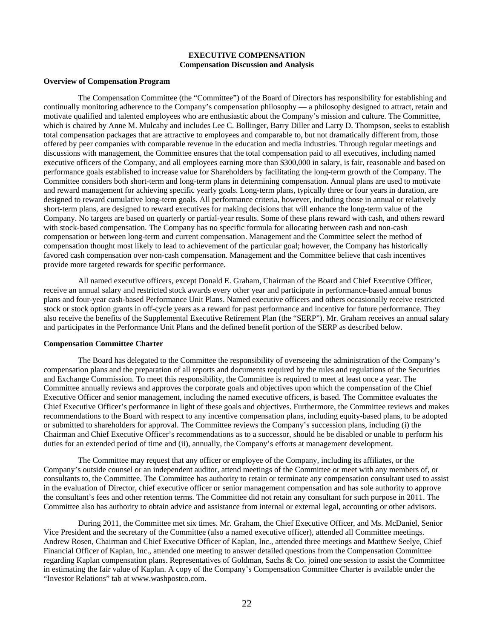# **EXECUTIVE COMPENSATION Compensation Discussion and Analysis**

### **Overview of Compensation Program**

The Compensation Committee (the "Committee") of the Board of Directors has responsibility for establishing and continually monitoring adherence to the Company's compensation philosophy — a philosophy designed to attract, retain and motivate qualified and talented employees who are enthusiastic about the Company's mission and culture. The Committee, which is chaired by Anne M. Mulcahy and includes Lee C. Bollinger, Barry Diller and Larry D. Thompson, seeks to establish total compensation packages that are attractive to employees and comparable to, but not dramatically different from, those offered by peer companies with comparable revenue in the education and media industries. Through regular meetings and discussions with management, the Committee ensures that the total compensation paid to all executives, including named executive officers of the Company, and all employees earning more than \$300,000 in salary, is fair, reasonable and based on performance goals established to increase value for Shareholders by facilitating the long-term growth of the Company. The Committee considers both short-term and long-term plans in determining compensation. Annual plans are used to motivate and reward management for achieving specific yearly goals. Long-term plans, typically three or four years in duration, are designed to reward cumulative long-term goals. All performance criteria, however, including those in annual or relatively short-term plans, are designed to reward executives for making decisions that will enhance the long-term value of the Company. No targets are based on quarterly or partial-year results. Some of these plans reward with cash, and others reward with stock-based compensation. The Company has no specific formula for allocating between cash and non-cash compensation or between long-term and current compensation. Management and the Committee select the method of compensation thought most likely to lead to achievement of the particular goal; however, the Company has historically favored cash compensation over non-cash compensation. Management and the Committee believe that cash incentives provide more targeted rewards for specific performance.

All named executive officers, except Donald E. Graham, Chairman of the Board and Chief Executive Officer, receive an annual salary and restricted stock awards every other year and participate in performance-based annual bonus plans and four-year cash-based Performance Unit Plans. Named executive officers and others occasionally receive restricted stock or stock option grants in off-cycle years as a reward for past performance and incentive for future performance. They also receive the benefits of the Supplemental Executive Retirement Plan (the "SERP"). Mr. Graham receives an annual salary and participates in the Performance Unit Plans and the defined benefit portion of the SERP as described below.

#### **Compensation Committee Charter**

The Board has delegated to the Committee the responsibility of overseeing the administration of the Company's compensation plans and the preparation of all reports and documents required by the rules and regulations of the Securities and Exchange Commission. To meet this responsibility, the Committee is required to meet at least once a year. The Committee annually reviews and approves the corporate goals and objectives upon which the compensation of the Chief Executive Officer and senior management, including the named executive officers, is based. The Committee evaluates the Chief Executive Officer's performance in light of these goals and objectives. Furthermore, the Committee reviews and makes recommendations to the Board with respect to any incentive compensation plans, including equity-based plans, to be adopted or submitted to shareholders for approval. The Committee reviews the Company's succession plans, including (i) the Chairman and Chief Executive Officer's recommendations as to a successor, should he be disabled or unable to perform his duties for an extended period of time and (ii), annually, the Company's efforts at management development.

The Committee may request that any officer or employee of the Company, including its affiliates, or the Company's outside counsel or an independent auditor, attend meetings of the Committee or meet with any members of, or consultants to, the Committee. The Committee has authority to retain or terminate any compensation consultant used to assist in the evaluation of Director, chief executive officer or senior management compensation and has sole authority to approve the consultant's fees and other retention terms. The Committee did not retain any consultant for such purpose in 2011. The Committee also has authority to obtain advice and assistance from internal or external legal, accounting or other advisors.

During 2011, the Committee met six times. Mr. Graham, the Chief Executive Officer, and Ms. McDaniel, Senior Vice President and the secretary of the Committee (also a named executive officer), attended all Committee meetings. Andrew Rosen, Chairman and Chief Executive Officer of Kaplan, Inc., attended three meetings and Matthew Seelye, Chief Financial Officer of Kaplan, Inc., attended one meeting to answer detailed questions from the Compensation Committee regarding Kaplan compensation plans. Representatives of Goldman, Sachs & Co. joined one session to assist the Committee in estimating the fair value of Kaplan. A copy of the Company's Compensation Committee Charter is available under the "Investor Relations" tab at www.washpostco.com.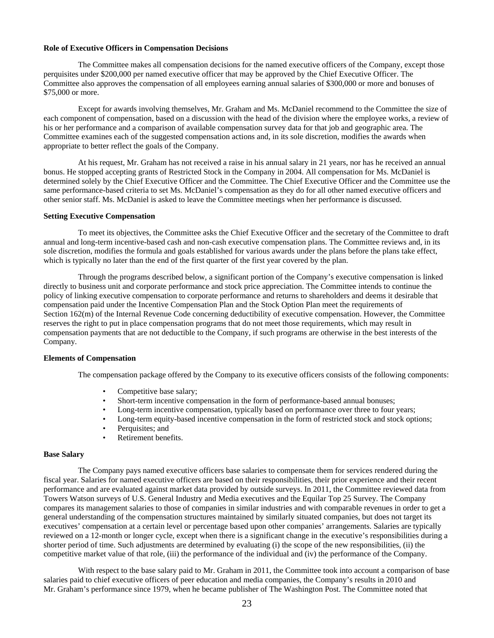### **Role of Executive Officers in Compensation Decisions**

The Committee makes all compensation decisions for the named executive officers of the Company, except those perquisites under \$200,000 per named executive officer that may be approved by the Chief Executive Officer. The Committee also approves the compensation of all employees earning annual salaries of \$300,000 or more and bonuses of \$75,000 or more.

Except for awards involving themselves, Mr. Graham and Ms. McDaniel recommend to the Committee the size of each component of compensation, based on a discussion with the head of the division where the employee works, a review of his or her performance and a comparison of available compensation survey data for that job and geographic area. The Committee examines each of the suggested compensation actions and, in its sole discretion, modifies the awards when appropriate to better reflect the goals of the Company.

At his request, Mr. Graham has not received a raise in his annual salary in 21 years, nor has he received an annual bonus. He stopped accepting grants of Restricted Stock in the Company in 2004. All compensation for Ms. McDaniel is determined solely by the Chief Executive Officer and the Committee. The Chief Executive Officer and the Committee use the same performance-based criteria to set Ms. McDaniel's compensation as they do for all other named executive officers and other senior staff. Ms. McDaniel is asked to leave the Committee meetings when her performance is discussed.

#### **Setting Executive Compensation**

To meet its objectives, the Committee asks the Chief Executive Officer and the secretary of the Committee to draft annual and long-term incentive-based cash and non-cash executive compensation plans. The Committee reviews and, in its sole discretion, modifies the formula and goals established for various awards under the plans before the plans take effect, which is typically no later than the end of the first quarter of the first year covered by the plan.

Through the programs described below, a significant portion of the Company's executive compensation is linked directly to business unit and corporate performance and stock price appreciation. The Committee intends to continue the policy of linking executive compensation to corporate performance and returns to shareholders and deems it desirable that compensation paid under the Incentive Compensation Plan and the Stock Option Plan meet the requirements of Section 162(m) of the Internal Revenue Code concerning deductibility of executive compensation. However, the Committee reserves the right to put in place compensation programs that do not meet those requirements, which may result in compensation payments that are not deductible to the Company, if such programs are otherwise in the best interests of the Company.

### **Elements of Compensation**

The compensation package offered by the Company to its executive officers consists of the following components:

- Competitive base salary;
- Short-term incentive compensation in the form of performance-based annual bonuses;
- Long-term incentive compensation, typically based on performance over three to four years;
- Long-term equity-based incentive compensation in the form of restricted stock and stock options;
- Perquisites; and
- Retirement benefits.

#### **Base Salary**

The Company pays named executive officers base salaries to compensate them for services rendered during the fiscal year. Salaries for named executive officers are based on their responsibilities, their prior experience and their recent performance and are evaluated against market data provided by outside surveys. In 2011, the Committee reviewed data from Towers Watson surveys of U.S. General Industry and Media executives and the Equilar Top 25 Survey. The Company compares its management salaries to those of companies in similar industries and with comparable revenues in order to get a general understanding of the compensation structures maintained by similarly situated companies, but does not target its executives' compensation at a certain level or percentage based upon other companies' arrangements. Salaries are typically reviewed on a 12-month or longer cycle, except when there is a significant change in the executive's responsibilities during a shorter period of time. Such adjustments are determined by evaluating (i) the scope of the new responsibilities, (ii) the competitive market value of that role, (iii) the performance of the individual and (iv) the performance of the Company.

With respect to the base salary paid to Mr. Graham in 2011, the Committee took into account a comparison of base salaries paid to chief executive officers of peer education and media companies, the Company's results in 2010 and Mr. Graham's performance since 1979, when he became publisher of The Washington Post. The Committee noted that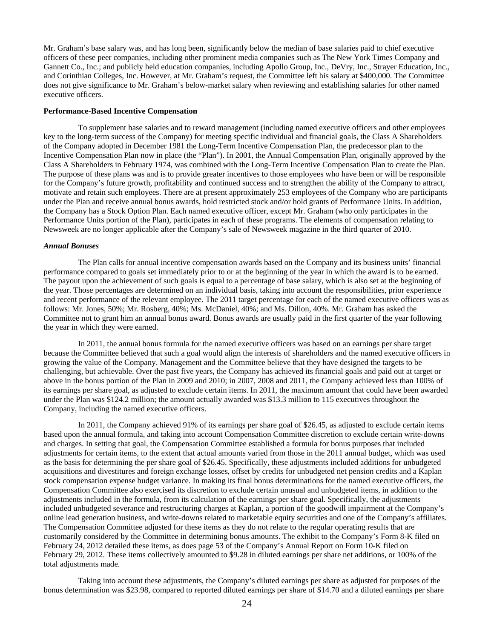Mr. Graham's base salary was, and has long been, significantly below the median of base salaries paid to chief executive officers of these peer companies, including other prominent media companies such as The New York Times Company and Gannett Co., Inc.; and publicly held education companies, including Apollo Group, Inc., DeVry, Inc., Strayer Education, Inc., and Corinthian Colleges, Inc. However, at Mr. Graham's request, the Committee left his salary at \$400,000. The Committee does not give significance to Mr. Graham's below-market salary when reviewing and establishing salaries for other named executive officers.

### **Performance-Based Incentive Compensation**

To supplement base salaries and to reward management (including named executive officers and other employees key to the long-term success of the Company) for meeting specific individual and financial goals, the Class A Shareholders of the Company adopted in December 1981 the Long-Term Incentive Compensation Plan, the predecessor plan to the Incentive Compensation Plan now in place (the "Plan"). In 2001, the Annual Compensation Plan, originally approved by the Class A Shareholders in February 1974, was combined with the Long-Term Incentive Compensation Plan to create the Plan. The purpose of these plans was and is to provide greater incentives to those employees who have been or will be responsible for the Company's future growth, profitability and continued success and to strengthen the ability of the Company to attract, motivate and retain such employees. There are at present approximately 253 employees of the Company who are participants under the Plan and receive annual bonus awards, hold restricted stock and/or hold grants of Performance Units. In addition, the Company has a Stock Option Plan. Each named executive officer, except Mr. Graham (who only participates in the Performance Units portion of the Plan), participates in each of these programs. The elements of compensation relating to Newsweek are no longer applicable after the Company's sale of Newsweek magazine in the third quarter of 2010.

#### *Annual Bonuses*

The Plan calls for annual incentive compensation awards based on the Company and its business units' financial performance compared to goals set immediately prior to or at the beginning of the year in which the award is to be earned. The payout upon the achievement of such goals is equal to a percentage of base salary, which is also set at the beginning of the year. Those percentages are determined on an individual basis, taking into account the responsibilities, prior experience and recent performance of the relevant employee. The 2011 target percentage for each of the named executive officers was as follows: Mr. Jones, 50%; Mr. Rosberg, 40%; Ms. McDaniel, 40%; and Ms. Dillon, 40%. Mr. Graham has asked the Committee not to grant him an annual bonus award. Bonus awards are usually paid in the first quarter of the year following the year in which they were earned.

In 2011, the annual bonus formula for the named executive officers was based on an earnings per share target because the Committee believed that such a goal would align the interests of shareholders and the named executive officers in growing the value of the Company. Management and the Committee believe that they have designed the targets to be challenging, but achievable. Over the past five years, the Company has achieved its financial goals and paid out at target or above in the bonus portion of the Plan in 2009 and 2010; in 2007, 2008 and 2011, the Company achieved less than 100% of its earnings per share goal, as adjusted to exclude certain items. In 2011, the maximum amount that could have been awarded under the Plan was \$124.2 million; the amount actually awarded was \$13.3 million to 115 executives throughout the Company, including the named executive officers.

In 2011, the Company achieved 91% of its earnings per share goal of \$26.45, as adjusted to exclude certain items based upon the annual formula, and taking into account Compensation Committee discretion to exclude certain write-downs and charges. In setting that goal, the Compensation Committee established a formula for bonus purposes that included adjustments for certain items, to the extent that actual amounts varied from those in the 2011 annual budget, which was used as the basis for determining the per share goal of \$26.45. Specifically, these adjustments included additions for unbudgeted acquisitions and divestitures and foreign exchange losses, offset by credits for unbudgeted net pension credits and a Kaplan stock compensation expense budget variance. In making its final bonus determinations for the named executive officers, the Compensation Committee also exercised its discretion to exclude certain unusual and unbudgeted items, in addition to the adjustments included in the formula, from its calculation of the earnings per share goal. Specifically, the adjustments included unbudgeted severance and restructuring charges at Kaplan, a portion of the goodwill impairment at the Company's online lead generation business, and write-downs related to marketable equity securities and one of the Company's affiliates. The Compensation Committee adjusted for these items as they do not relate to the regular operating results that are customarily considered by the Committee in determining bonus amounts. The exhibit to the Company's Form 8-K filed on February 24, 2012 detailed these items, as does page 53 of the Company's Annual Report on Form 10-K filed on February 29, 2012. These items collectively amounted to \$9.28 in diluted earnings per share net additions, or 100% of the total adjustments made.

Taking into account these adjustments, the Company's diluted earnings per share as adjusted for purposes of the bonus determination was \$23.98, compared to reported diluted earnings per share of \$14.70 and a diluted earnings per share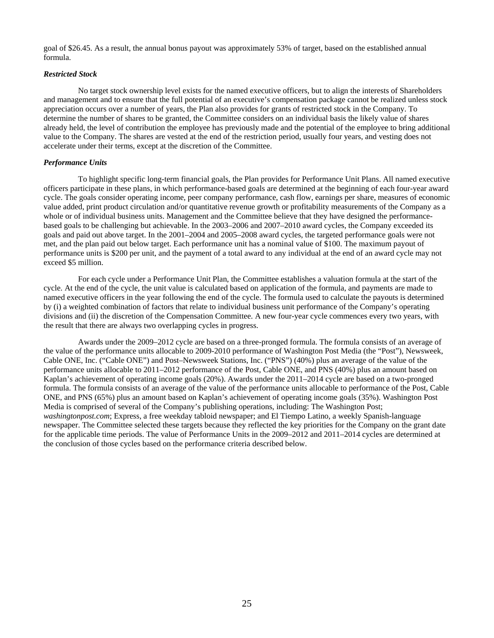goal of \$26.45. As a result, the annual bonus payout was approximately 53% of target, based on the established annual formula.

### *Restricted Stock*

No target stock ownership level exists for the named executive officers, but to align the interests of Shareholders and management and to ensure that the full potential of an executive's compensation package cannot be realized unless stock appreciation occurs over a number of years, the Plan also provides for grants of restricted stock in the Company. To determine the number of shares to be granted, the Committee considers on an individual basis the likely value of shares already held, the level of contribution the employee has previously made and the potential of the employee to bring additional value to the Company. The shares are vested at the end of the restriction period, usually four years, and vesting does not accelerate under their terms, except at the discretion of the Committee.

## *Performance Units*

To highlight specific long-term financial goals, the Plan provides for Performance Unit Plans. All named executive officers participate in these plans, in which performance-based goals are determined at the beginning of each four-year award cycle. The goals consider operating income, peer company performance, cash flow, earnings per share, measures of economic value added, print product circulation and/or quantitative revenue growth or profitability measurements of the Company as a whole or of individual business units. Management and the Committee believe that they have designed the performancebased goals to be challenging but achievable. In the 2003–2006 and 2007–2010 award cycles, the Company exceeded its goals and paid out above target. In the 2001–2004 and 2005–2008 award cycles, the targeted performance goals were not met, and the plan paid out below target. Each performance unit has a nominal value of \$100. The maximum payout of performance units is \$200 per unit, and the payment of a total award to any individual at the end of an award cycle may not exceed \$5 million.

For each cycle under a Performance Unit Plan, the Committee establishes a valuation formula at the start of the cycle. At the end of the cycle, the unit value is calculated based on application of the formula, and payments are made to named executive officers in the year following the end of the cycle. The formula used to calculate the payouts is determined by (i) a weighted combination of factors that relate to individual business unit performance of the Company's operating divisions and (ii) the discretion of the Compensation Committee. A new four-year cycle commences every two years, with the result that there are always two overlapping cycles in progress.

Awards under the 2009–2012 cycle are based on a three-pronged formula. The formula consists of an average of the value of the performance units allocable to 2009-2010 performance of Washington Post Media (the "Post"), Newsweek, Cable ONE, Inc. ("Cable ONE") and Post–Newsweek Stations, Inc. ("PNS") (40%) plus an average of the value of the performance units allocable to 2011–2012 performance of the Post, Cable ONE, and PNS (40%) plus an amount based on Kaplan's achievement of operating income goals (20%). Awards under the 2011–2014 cycle are based on a two-pronged formula. The formula consists of an average of the value of the performance units allocable to performance of the Post, Cable ONE, and PNS (65%) plus an amount based on Kaplan's achievement of operating income goals (35%). Washington Post Media is comprised of several of the Company's publishing operations, including: The Washington Post; *washingtonpost.com*; Express, a free weekday tabloid newspaper; and El Tiempo Latino, a weekly Spanish-language newspaper. The Committee selected these targets because they reflected the key priorities for the Company on the grant date for the applicable time periods. The value of Performance Units in the 2009–2012 and 2011–2014 cycles are determined at the conclusion of those cycles based on the performance criteria described below.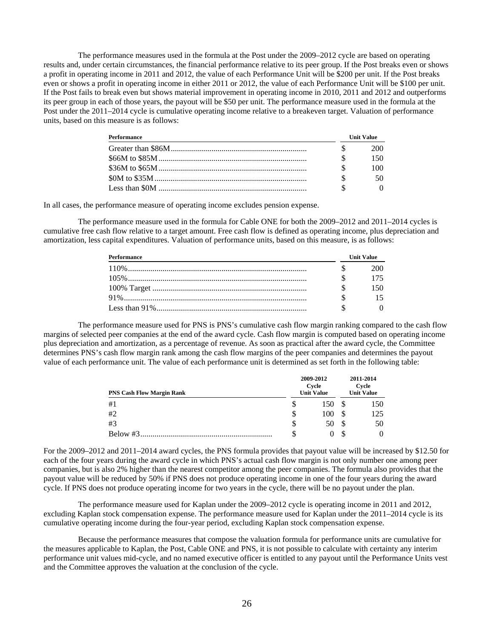The performance measures used in the formula at the Post under the 2009–2012 cycle are based on operating results and, under certain circumstances, the financial performance relative to its peer group. If the Post breaks even or shows a profit in operating income in 2011 and 2012, the value of each Performance Unit will be \$200 per unit. If the Post breaks even or shows a profit in operating income in either 2011 or 2012, the value of each Performance Unit will be \$100 per unit. If the Post fails to break even but shows material improvement in operating income in 2010, 2011 and 2012 and outperforms its peer group in each of those years, the payout will be \$50 per unit. The performance measure used in the formula at the Post under the 2011–2014 cycle is cumulative operating income relative to a breakeven target. Valuation of performance units, based on this measure is as follows:

| Performance | <b>Unit Value</b> |
|-------------|-------------------|
|             | 200               |
|             | 150.              |
|             | 100.              |
|             | 50.               |
|             |                   |

In all cases, the performance measure of operating income excludes pension expense.

The performance measure used in the formula for Cable ONE for both the 2009–2012 and 2011–2014 cycles is cumulative free cash flow relative to a target amount. Free cash flow is defined as operating income, plus depreciation and amortization, less capital expenditures. Valuation of performance units, based on this measure, is as follows:

| Performance | <b>Unit Value</b> |  |  |
|-------------|-------------------|--|--|
|             | 20O               |  |  |
|             |                   |  |  |
|             |                   |  |  |
|             |                   |  |  |
|             |                   |  |  |

The performance measure used for PNS is PNS's cumulative cash flow margin ranking compared to the cash flow margins of selected peer companies at the end of the award cycle. Cash flow margin is computed based on operating income plus depreciation and amortization, as a percentage of revenue. As soon as practical after the award cycle, the Committee determines PNS's cash flow margin rank among the cash flow margins of the peer companies and determines the payout value of each performance unit. The value of each performance unit is determined as set forth in the following table:

| <b>PNS Cash Flow Margin Rank</b> |   | 2009-2012<br>Cycle<br><b>Unit Value</b> | 2011-2014<br>Cycle<br><b>Unit Value</b> |     |  |
|----------------------------------|---|-----------------------------------------|-----------------------------------------|-----|--|
| #1                               |   | 150                                     |                                         | 150 |  |
| #2                               | S | 100                                     |                                         | 125 |  |
| #3                               | S | 50                                      |                                         | 50  |  |
| Below #3                         |   |                                         |                                         |     |  |

For the 2009–2012 and 2011–2014 award cycles, the PNS formula provides that payout value will be increased by \$12.50 for each of the four years during the award cycle in which PNS's actual cash flow margin is not only number one among peer companies, but is also 2% higher than the nearest competitor among the peer companies. The formula also provides that the payout value will be reduced by 50% if PNS does not produce operating income in one of the four years during the award cycle. If PNS does not produce operating income for two years in the cycle, there will be no payout under the plan.

The performance measure used for Kaplan under the 2009–2012 cycle is operating income in 2011 and 2012, excluding Kaplan stock compensation expense. The performance measure used for Kaplan under the 2011–2014 cycle is its cumulative operating income during the four-year period, excluding Kaplan stock compensation expense.

Because the performance measures that compose the valuation formula for performance units are cumulative for the measures applicable to Kaplan, the Post, Cable ONE and PNS, it is not possible to calculate with certainty any interim performance unit values mid-cycle, and no named executive officer is entitled to any payout until the Performance Units vest and the Committee approves the valuation at the conclusion of the cycle.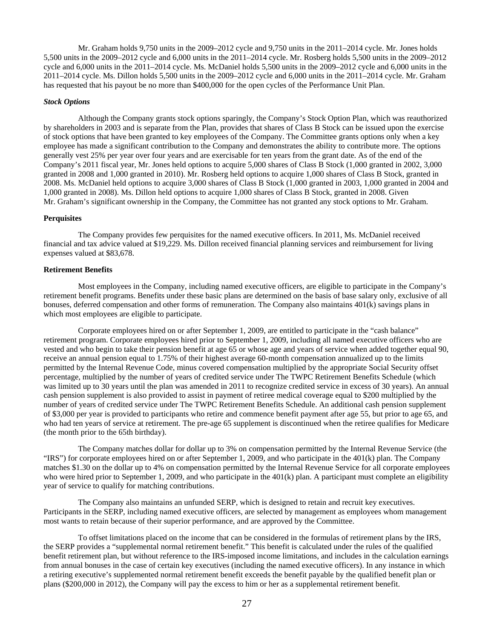Mr. Graham holds 9,750 units in the 2009–2012 cycle and 9,750 units in the 2011–2014 cycle. Mr. Jones holds 5,500 units in the 2009–2012 cycle and 6,000 units in the 2011–2014 cycle. Mr. Rosberg holds 5,500 units in the 2009–2012 cycle and 6,000 units in the 2011–2014 cycle. Ms. McDaniel holds 5,500 units in the 2009–2012 cycle and 6,000 units in the 2011–2014 cycle. Ms. Dillon holds 5,500 units in the 2009–2012 cycle and 6,000 units in the 2011–2014 cycle. Mr. Graham has requested that his payout be no more than \$400,000 for the open cycles of the Performance Unit Plan.

#### *Stock Options*

Although the Company grants stock options sparingly, the Company's Stock Option Plan, which was reauthorized by shareholders in 2003 and is separate from the Plan, provides that shares of Class B Stock can be issued upon the exercise of stock options that have been granted to key employees of the Company. The Committee grants options only when a key employee has made a significant contribution to the Company and demonstrates the ability to contribute more. The options generally vest 25% per year over four years and are exercisable for ten years from the grant date. As of the end of the Company's 2011 fiscal year, Mr. Jones held options to acquire 5,000 shares of Class B Stock (1,000 granted in 2002, 3,000 granted in 2008 and 1,000 granted in 2010). Mr. Rosberg held options to acquire 1,000 shares of Class B Stock, granted in 2008. Ms. McDaniel held options to acquire 3,000 shares of Class B Stock (1,000 granted in 2003, 1,000 granted in 2004 and 1,000 granted in 2008). Ms. Dillon held options to acquire 1,000 shares of Class B Stock, granted in 2008. Given Mr. Graham's significant ownership in the Company, the Committee has not granted any stock options to Mr. Graham.

### **Perquisites**

The Company provides few perquisites for the named executive officers. In 2011, Ms. McDaniel received financial and tax advice valued at \$19,229. Ms. Dillon received financial planning services and reimbursement for living expenses valued at \$83,678.

### **Retirement Benefits**

Most employees in the Company, including named executive officers, are eligible to participate in the Company's retirement benefit programs. Benefits under these basic plans are determined on the basis of base salary only, exclusive of all bonuses, deferred compensation and other forms of remuneration. The Company also maintains 401(k) savings plans in which most employees are eligible to participate.

Corporate employees hired on or after September 1, 2009, are entitled to participate in the "cash balance" retirement program. Corporate employees hired prior to September 1, 2009, including all named executive officers who are vested and who begin to take their pension benefit at age 65 or whose age and years of service when added together equal 90, receive an annual pension equal to 1.75% of their highest average 60-month compensation annualized up to the limits permitted by the Internal Revenue Code, minus covered compensation multiplied by the appropriate Social Security offset percentage, multiplied by the number of years of credited service under The TWPC Retirement Benefits Schedule (which was limited up to 30 years until the plan was amended in 2011 to recognize credited service in excess of 30 years). An annual cash pension supplement is also provided to assist in payment of retiree medical coverage equal to \$200 multiplied by the number of years of credited service under The TWPC Retirement Benefits Schedule. An additional cash pension supplement of \$3,000 per year is provided to participants who retire and commence benefit payment after age 55, but prior to age 65, and who had ten years of service at retirement. The pre-age 65 supplement is discontinued when the retiree qualifies for Medicare (the month prior to the 65th birthday).

The Company matches dollar for dollar up to 3% on compensation permitted by the Internal Revenue Service (the "IRS") for corporate employees hired on or after September 1, 2009, and who participate in the 401(k) plan. The Company matches \$1.30 on the dollar up to 4% on compensation permitted by the Internal Revenue Service for all corporate employees who were hired prior to September 1, 2009, and who participate in the 401(k) plan. A participant must complete an eligibility year of service to qualify for matching contributions.

The Company also maintains an unfunded SERP, which is designed to retain and recruit key executives. Participants in the SERP, including named executive officers, are selected by management as employees whom management most wants to retain because of their superior performance, and are approved by the Committee.

To offset limitations placed on the income that can be considered in the formulas of retirement plans by the IRS, the SERP provides a "supplemental normal retirement benefit." This benefit is calculated under the rules of the qualified benefit retirement plan, but without reference to the IRS-imposed income limitations, and includes in the calculation earnings from annual bonuses in the case of certain key executives (including the named executive officers). In any instance in which a retiring executive's supplemented normal retirement benefit exceeds the benefit payable by the qualified benefit plan or plans (\$200,000 in 2012), the Company will pay the excess to him or her as a supplemental retirement benefit.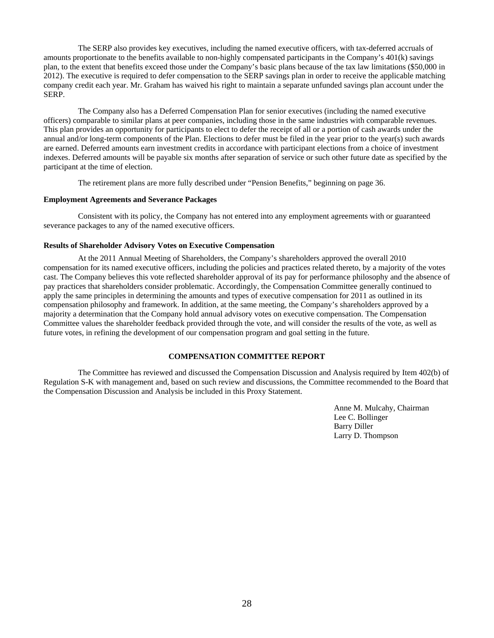The SERP also provides key executives, including the named executive officers, with tax-deferred accruals of amounts proportionate to the benefits available to non-highly compensated participants in the Company's 401(k) savings plan, to the extent that benefits exceed those under the Company's basic plans because of the tax law limitations (\$50,000 in 2012). The executive is required to defer compensation to the SERP savings plan in order to receive the applicable matching company credit each year. Mr. Graham has waived his right to maintain a separate unfunded savings plan account under the SERP.

The Company also has a Deferred Compensation Plan for senior executives (including the named executive officers) comparable to similar plans at peer companies, including those in the same industries with comparable revenues. This plan provides an opportunity for participants to elect to defer the receipt of all or a portion of cash awards under the annual and/or long-term components of the Plan. Elections to defer must be filed in the year prior to the year(s) such awards are earned. Deferred amounts earn investment credits in accordance with participant elections from a choice of investment indexes. Deferred amounts will be payable six months after separation of service or such other future date as specified by the participant at the time of election.

The retirement plans are more fully described under "Pension Benefits," beginning on page 36.

### **Employment Agreements and Severance Packages**

Consistent with its policy, the Company has not entered into any employment agreements with or guaranteed severance packages to any of the named executive officers.

### **Results of Shareholder Advisory Votes on Executive Compensation**

At the 2011 Annual Meeting of Shareholders, the Company's shareholders approved the overall 2010 compensation for its named executive officers, including the policies and practices related thereto, by a majority of the votes cast. The Company believes this vote reflected shareholder approval of its pay for performance philosophy and the absence of pay practices that shareholders consider problematic. Accordingly, the Compensation Committee generally continued to apply the same principles in determining the amounts and types of executive compensation for 2011 as outlined in its compensation philosophy and framework. In addition, at the same meeting, the Company's shareholders approved by a majority a determination that the Company hold annual advisory votes on executive compensation. The Compensation Committee values the shareholder feedback provided through the vote, and will consider the results of the vote, as well as future votes, in refining the development of our compensation program and goal setting in the future.

# **COMPENSATION COMMITTEE REPORT**

The Committee has reviewed and discussed the Compensation Discussion and Analysis required by Item 402(b) of Regulation S-K with management and, based on such review and discussions, the Committee recommended to the Board that the Compensation Discussion and Analysis be included in this Proxy Statement.

> Anne M. Mulcahy, Chairman Lee C. Bollinger Barry Diller Larry D. Thompson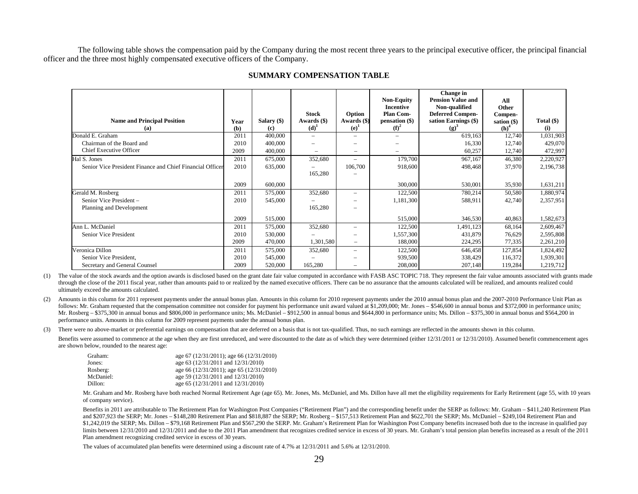The following table shows the compensation paid by the Company during the most recent three years to the principal executive officer, the principal financial officer and the three most highly compensated executive officers of the Company.

| <b>Name and Principal Position</b><br>(a)                 | Year<br>(b) | Salary $(\$)$<br>(c) | Stock<br>Awards (\$)<br>$(d)^1$ | Option<br>Awards (\$)<br>(e) | <b>Non-Equity</b><br><b>Incentive</b><br><b>Plan Com-</b><br>pensation (\$)<br>(f) <sup>2</sup> | Change in<br><b>Pension Value and</b><br>Non-qualified<br><b>Deferred Compen-</b><br>sation Earnings (\$)<br>$(g)^3$ | All<br>Other<br>Compen-<br>sation $(\$)$<br>(h) | Total $(\$)$<br>(i) |
|-----------------------------------------------------------|-------------|----------------------|---------------------------------|------------------------------|-------------------------------------------------------------------------------------------------|----------------------------------------------------------------------------------------------------------------------|-------------------------------------------------|---------------------|
| Donald E. Graham                                          | 2011        | 400,000              | $\qquad \qquad =$               |                              | $\qquad \qquad =$                                                                               | 619,163                                                                                                              | 12,740                                          | 1,031,903           |
| Chairman of the Board and                                 | 2010        | 400,000              |                                 |                              | $\overline{\phantom{0}}$                                                                        | 16,330                                                                                                               | 12,740                                          | 429,070             |
| <b>Chief Executive Officer</b>                            | 2009        | 400,000              |                                 |                              | $\overline{\phantom{0}}$                                                                        | 60,257                                                                                                               | 12,740                                          | 472,997             |
| Hal S. Jones                                              | 2011        | 675,000              | 352,680                         | -                            | 179,700                                                                                         | 967,167                                                                                                              | 46,380                                          | 2,220,927           |
| Senior Vice President Finance and Chief Financial Officer | 2010        | 635,000              |                                 | 106,700                      | 918,600                                                                                         | 498,468                                                                                                              | 37,970                                          | 2,196,738           |
|                                                           |             |                      | 165,280                         |                              |                                                                                                 |                                                                                                                      |                                                 |                     |
|                                                           | 2009        | 600,000              |                                 |                              | 300,000                                                                                         | 530,001                                                                                                              | 35,930                                          | 1,631,211           |
| Gerald M. Rosberg                                         | 2011        | 575,000              | 352,680                         | –                            | 122,500                                                                                         | 780,214                                                                                                              | 50,580                                          | 1,880,974           |
| Senior Vice President -                                   | 2010        | 545,000              |                                 |                              | 1,181,300                                                                                       | 588,911                                                                                                              | 42,740                                          | 2,357,951           |
| Planning and Development                                  |             |                      | 165,280                         |                              |                                                                                                 |                                                                                                                      |                                                 |                     |
|                                                           | 2009        | 515,000              |                                 |                              | 515,000                                                                                         | 346,530                                                                                                              | 40,863                                          | 1,582,673           |
| Ann L. McDaniel                                           | 2011        | 575,000              | 352,680                         |                              | 122,500                                                                                         | 1,491,123                                                                                                            | 68,164                                          | 2,609,467           |
| Senior Vice President                                     | 2010        | 530,000              |                                 |                              | 1,557,300                                                                                       | 431,879                                                                                                              | 76,629                                          | 2,595,808           |
|                                                           | 2009        | 470,000              | 1,301,580                       |                              | 188,000                                                                                         | 224,295                                                                                                              | 77,335                                          | 2,261,210           |
| Veronica Dillon                                           | 2011        | 575,000              | 352,680                         |                              | 122,500                                                                                         | 646,458                                                                                                              | 127,854                                         | 1,824,492           |
| Senior Vice President,                                    | 2010        | 545,000              |                                 |                              | 939,500                                                                                         | 338,429                                                                                                              | 116,372                                         | 1,939,301           |
| Secretary and General Counsel                             | 2009        | 520,000              | 165,280                         |                              | 208,000                                                                                         | 207,148                                                                                                              | 119,284                                         | 1,219,712           |

#### **SUMMARY COMPENSATION TABLE**

(1) The value of the stock awards and the option awards is disclosed based on the grant date fair value computed in accordance with FASB ASC TOPIC 718. They represent the fair value amounts associated with grants made through the close of the 2011 fiscal year, rather than amounts paid to or realized by the named executive officers. There can be no assurance that the amounts calculated will be realized, and amounts realized could ultimately exceed the amounts calculated.

(2) Amounts in this column for 2011 represent payments under the annual bonus plan. Amounts in this column for 2010 represent payments under the 2010 annual bonus plan and the 2007-2010 Performance Unit Plan as follows: Mr. Graham requested that the compensation committee not consider for payment his performance unit award valued at \$1,209,000; Mr. Jones – \$546,600 in annual bonus and \$372,000 in performance units; Mr. Rosberg – \$375,300 in annual bonus and \$806,000 in performance units; Ms. McDaniel – \$912,500 in annual bonus and \$644,800 in performance units; Ms. Dillon – \$375,300 in annual bonus and \$564,200 in performance units. Amounts in this column for 2009 represent payments under the annual bonus plan.

(3) There were no above-market or preferential earnings on compensation that are deferred on a basis that is not tax-qualified. Thus, no such earnings are reflected in the amounts shown in this column.

Benefits were assumed to commence at the age when they are first unreduced, and were discounted to the date as of which they were determined (either 12/31/2011 or 12/31/2010). Assumed benefit commencement ages are shown below, rounded to the nearest age:

| Graham:   | age 67 (12/31/2011); age 66 (12/31/2010) |
|-----------|------------------------------------------|
| Jones:    | age 63 (12/31/2011 and 12/31/2010)       |
| Rosberg:  | age 66 (12/31/2011); age 65 (12/31/2010) |
| McDaniel: | age 59 (12/31/2011 and 12/31/2010)       |
| Dillon:   | age 65 (12/31/2011 and 12/31/2010)       |

 Mr. Graham and Mr. Rosberg have both reached Normal Retirement Age (age 65). Mr. Jones, Ms. McDaniel, and Ms. Dillon have all met the eligibility requirements for Early Retirement (age 55, with 10 years of company service).

Benefits in 2011 are attributable to The Retirement Plan for Washington Post Companies ("Retirement Plan") and the corresponding benefit under the SERP as follows: Mr. Graham – \$411,240 Retirement Plan and \$207,923 the SERP; Mr. Jones – \$148,280 Retirement Plan and \$818,887 the SERP; Mr. Rosberg – \$157,513 Retirement Plan and \$622,701 the SERP; Ms. McDaniel – \$249,104 Retirement Plan and \$1,242,019 the SERP; Ms. Dillon – \$79,168 Retirement Plan and \$567,290 the SERP. Mr. Graham's Retirement Plan for Washington Post Company benefits increased both due to the increase in qualified pay limits between 12/31/2010 and 12/31/2011 and due to the 2011 Plan amendment that recognizes credited service in excess of 30 years. Mr. Graham's total pension plan benefits increased as a result of the 2011 Plan amendment recognizing credited service in excess of 30 years.

The values of accumulated plan benefits were determined using a discount rate of 4.7% at 12/31/2011 and 5.6% at 12/31/2010.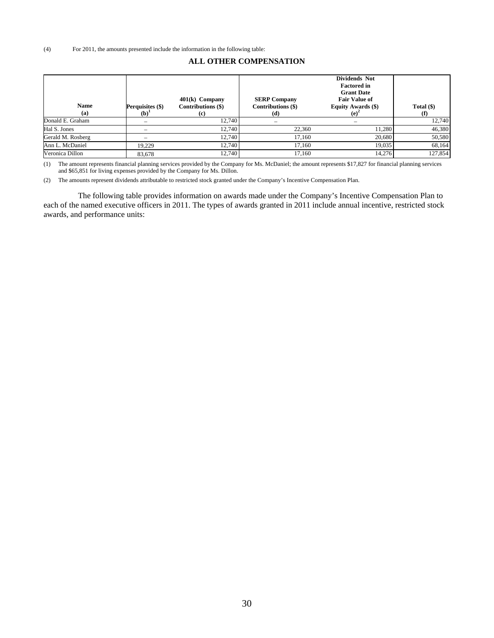### **ALL OTHER COMPENSATION**

| <b>Name</b><br>(a) | Perquisites (\$)<br>$(b)^1$ | $401(k)$ Company<br>Contributions (\$)<br>(c) | <b>SERP Company</b><br>Contributions (\$)<br>(d) | Dividends Not<br><b>Factored in</b><br><b>Grant Date</b><br><b>Fair Value of</b><br>Equity Awards (\$)<br>$(e)^2$ | Total $(\$)$<br>(f) |
|--------------------|-----------------------------|-----------------------------------------------|--------------------------------------------------|-------------------------------------------------------------------------------------------------------------------|---------------------|
| Donald E. Graham   | $\equiv$                    | 12,740                                        |                                                  | $\equiv$                                                                                                          | 12,740              |
| Hal S. Jones       | -                           | 12.740                                        | 22,360                                           | 11.280                                                                                                            | 46,380              |
| Gerald M. Rosberg  | -                           | 12.740                                        | 17,160                                           | 20.680                                                                                                            | 50,580              |
| Ann L. McDaniel    | 19.229                      | 12.740                                        | 17.160                                           | 19,035                                                                                                            | 68,164              |
| Veronica Dillon    | 83.678                      | 12.740                                        | 17.160                                           | 14.276                                                                                                            | 127.854             |

(1) The amount represents financial planning services provided by the Company for Ms. McDaniel; the amount represents \$17,827 for financial planning services and \$65,851 for living expenses provided by the Company for Ms. Dillon.

(2) The amounts represent dividends attributable to restricted stock granted under the Company's Incentive Compensation Plan.

The following table provides information on awards made under the Company's Incentive Compensation Plan to each of the named executive officers in 2011. The types of awards granted in 2011 include annual incentive, restricted stock awards, and performance units: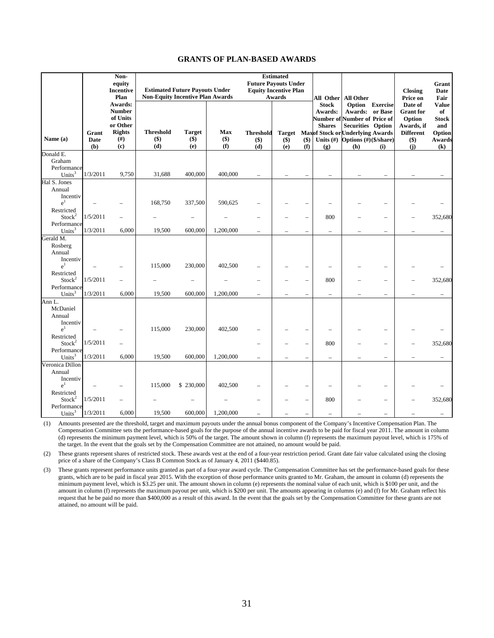# **GRANTS OF PLAN-BASED AWARDS**

|                                            | Non-<br>equity<br><b>Incentive</b><br>Plan |                                                                                  |                                   | <b>Estimated Future Payouts Under</b><br><b>Non-Equity Incentive Plan Awards</b> |                     | <b>Future Payouts Under</b><br><b>Equity Incentive Plan</b> | <b>Estimated</b><br>Awards |                          |                                                                                                                                   | All Other All Other                                                                                              |                          | <b>Closing</b><br>Price on                                                                | Grant<br>Date<br>Fair                                                                       |
|--------------------------------------------|--------------------------------------------|----------------------------------------------------------------------------------|-----------------------------------|----------------------------------------------------------------------------------|---------------------|-------------------------------------------------------------|----------------------------|--------------------------|-----------------------------------------------------------------------------------------------------------------------------------|------------------------------------------------------------------------------------------------------------------|--------------------------|-------------------------------------------------------------------------------------------|---------------------------------------------------------------------------------------------|
| Name (a)                                   | Grant<br>Date<br>(b)                       | Awards:<br><b>Number</b><br>of Units<br>or Other<br><b>Rights</b><br>(f#)<br>(c) | <b>Threshold</b><br>$($ \$<br>(d) | <b>Target</b><br>$($)$<br>(e)                                                    | Max<br>$($)$<br>(f) | <b>Threshold</b><br>$($ \$ $)$<br>(d)                       | $(\$)$<br>(e)              | $($)$<br>(f)             | <b>Stock</b><br>Awards:<br>Number of Number of Price of<br><b>Shares</b><br><b>Target</b> Maxof Stock or Underlying Awards<br>(g) | Awards: or Base<br><b>Securities</b> Option<br>Units $(\#)$ Options $(\#)(\frac{6}{\text{share}})$<br><b>(h)</b> | Option Exercise<br>(i)   | Date of<br><b>Grant</b> for<br>Option<br>Awards, if<br><b>Different</b><br>$($ \$)<br>(j) | <b>Value</b><br>of<br><b>Stock</b><br>and<br>Option<br>Awards<br>$\left( \mathbf{k}\right)$ |
| Donald E.<br>Graham                        |                                            |                                                                                  |                                   |                                                                                  |                     |                                                             |                            |                          |                                                                                                                                   |                                                                                                                  |                          |                                                                                           |                                                                                             |
| Performance<br>Units <sup>3</sup>          | 1/3/2011                                   | 9,750                                                                            | 31,688                            | 400,000                                                                          | 400,000             | ÷                                                           |                            | L                        |                                                                                                                                   |                                                                                                                  |                          |                                                                                           |                                                                                             |
| Hal S. Jones<br>Annual                     |                                            |                                                                                  |                                   |                                                                                  |                     |                                                             |                            |                          |                                                                                                                                   |                                                                                                                  |                          |                                                                                           |                                                                                             |
| Incentiv<br>e <sup>1</sup><br>Restricted   |                                            |                                                                                  | 168,750                           | 337,500                                                                          | 590,625             |                                                             |                            |                          |                                                                                                                                   |                                                                                                                  |                          |                                                                                           |                                                                                             |
| Stock <sup>2</sup>                         | 1/5/2011                                   |                                                                                  |                                   |                                                                                  |                     |                                                             |                            | $\overline{\phantom{0}}$ | 800                                                                                                                               |                                                                                                                  |                          |                                                                                           | 352,680                                                                                     |
| Performance<br>Units $3$                   | 1/3/2011                                   | 6,000                                                                            | 19,500                            | 600,000                                                                          | 1,200,000           |                                                             |                            | $\overline{\phantom{0}}$ |                                                                                                                                   |                                                                                                                  |                          |                                                                                           |                                                                                             |
| Gerald M.<br>Rosberg<br>Annual<br>Incentiv |                                            |                                                                                  |                                   |                                                                                  |                     |                                                             |                            |                          |                                                                                                                                   |                                                                                                                  |                          |                                                                                           |                                                                                             |
| e <sup>1</sup>                             |                                            |                                                                                  | 115,000                           | 230,000                                                                          | 402,500             |                                                             |                            |                          |                                                                                                                                   |                                                                                                                  |                          |                                                                                           |                                                                                             |
| Restricted<br>Stock <sup>2</sup>           | 1/5/2011                                   |                                                                                  |                                   |                                                                                  |                     |                                                             |                            | $\overline{\phantom{0}}$ | 800                                                                                                                               |                                                                                                                  |                          |                                                                                           | 352,680                                                                                     |
| Performance<br>Units $3$                   | 1/3/2011                                   | 6,000                                                                            | 19,500                            | 600,000                                                                          | 1,200,000           | $\equiv$                                                    |                            | $\equiv$                 | $\overline{\phantom{0}}$                                                                                                          |                                                                                                                  | $\overline{\phantom{0}}$ |                                                                                           |                                                                                             |
| Ann L.<br>McDaniel<br>Annual<br>Incentiv   |                                            |                                                                                  |                                   |                                                                                  |                     |                                                             |                            |                          |                                                                                                                                   |                                                                                                                  |                          |                                                                                           |                                                                                             |
| $e^1$<br>Restricted                        |                                            |                                                                                  | 115,000                           | 230,000                                                                          | 402,500             |                                                             |                            |                          |                                                                                                                                   |                                                                                                                  |                          |                                                                                           |                                                                                             |
| Stock <sup>2</sup>                         | 1/5/2011                                   |                                                                                  |                                   |                                                                                  |                     |                                                             |                            | $\overline{\phantom{0}}$ | 800                                                                                                                               |                                                                                                                  |                          |                                                                                           | 352,680                                                                                     |
| Performance<br>Units <sup>3</sup>          | 1/3/2011                                   | 6,000                                                                            | 19,500                            | 600,000                                                                          | 1,200,000           | $\equiv$                                                    |                            |                          | $\overline{\phantom{0}}$                                                                                                          |                                                                                                                  | ÷                        |                                                                                           |                                                                                             |
| Veronica Dillon<br>Annual<br>Incentiv      |                                            |                                                                                  |                                   |                                                                                  |                     |                                                             |                            |                          |                                                                                                                                   |                                                                                                                  |                          |                                                                                           |                                                                                             |
| e <sup>1</sup>                             |                                            |                                                                                  | 115,000                           | \$230,000                                                                        | 402,500             |                                                             |                            |                          |                                                                                                                                   |                                                                                                                  |                          |                                                                                           |                                                                                             |
| Restricted<br>Stock <sup>2</sup>           | 1/5/2011                                   |                                                                                  |                                   |                                                                                  |                     |                                                             |                            | $\overline{\phantom{0}}$ | 800                                                                                                                               |                                                                                                                  |                          |                                                                                           | 352,680                                                                                     |
| Performance<br>Units $3$                   | 1/3/2011                                   | 6,000                                                                            | 19,500                            | 600,000                                                                          | 1,200,000           |                                                             |                            |                          |                                                                                                                                   |                                                                                                                  |                          |                                                                                           |                                                                                             |

(1) Amounts presented are the threshold, target and maximum payouts under the annual bonus component of the Company's Incentive Compensation Plan. The Compensation Committee sets the performance-based goals for the purpose of the annual incentive awards to be paid for fiscal year 2011. The amount in column (d) represents the minimum payment level, which is 50% of the target. The amount shown in column (f) represents the maximum payout level, which is 175% of the target. In the event that the goals set by the Compensation Committee are not attained, no amount would be paid.

(2) These grants represent shares of restricted stock. These awards vest at the end of a four-year restriction period. Grant date fair value calculated using the closing price of a share of the Company's Class B Common Stock as of January 4, 2011 (\$440.85).

(3) These grants represent performance units granted as part of a four-year award cycle. The Compensation Committee has set the performance-based goals for these grants, which are to be paid in fiscal year 2015. With the exception of those performance units granted to Mr. Graham, the amount in column (d) represents the minimum payment level, which is \$3.25 per unit. The amount shown in column (e) represents the nominal value of each unit, which is \$100 per unit, and the amount in column (f) represents the maximum payout per unit, which is \$200 per unit. The amounts appearing in columns (e) and (f) for Mr. Graham reflect his request that he be paid no more than \$400,000 as a result of this award. In the event that the goals set by the Compensation Committee for these grants are not attained, no amount will be paid.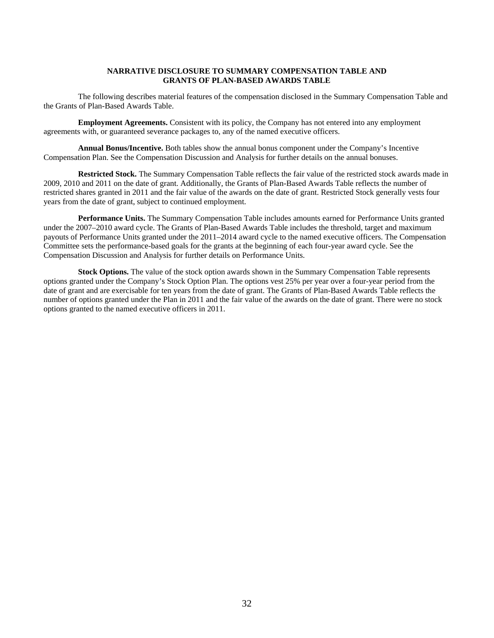# **NARRATIVE DISCLOSURE TO SUMMARY COMPENSATION TABLE AND GRANTS OF PLAN-BASED AWARDS TABLE**

The following describes material features of the compensation disclosed in the Summary Compensation Table and the Grants of Plan-Based Awards Table.

**Employment Agreements.** Consistent with its policy, the Company has not entered into any employment agreements with, or guaranteed severance packages to, any of the named executive officers.

**Annual Bonus/Incentive.** Both tables show the annual bonus component under the Company's Incentive Compensation Plan. See the Compensation Discussion and Analysis for further details on the annual bonuses.

**Restricted Stock.** The Summary Compensation Table reflects the fair value of the restricted stock awards made in 2009, 2010 and 2011 on the date of grant. Additionally, the Grants of Plan-Based Awards Table reflects the number of restricted shares granted in 2011 and the fair value of the awards on the date of grant. Restricted Stock generally vests four years from the date of grant, subject to continued employment.

**Performance Units.** The Summary Compensation Table includes amounts earned for Performance Units granted under the 2007–2010 award cycle. The Grants of Plan-Based Awards Table includes the threshold, target and maximum payouts of Performance Units granted under the 2011–2014 award cycle to the named executive officers. The Compensation Committee sets the performance-based goals for the grants at the beginning of each four-year award cycle. See the Compensation Discussion and Analysis for further details on Performance Units.

**Stock Options.** The value of the stock option awards shown in the Summary Compensation Table represents options granted under the Company's Stock Option Plan. The options vest 25% per year over a four-year period from the date of grant and are exercisable for ten years from the date of grant. The Grants of Plan-Based Awards Table reflects the number of options granted under the Plan in 2011 and the fair value of the awards on the date of grant. There were no stock options granted to the named executive officers in 2011.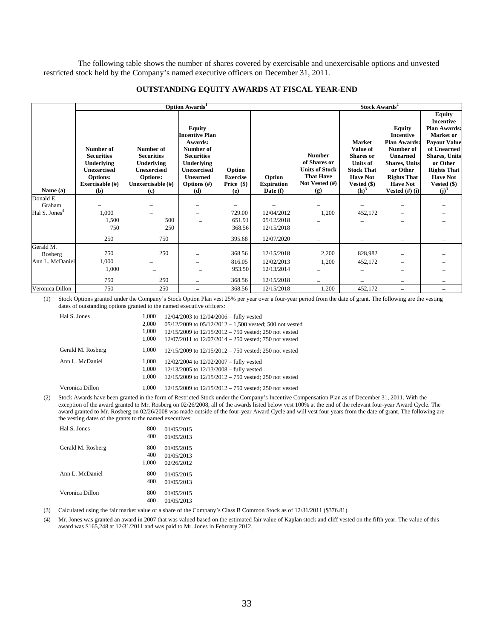The following table shows the number of shares covered by exercisable and unexercisable options and unvested restricted stock held by the Company's named executive officers on December 31, 2011.

### **OUTSTANDING EQUITY AWARDS AT FISCAL YEAR-END**

|                           |                                        |                                        | Option Awards <sup>1</sup>                        |                     | Stock Awards <sup>2</sup>       |                       |                                     |                                                          |                                                                                              |
|---------------------------|----------------------------------------|----------------------------------------|---------------------------------------------------|---------------------|---------------------------------|-----------------------|-------------------------------------|----------------------------------------------------------|----------------------------------------------------------------------------------------------|
|                           |                                        |                                        | <b>Equity</b><br><b>Incentive Plan</b><br>Awards: |                     |                                 |                       | <b>Market</b>                       | <b>Equity</b><br><b>Incentive</b><br><b>Plan Awards:</b> | <b>Equity</b><br><b>Incentive</b><br><b>Plan Awards:</b><br>Market or<br><b>Payout Value</b> |
|                           | Number of                              | Number of                              | Number of                                         |                     |                                 | <b>Number</b>         | Value of                            | Number of                                                | of Unearned                                                                                  |
|                           | <b>Securities</b><br><b>Underlying</b> | <b>Securities</b><br><b>Underlying</b> | <b>Securities</b><br>Underlying                   |                     |                                 | of Shares or          | <b>Shares</b> or<br><b>Units of</b> | <b>Unearned</b><br><b>Shares, Units</b>                  | <b>Shares</b> , Units<br>or Other                                                            |
|                           | <b>Unexercised</b>                     | <b>Unexercised</b>                     | <b>Unexercised</b>                                | Option              |                                 | <b>Units of Stock</b> | <b>Stock That</b>                   | or Other                                                 | <b>Rights That</b>                                                                           |
|                           | <b>Options:</b>                        | <b>Options:</b>                        | <b>Unearned</b>                                   | <b>Exercise</b>     | Option                          | <b>That Have</b>      | <b>Have Not</b>                     | <b>Rights That</b>                                       | <b>Have Not</b>                                                                              |
| Name (a)                  | Exercisable (#)<br>(b)                 | Unexercisable (#)<br>(c)               | Options $(\#)$<br>(d)                             | Price $(\$)$<br>(e) | <b>Expiration</b><br>Date $(f)$ | Not Vested (#)<br>(g) | Vested $(\$)$<br>(h) <sup>3</sup>   | <b>Have Not</b><br>Vested $(\#)$ (i)                     | Vested (\$)<br>$(i)^3$                                                                       |
| Donald E.                 |                                        |                                        |                                                   |                     |                                 |                       |                                     |                                                          |                                                                                              |
| Graham                    |                                        |                                        |                                                   |                     |                                 |                       |                                     |                                                          |                                                                                              |
| Hal S. Jones <sup>4</sup> | 1,000                                  |                                        |                                                   | 729.00              | 12/04/2012                      | 1,200                 | 452,172                             |                                                          |                                                                                              |
|                           | 1,500                                  | 500                                    |                                                   | 651.91              | 05/12/2018                      |                       |                                     |                                                          |                                                                                              |
|                           | 750                                    | 250                                    |                                                   | 368.56              | 12/15/2018                      |                       |                                     |                                                          |                                                                                              |
|                           | 250                                    | 750                                    |                                                   | 395.68              | 12/07/2020                      |                       |                                     |                                                          |                                                                                              |
| Gerald M.                 |                                        |                                        |                                                   |                     |                                 |                       |                                     |                                                          |                                                                                              |
| Rosberg                   | 750                                    | 250                                    |                                                   | 368.56              | 12/15/2018                      | 2,200                 | 828,982                             |                                                          |                                                                                              |
| Ann L. McDaniel           | 1,000                                  |                                        |                                                   | 816.05              | 12/02/2013                      | 1,200                 | 452,172                             |                                                          |                                                                                              |
|                           | 1,000                                  |                                        |                                                   | 953.50              | 12/13/2014                      |                       |                                     |                                                          |                                                                                              |
|                           | 750                                    | 250                                    |                                                   | 368.56              | 12/15/2018                      |                       |                                     |                                                          |                                                                                              |
| Veronica Dillon           | 750                                    | 250                                    |                                                   | 368.56              | 12/15/2018                      | 1,200                 | 452,172                             | $\equiv$                                                 |                                                                                              |

(1) Stock Options granted under the Company's Stock Option Plan vest 25% per year over a four-year period from the date of grant. The following are the vesting dates of outstanding options granted to the named executive officers:

| Hal S. Jones      | 1,000 | $12/04/2003$ to $12/04/2006$ – fully vested                 |
|-------------------|-------|-------------------------------------------------------------|
|                   | 2,000 | $05/12/2009$ to $05/12/2012 - 1,500$ vested; 500 not vested |
|                   | 1,000 | $12/15/2009$ to $12/15/2012 - 750$ vested; 250 not vested   |
|                   | 1,000 | $12/07/2011$ to $12/07/2014 - 250$ vested; 750 not vested   |
| Gerald M. Rosberg | 1.000 | $12/15/2009$ to $12/15/2012 - 750$ vested; 250 not vested   |
| Ann L. McDaniel   | 1,000 | $12/02/2004$ to $12/02/2007$ – fully vested                 |
|                   | 1,000 | 12/13/2005 to 12/13/2008 - fully vested                     |
|                   | 1,000 | $12/15/2009$ to $12/15/2012 - 750$ vested; 250 not vested   |
| Veronica Dillon   | 1.000 | $12/15/2009$ to $12/15/2012 - 750$ vested; 250 not vested   |

(2) Stock Awards have been granted in the form of Restricted Stock under the Company's Incentive Compensation Plan as of December 31, 2011. With the exception of the award granted to Mr. Rosberg on 02/26/2008, all of the awards listed below vest 100% at the end of the relevant four-year Award Cycle. The award granted to Mr. Rosberg on 02/26/2008 was made outside of the four-year Award Cycle and will vest four years from the date of grant. The following are the vesting dates of the grants to the named executives:

| Hal S. Jones      | 800<br>400          | 01/05/2015<br>01/05/2013               |
|-------------------|---------------------|----------------------------------------|
| Gerald M. Rosberg | 800<br>400<br>1,000 | 01/05/2015<br>01/05/2013<br>02/26/2012 |
| Ann L. McDaniel   | 800<br>400          | 01/05/2015<br>01/05/2013               |
| Veronica Dillon   | 800<br>400          | 01/05/2015<br>01/05/2013               |

(3) Calculated using the fair market value of a share of the Company's Class B Common Stock as of 12/31/2011 (\$376.81).

(4) Mr. Jones was granted an award in 2007 that was valued based on the estimated fair value of Kaplan stock and cliff vested on the fifth year. The value of this award was \$165,248 at 12/31/2011 and was paid to Mr. Jones in February 2012.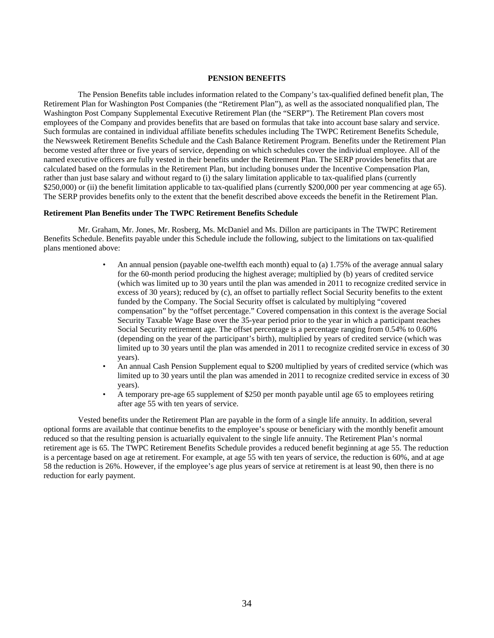#### **PENSION BENEFITS**

The Pension Benefits table includes information related to the Company's tax-qualified defined benefit plan, The Retirement Plan for Washington Post Companies (the "Retirement Plan"), as well as the associated nonqualified plan, The Washington Post Company Supplemental Executive Retirement Plan (the "SERP"). The Retirement Plan covers most employees of the Company and provides benefits that are based on formulas that take into account base salary and service. Such formulas are contained in individual affiliate benefits schedules including The TWPC Retirement Benefits Schedule, the Newsweek Retirement Benefits Schedule and the Cash Balance Retirement Program. Benefits under the Retirement Plan become vested after three or five years of service, depending on which schedules cover the individual employee. All of the named executive officers are fully vested in their benefits under the Retirement Plan. The SERP provides benefits that are calculated based on the formulas in the Retirement Plan, but including bonuses under the Incentive Compensation Plan, rather than just base salary and without regard to (i) the salary limitation applicable to tax-qualified plans (currently \$250,000) or (ii) the benefit limitation applicable to tax-qualified plans (currently \$200,000 per year commencing at age 65). The SERP provides benefits only to the extent that the benefit described above exceeds the benefit in the Retirement Plan.

### **Retirement Plan Benefits under The TWPC Retirement Benefits Schedule**

Mr. Graham, Mr. Jones, Mr. Rosberg, Ms. McDaniel and Ms. Dillon are participants in The TWPC Retirement Benefits Schedule. Benefits payable under this Schedule include the following, subject to the limitations on tax-qualified plans mentioned above:

- An annual pension (payable one-twelfth each month) equal to (a) 1.75% of the average annual salary for the 60-month period producing the highest average; multiplied by (b) years of credited service (which was limited up to 30 years until the plan was amended in 2011 to recognize credited service in excess of 30 years); reduced by (c), an offset to partially reflect Social Security benefits to the extent funded by the Company. The Social Security offset is calculated by multiplying "covered compensation" by the "offset percentage." Covered compensation in this context is the average Social Security Taxable Wage Base over the 35-year period prior to the year in which a participant reaches Social Security retirement age. The offset percentage is a percentage ranging from 0.54% to 0.60% (depending on the year of the participant's birth), multiplied by years of credited service (which was limited up to 30 years until the plan was amended in 2011 to recognize credited service in excess of 30 years).
- An annual Cash Pension Supplement equal to \$200 multiplied by years of credited service (which was limited up to 30 years until the plan was amended in 2011 to recognize credited service in excess of 30 years).
- A temporary pre-age 65 supplement of \$250 per month payable until age 65 to employees retiring after age 55 with ten years of service.

Vested benefits under the Retirement Plan are payable in the form of a single life annuity. In addition, several optional forms are available that continue benefits to the employee's spouse or beneficiary with the monthly benefit amount reduced so that the resulting pension is actuarially equivalent to the single life annuity. The Retirement Plan's normal retirement age is 65. The TWPC Retirement Benefits Schedule provides a reduced benefit beginning at age 55. The reduction is a percentage based on age at retirement. For example, at age 55 with ten years of service, the reduction is 60%, and at age 58 the reduction is 26%. However, if the employee's age plus years of service at retirement is at least 90, then there is no reduction for early payment.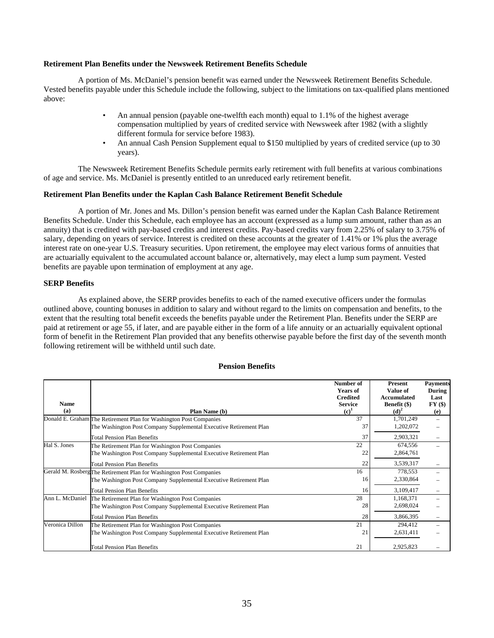### **Retirement Plan Benefits under the Newsweek Retirement Benefits Schedule**

A portion of Ms. McDaniel's pension benefit was earned under the Newsweek Retirement Benefits Schedule. Vested benefits payable under this Schedule include the following, subject to the limitations on tax-qualified plans mentioned above:

- An annual pension (payable one-twelfth each month) equal to 1.1% of the highest average compensation multiplied by years of credited service with Newsweek after 1982 (with a slightly different formula for service before 1983).
- An annual Cash Pension Supplement equal to \$150 multiplied by years of credited service (up to 30 years).

The Newsweek Retirement Benefits Schedule permits early retirement with full benefits at various combinations of age and service. Ms. McDaniel is presently entitled to an unreduced early retirement benefit.

#### **Retirement Plan Benefits under the Kaplan Cash Balance Retirement Benefit Schedule**

A portion of Mr. Jones and Ms. Dillon's pension benefit was earned under the Kaplan Cash Balance Retirement Benefits Schedule. Under this Schedule, each employee has an account (expressed as a lump sum amount, rather than as an annuity) that is credited with pay-based credits and interest credits. Pay-based credits vary from 2.25% of salary to 3.75% of salary, depending on years of service. Interest is credited on these accounts at the greater of 1.41% or 1% plus the average interest rate on one-year U.S. Treasury securities. Upon retirement, the employee may elect various forms of annuities that are actuarially equivalent to the accumulated account balance or, alternatively, may elect a lump sum payment. Vested benefits are payable upon termination of employment at any age.

### **SERP Benefits**

As explained above, the SERP provides benefits to each of the named executive officers under the formulas outlined above, counting bonuses in addition to salary and without regard to the limits on compensation and benefits, to the extent that the resulting total benefit exceeds the benefits payable under the Retirement Plan. Benefits under the SERP are paid at retirement or age 55, if later, and are payable either in the form of a life annuity or an actuarially equivalent optional form of benefit in the Retirement Plan provided that any benefits otherwise payable before the first day of the seventh month following retirement will be withheld until such date.

|                 |                                                                     | Number of                         | Present                            | <b>Payments</b> |
|-----------------|---------------------------------------------------------------------|-----------------------------------|------------------------------------|-----------------|
|                 |                                                                     | <b>Years of</b>                   | Value of                           | During          |
| <b>Name</b>     |                                                                     | <b>Credited</b><br><b>Service</b> | Accumulated<br><b>Benefit</b> (\$) | Last<br>FY(\$)  |
| (a)             | Plan Name (b)                                                       | (c)                               | (d) <sup>2</sup>                   | (e)             |
|                 | Donald E. Graham The Retirement Plan for Washington Post Companies  | 37                                | 1,701,249                          |                 |
|                 | The Washington Post Company Supplemental Executive Retirement Plan  | 37                                | 1,202,072                          |                 |
|                 | Total Pension Plan Benefits                                         | 37                                | 2,903,321                          |                 |
| Hal S. Jones    | The Retirement Plan for Washington Post Companies                   | 22                                | 674,556                            |                 |
|                 | The Washington Post Company Supplemental Executive Retirement Plan  | 22                                | 2,864,761                          |                 |
|                 | Total Pension Plan Benefits                                         | 22                                | 3,539,317                          |                 |
|                 | Gerald M. Rosberg The Retirement Plan for Washington Post Companies | 16                                | 778,553                            |                 |
|                 | The Washington Post Company Supplemental Executive Retirement Plan  | 16                                | 2,330,864                          |                 |
|                 | Total Pension Plan Benefits                                         | 16                                | 3,109,417                          |                 |
| Ann L. McDaniel | The Retirement Plan for Washington Post Companies                   | 28                                | 1,168,371                          |                 |
|                 | The Washington Post Company Supplemental Executive Retirement Plan  | 28                                | 2,698,024                          |                 |
|                 | Total Pension Plan Benefits                                         | 28                                | 3,866,395                          |                 |
| Veronica Dillon | The Retirement Plan for Washington Post Companies                   | 21                                | 294,412                            |                 |
|                 | The Washington Post Company Supplemental Executive Retirement Plan  | 21                                | 2,631,411                          |                 |
|                 | Total Pension Plan Benefits                                         | 21                                | 2,925,823                          |                 |

### **Pension Benefits**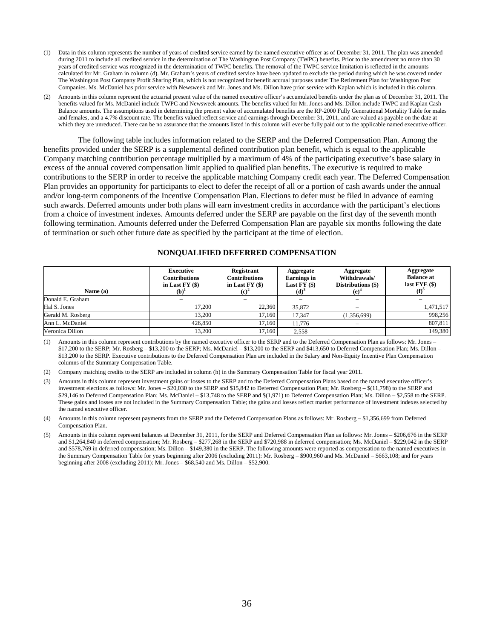- (1) Data in this column represents the number of years of credited service earned by the named executive officer as of December 31, 2011. The plan was amended during 2011 to include all credited service in the determination of The Washington Post Company (TWPC) benefits. Prior to the amendment no more than 30 years of credited service was recognized in the determination of TWPC benefits. The removal of the TWPC service limitation is reflected in the amounts calculated for Mr. Graham in column (d). Mr. Graham's years of credited service have been updated to exclude the period during which he was covered under The Washington Post Company Profit Sharing Plan, which is not recognized for benefit accrual purposes under The Retirement Plan for Washington Post Companies. Ms. McDaniel has prior service with Newsweek and Mr. Jones and Ms. Dillon have prior service with Kaplan which is included in this column.
- (2) Amounts in this column represent the actuarial present value of the named executive officer's accumulated benefits under the plan as of December 31, 2011. The benefits valued for Ms. McDaniel include TWPC and Newsweek amounts. The benefits valued for Mr. Jones and Ms. Dillon include TWPC and Kaplan Cash Balance amounts. The assumptions used in determining the present value of accumulated benefits are the RP-2000 Fully Generational Mortality Table for males and females, and a 4.7% discount rate. The benefits valued reflect service and earnings through December 31, 2011, and are valued as payable on the date at which they are unreduced. There can be no assurance that the amounts listed in this column will ever be fully paid out to the applicable named executive officer.

The following table includes information related to the SERP and the Deferred Compensation Plan. Among the benefits provided under the SERP is a supplemental defined contribution plan benefit, which is equal to the applicable Company matching contribution percentage multiplied by a maximum of 4% of the participating executive's base salary in excess of the annual covered compensation limit applied to qualified plan benefits. The executive is required to make contributions to the SERP in order to receive the applicable matching Company credit each year. The Deferred Compensation Plan provides an opportunity for participants to elect to defer the receipt of all or a portion of cash awards under the annual and/or long-term components of the Incentive Compensation Plan. Elections to defer must be filed in advance of earning such awards. Deferred amounts under both plans will earn investment credits in accordance with the participant's elections from a choice of investment indexes. Amounts deferred under the SERP are payable on the first day of the seventh month following termination. Amounts deferred under the Deferred Compensation Plan are payable six months following the date of termination or such other future date as specified by the participant at the time of election.

| Name (a)          | <b>Executive</b><br><b>Contributions</b><br>in Last $FY($)$<br>$\mathbf{b}$ | Registrant<br><b>Contributions</b><br>in Last $FY(\$)$ | Aggregate<br><b>Earnings</b> in<br>Last $FY($)$<br>(d) <sup>o</sup> | Aggregate<br>Withdrawals/<br>Distributions (\$)<br>(e) | Aggregate<br><b>Balance at</b><br>last $FYE($)$ |
|-------------------|-----------------------------------------------------------------------------|--------------------------------------------------------|---------------------------------------------------------------------|--------------------------------------------------------|-------------------------------------------------|
| Donald E. Graham  | -                                                                           |                                                        |                                                                     | $\overline{\phantom{0}}$                               |                                                 |
| Hal S. Jones      | 17.200                                                                      | 22,360                                                 | 35,872                                                              |                                                        | 1,471,517                                       |
| Gerald M. Rosberg | 13.200                                                                      | 17.160                                                 | 17.347                                                              | (1,356,699)                                            | 998,256                                         |
| Ann L. McDaniel   | 426,850                                                                     | 17.160                                                 | 11.776                                                              | $\overline{\phantom{0}}$                               | 807,811                                         |
| Veronica Dillon   | 13.200                                                                      | 17.160                                                 | 2.558                                                               |                                                        | 149,380                                         |

(1) Amounts in this column represent contributions by the named executive officer to the SERP and to the Deferred Compensation Plan as follows: Mr. Jones – \$17,200 to the SERP; Mr. Rosberg – \$13,200 to the SERP; Ms. McDaniel – \$13,200 to the SERP and \$413,650 to Deferred Compensation Plan; Ms. Dillon – \$13,200 to the SERP. Executive contributions to the Deferred Compensation Plan are included in the Salary and Non-Equity Incentive Plan Compensation columns of the Summary Compensation Table.

(2) Company matching credits to the SERP are included in column (h) in the Summary Compensation Table for fiscal year 2011.

- (3) Amounts in this column represent investment gains or losses to the SERP and to the Deferred Compensation Plans based on the named executive officer's investment elections as follows: Mr. Jones – \$20,030 to the SERP and \$15,842 to Deferred Compensation Plan; Mr. Rosberg – \$(11,798) to the SERP and \$29,146 to Deferred Compensation Plan; Ms. McDaniel – \$13,748 to the SERP and \$(1,971) to Deferred Compensation Plan; Ms. Dillon – \$2,558 to the SERP. These gains and losses are not included in the Summary Compensation Table; the gains and losses reflect market performance of investment indexes selected by the named executive officer.
- (4) Amounts in this column represent payments from the SERP and the Deferred Compensation Plans as follows: Mr. Rosberg \$1,356,699 from Deferred Compensation Plan.
- (5) Amounts in this column represent balances at December 31, 2011, for the SERP and Deferred Compensation Plan as follows: Mr. Jones \$206,676 in the SERP and \$1,264,840 in deferred compensation; Mr. Rosberg – \$277,268 in the SERP and \$720,988 in deferred compensation; Ms. McDaniel – \$229,042 in the SERP and \$578,769 in deferred compensation; Ms. Dillon – \$149,380 in the SERP. The following amounts were reported as compensation to the named executives in the Summary Compensation Table for years beginning after 2006 (excluding 2011): Mr. Rosberg – \$900,960 and Ms. McDaniel – \$663,108; and for years beginning after 2008 (excluding 2011): Mr. Jones – \$68,540 and Ms. Dillon – \$52,900.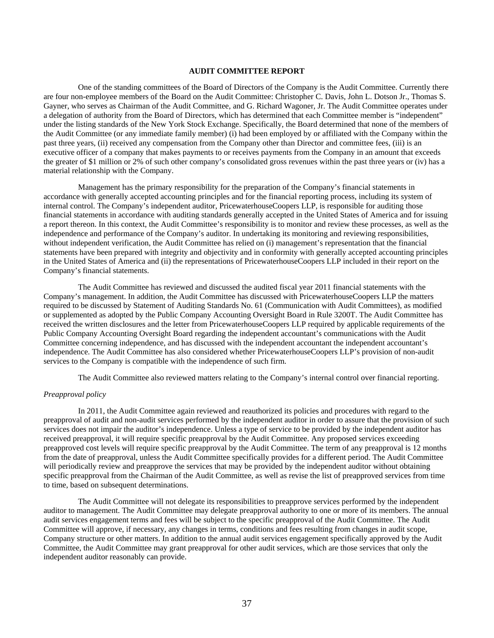# **AUDIT COMMITTEE REPORT**

One of the standing committees of the Board of Directors of the Company is the Audit Committee. Currently there are four non-employee members of the Board on the Audit Committee: Christopher C. Davis, John L. Dotson Jr., Thomas S. Gayner, who serves as Chairman of the Audit Committee, and G. Richard Wagoner, Jr. The Audit Committee operates under a delegation of authority from the Board of Directors, which has determined that each Committee member is "independent" under the listing standards of the New York Stock Exchange. Specifically, the Board determined that none of the members of the Audit Committee (or any immediate family member) (i) had been employed by or affiliated with the Company within the past three years, (ii) received any compensation from the Company other than Director and committee fees, (iii) is an executive officer of a company that makes payments to or receives payments from the Company in an amount that exceeds the greater of \$1 million or 2% of such other company's consolidated gross revenues within the past three years or (iv) has a material relationship with the Company.

Management has the primary responsibility for the preparation of the Company's financial statements in accordance with generally accepted accounting principles and for the financial reporting process, including its system of internal control. The Company's independent auditor, PricewaterhouseCoopers LLP, is responsible for auditing those financial statements in accordance with auditing standards generally accepted in the United States of America and for issuing a report thereon. In this context, the Audit Committee's responsibility is to monitor and review these processes, as well as the independence and performance of the Company's auditor. In undertaking its monitoring and reviewing responsibilities, without independent verification, the Audit Committee has relied on (i) management's representation that the financial statements have been prepared with integrity and objectivity and in conformity with generally accepted accounting principles in the United States of America and (ii) the representations of PricewaterhouseCoopers LLP included in their report on the Company's financial statements.

The Audit Committee has reviewed and discussed the audited fiscal year 2011 financial statements with the Company's management. In addition, the Audit Committee has discussed with PricewaterhouseCoopers LLP the matters required to be discussed by Statement of Auditing Standards No. 61 (Communication with Audit Committees), as modified or supplemented as adopted by the Public Company Accounting Oversight Board in Rule 3200T. The Audit Committee has received the written disclosures and the letter from PricewaterhouseCoopers LLP required by applicable requirements of the Public Company Accounting Oversight Board regarding the independent accountant's communications with the Audit Committee concerning independence, and has discussed with the independent accountant the independent accountant's independence. The Audit Committee has also considered whether PricewaterhouseCoopers LLP's provision of non-audit services to the Company is compatible with the independence of such firm.

The Audit Committee also reviewed matters relating to the Company's internal control over financial reporting.

# *Preapproval policy*

In 2011, the Audit Committee again reviewed and reauthorized its policies and procedures with regard to the preapproval of audit and non-audit services performed by the independent auditor in order to assure that the provision of such services does not impair the auditor's independence. Unless a type of service to be provided by the independent auditor has received preapproval, it will require specific preapproval by the Audit Committee. Any proposed services exceeding preapproved cost levels will require specific preapproval by the Audit Committee. The term of any preapproval is 12 months from the date of preapproval, unless the Audit Committee specifically provides for a different period. The Audit Committee will periodically review and preapprove the services that may be provided by the independent auditor without obtaining specific preapproval from the Chairman of the Audit Committee, as well as revise the list of preapproved services from time to time, based on subsequent determinations.

The Audit Committee will not delegate its responsibilities to preapprove services performed by the independent auditor to management. The Audit Committee may delegate preapproval authority to one or more of its members. The annual audit services engagement terms and fees will be subject to the specific preapproval of the Audit Committee. The Audit Committee will approve, if necessary, any changes in terms, conditions and fees resulting from changes in audit scope, Company structure or other matters. In addition to the annual audit services engagement specifically approved by the Audit Committee, the Audit Committee may grant preapproval for other audit services, which are those services that only the independent auditor reasonably can provide.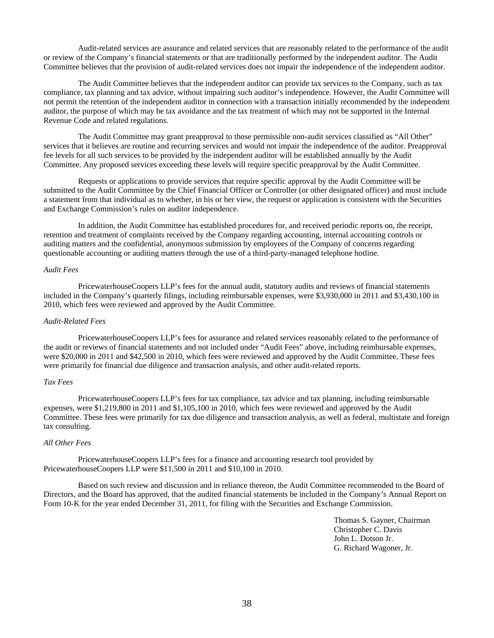Audit-related services are assurance and related services that are reasonably related to the performance of the audit or review of the Company's financial statements or that are traditionally performed by the independent auditor. The Audit Committee believes that the provision of audit-related services does not impair the independence of the independent auditor.

The Audit Committee believes that the independent auditor can provide tax services to the Company, such as tax compliance, tax planning and tax advice, without impairing such auditor's independence. However, the Audit Committee will not permit the retention of the independent auditor in connection with a transaction initially recommended by the independent auditor, the purpose of which may be tax avoidance and the tax treatment of which may not be supported in the Internal Revenue Code and related regulations.

The Audit Committee may grant preapproval to those permissible non-audit services classified as "All Other" services that it believes are routine and recurring services and would not impair the independence of the auditor. Preapproval fee levels for all such services to be provided by the independent auditor will be established annually by the Audit Committee. Any proposed services exceeding these levels will require specific preapproval by the Audit Committee.

Requests or applications to provide services that require specific approval by the Audit Committee will be submitted to the Audit Committee by the Chief Financial Officer or Controller (or other designated officer) and must include a statement from that individual as to whether, in his or her view, the request or application is consistent with the Securities and Exchange Commission's rules on auditor independence.

In addition, the Audit Committee has established procedures for, and received periodic reports on, the receipt, retention and treatment of complaints received by the Company regarding accounting, internal accounting controls or auditing matters and the confidential, anonymous submission by employees of the Company of concerns regarding questionable accounting or auditing matters through the use of a third-party-managed telephone hotline.

#### *Audit Fees*

PricewaterhouseCoopers LLP's fees for the annual audit, statutory audits and reviews of financial statements included in the Company's quarterly filings, including reimbursable expenses, were \$3,930,000 in 2011 and \$3,430,100 in 2010, which fees were reviewed and approved by the Audit Committee.

### *Audit-Related Fees*

PricewaterhouseCoopers LLP's fees for assurance and related services reasonably related to the performance of the audit or reviews of financial statements and not included under "Audit Fees" above, including reimbursable expenses, were \$20,000 in 2011 and \$42,500 in 2010, which fees were reviewed and approved by the Audit Committee. These fees were primarily for financial due diligence and transaction analysis, and other audit-related reports.

### *Tax Fees*

PricewaterhouseCoopers LLP's fees for tax compliance, tax advice and tax planning, including reimbursable expenses, were \$1,219,800 in 2011 and \$1,105,100 in 2010, which fees were reviewed and approved by the Audit Committee. These fees were primarily for tax due diligence and transaction analysis, as well as federal, multistate and foreign tax consulting.

### *All Other Fees*

PricewaterhouseCoopers LLP's fees for a finance and accounting research tool provided by PricewaterhouseCoopers LLP were \$11,500 in 2011 and \$10,100 in 2010.

Based on such review and discussion and in reliance thereon, the Audit Committee recommended to the Board of Directors, and the Board has approved, that the audited financial statements be included in the Company's Annual Report on Form 10-K for the year ended December 31, 2011, for filing with the Securities and Exchange Commission.

> Thomas S. Gayner, Chairman Christopher C. Davis John L. Dotson Jr. G. Richard Wagoner, Jr.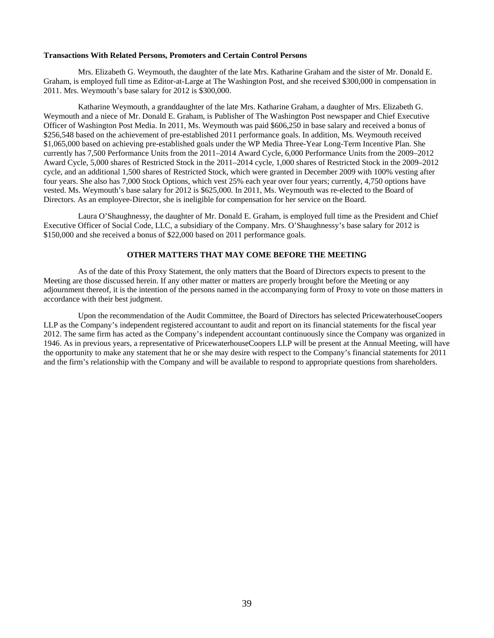### **Transactions With Related Persons, Promoters and Certain Control Persons**

Mrs. Elizabeth G. Weymouth, the daughter of the late Mrs. Katharine Graham and the sister of Mr. Donald E. Graham, is employed full time as Editor-at-Large at The Washington Post, and she received \$300,000 in compensation in 2011. Mrs. Weymouth's base salary for 2012 is \$300,000.

Katharine Weymouth, a granddaughter of the late Mrs. Katharine Graham, a daughter of Mrs. Elizabeth G. Weymouth and a niece of Mr. Donald E. Graham, is Publisher of The Washington Post newspaper and Chief Executive Officer of Washington Post Media. In 2011, Ms. Weymouth was paid \$606,250 in base salary and received a bonus of \$256,548 based on the achievement of pre-established 2011 performance goals. In addition, Ms. Weymouth received \$1,065,000 based on achieving pre-established goals under the WP Media Three-Year Long-Term Incentive Plan. She currently has 7,500 Performance Units from the 2011–2014 Award Cycle, 6,000 Performance Units from the 2009–2012 Award Cycle, 5,000 shares of Restricted Stock in the 2011–2014 cycle, 1,000 shares of Restricted Stock in the 2009–2012 cycle, and an additional 1,500 shares of Restricted Stock, which were granted in December 2009 with 100% vesting after four years. She also has 7,000 Stock Options, which vest 25% each year over four years; currently, 4,750 options have vested. Ms. Weymouth's base salary for 2012 is \$625,000. In 2011, Ms. Weymouth was re-elected to the Board of Directors. As an employee-Director, she is ineligible for compensation for her service on the Board.

Laura O'Shaughnessy, the daughter of Mr. Donald E. Graham, is employed full time as the President and Chief Executive Officer of Social Code, LLC, a subsidiary of the Company. Mrs. O'Shaughnessy's base salary for 2012 is \$150,000 and she received a bonus of \$22,000 based on 2011 performance goals.

# **OTHER MATTERS THAT MAY COME BEFORE THE MEETING**

As of the date of this Proxy Statement, the only matters that the Board of Directors expects to present to the Meeting are those discussed herein. If any other matter or matters are properly brought before the Meeting or any adjournment thereof, it is the intention of the persons named in the accompanying form of Proxy to vote on those matters in accordance with their best judgment.

Upon the recommendation of the Audit Committee, the Board of Directors has selected PricewaterhouseCoopers LLP as the Company's independent registered accountant to audit and report on its financial statements for the fiscal year 2012. The same firm has acted as the Company's independent accountant continuously since the Company was organized in 1946. As in previous years, a representative of PricewaterhouseCoopers LLP will be present at the Annual Meeting, will have the opportunity to make any statement that he or she may desire with respect to the Company's financial statements for 2011 and the firm's relationship with the Company and will be available to respond to appropriate questions from shareholders.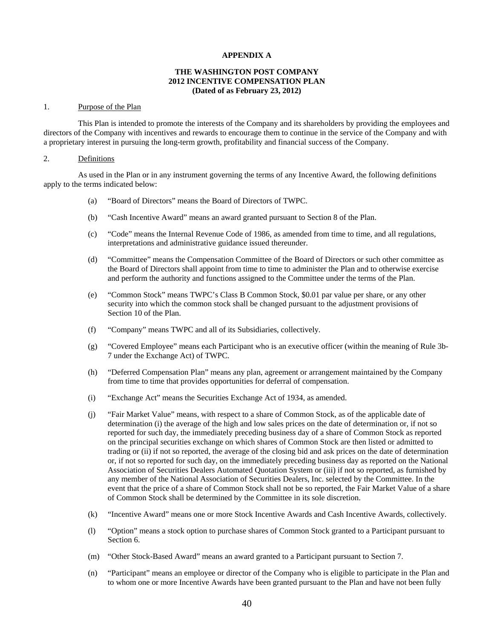### **APPENDIX A**

### **THE WASHINGTON POST COMPANY 2012 INCENTIVE COMPENSATION PLAN (Dated of as February 23, 2012)**

#### 1. Purpose of the Plan

This Plan is intended to promote the interests of the Company and its shareholders by providing the employees and directors of the Company with incentives and rewards to encourage them to continue in the service of the Company and with a proprietary interest in pursuing the long-term growth, profitability and financial success of the Company.

### 2. Definitions

As used in the Plan or in any instrument governing the terms of any Incentive Award, the following definitions apply to the terms indicated below:

- (a) "Board of Directors" means the Board of Directors of TWPC.
- (b) "Cash Incentive Award" means an award granted pursuant to Section 8 of the Plan.
- (c) "Code" means the Internal Revenue Code of 1986, as amended from time to time, and all regulations, interpretations and administrative guidance issued thereunder.
- (d) "Committee" means the Compensation Committee of the Board of Directors or such other committee as the Board of Directors shall appoint from time to time to administer the Plan and to otherwise exercise and perform the authority and functions assigned to the Committee under the terms of the Plan.
- (e) "Common Stock" means TWPC's Class B Common Stock, \$0.01 par value per share, or any other security into which the common stock shall be changed pursuant to the adjustment provisions of Section 10 of the Plan.
- (f) "Company" means TWPC and all of its Subsidiaries, collectively.
- (g) "Covered Employee" means each Participant who is an executive officer (within the meaning of Rule 3b-7 under the Exchange Act) of TWPC.
- (h) "Deferred Compensation Plan" means any plan, agreement or arrangement maintained by the Company from time to time that provides opportunities for deferral of compensation.
- (i) "Exchange Act" means the Securities Exchange Act of 1934, as amended.
- (j) "Fair Market Value" means, with respect to a share of Common Stock, as of the applicable date of determination (i) the average of the high and low sales prices on the date of determination or, if not so reported for such day, the immediately preceding business day of a share of Common Stock as reported on the principal securities exchange on which shares of Common Stock are then listed or admitted to trading or (ii) if not so reported, the average of the closing bid and ask prices on the date of determination or, if not so reported for such day, on the immediately preceding business day as reported on the National Association of Securities Dealers Automated Quotation System or (iii) if not so reported, as furnished by any member of the National Association of Securities Dealers, Inc. selected by the Committee. In the event that the price of a share of Common Stock shall not be so reported, the Fair Market Value of a share of Common Stock shall be determined by the Committee in its sole discretion.
- (k) "Incentive Award" means one or more Stock Incentive Awards and Cash Incentive Awards, collectively.
- (l) "Option" means a stock option to purchase shares of Common Stock granted to a Participant pursuant to Section 6.
- (m) "Other Stock-Based Award" means an award granted to a Participant pursuant to Section 7.
- (n) "Participant" means an employee or director of the Company who is eligible to participate in the Plan and to whom one or more Incentive Awards have been granted pursuant to the Plan and have not been fully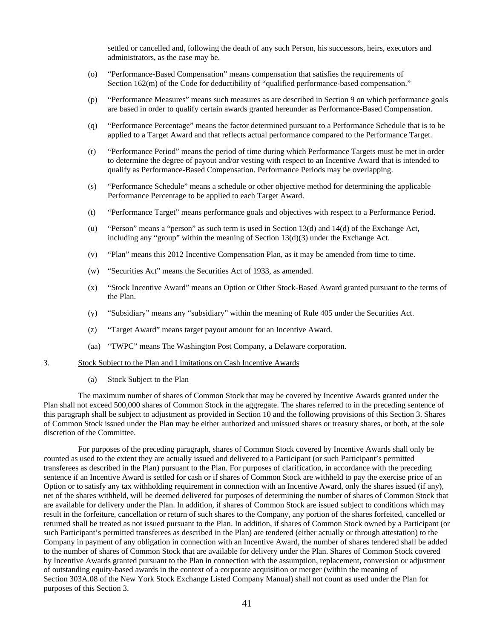settled or cancelled and, following the death of any such Person, his successors, heirs, executors and administrators, as the case may be.

- (o) "Performance-Based Compensation" means compensation that satisfies the requirements of Section 162(m) of the Code for deductibility of "qualified performance-based compensation."
- (p) "Performance Measures" means such measures as are described in Section 9 on which performance goals are based in order to qualify certain awards granted hereunder as Performance-Based Compensation.
- (q) "Performance Percentage" means the factor determined pursuant to a Performance Schedule that is to be applied to a Target Award and that reflects actual performance compared to the Performance Target.
- (r) "Performance Period" means the period of time during which Performance Targets must be met in order to determine the degree of payout and/or vesting with respect to an Incentive Award that is intended to qualify as Performance-Based Compensation. Performance Periods may be overlapping.
- (s) "Performance Schedule" means a schedule or other objective method for determining the applicable Performance Percentage to be applied to each Target Award.
- (t) "Performance Target" means performance goals and objectives with respect to a Performance Period.
- (u) "Person" means a "person" as such term is used in Section 13(d) and 14(d) of the Exchange Act, including any "group" within the meaning of Section  $13(d)(3)$  under the Exchange Act.
- (v) "Plan" means this 2012 Incentive Compensation Plan, as it may be amended from time to time.
- (w) "Securities Act" means the Securities Act of 1933, as amended.
- (x) "Stock Incentive Award" means an Option or Other Stock-Based Award granted pursuant to the terms of the Plan.
- (y) "Subsidiary" means any "subsidiary" within the meaning of Rule 405 under the Securities Act.
- (z) "Target Award" means target payout amount for an Incentive Award.
- (aa) "TWPC" means The Washington Post Company, a Delaware corporation.
- 3. Stock Subject to the Plan and Limitations on Cash Incentive Awards
	- (a) Stock Subject to the Plan

The maximum number of shares of Common Stock that may be covered by Incentive Awards granted under the Plan shall not exceed 500,000 shares of Common Stock in the aggregate. The shares referred to in the preceding sentence of this paragraph shall be subject to adjustment as provided in Section 10 and the following provisions of this Section 3. Shares of Common Stock issued under the Plan may be either authorized and unissued shares or treasury shares, or both, at the sole discretion of the Committee.

For purposes of the preceding paragraph, shares of Common Stock covered by Incentive Awards shall only be counted as used to the extent they are actually issued and delivered to a Participant (or such Participant's permitted transferees as described in the Plan) pursuant to the Plan. For purposes of clarification, in accordance with the preceding sentence if an Incentive Award is settled for cash or if shares of Common Stock are withheld to pay the exercise price of an Option or to satisfy any tax withholding requirement in connection with an Incentive Award, only the shares issued (if any), net of the shares withheld, will be deemed delivered for purposes of determining the number of shares of Common Stock that are available for delivery under the Plan. In addition, if shares of Common Stock are issued subject to conditions which may result in the forfeiture, cancellation or return of such shares to the Company, any portion of the shares forfeited, cancelled or returned shall be treated as not issued pursuant to the Plan. In addition, if shares of Common Stock owned by a Participant (or such Participant's permitted transferees as described in the Plan) are tendered (either actually or through attestation) to the Company in payment of any obligation in connection with an Incentive Award, the number of shares tendered shall be added to the number of shares of Common Stock that are available for delivery under the Plan. Shares of Common Stock covered by Incentive Awards granted pursuant to the Plan in connection with the assumption, replacement, conversion or adjustment of outstanding equity-based awards in the context of a corporate acquisition or merger (within the meaning of Section 303A.08 of the New York Stock Exchange Listed Company Manual) shall not count as used under the Plan for purposes of this Section 3.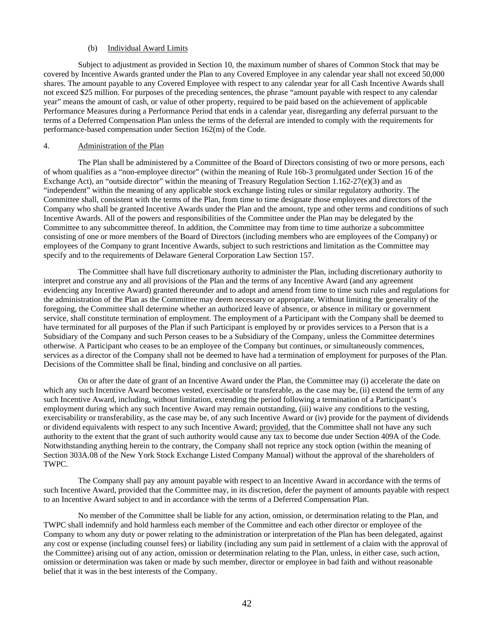# (b) Individual Award Limits

Subject to adjustment as provided in Section 10, the maximum number of shares of Common Stock that may be covered by Incentive Awards granted under the Plan to any Covered Employee in any calendar year shall not exceed 50,000 shares. The amount payable to any Covered Employee with respect to any calendar year for all Cash Incentive Awards shall not exceed \$25 million. For purposes of the preceding sentences, the phrase "amount payable with respect to any calendar year" means the amount of cash, or value of other property, required to be paid based on the achievement of applicable Performance Measures during a Performance Period that ends in a calendar year, disregarding any deferral pursuant to the terms of a Deferred Compensation Plan unless the terms of the deferral are intended to comply with the requirements for performance-based compensation under Section 162(m) of the Code.

# 4. Administration of the Plan

The Plan shall be administered by a Committee of the Board of Directors consisting of two or more persons, each of whom qualifies as a "non-employee director" (within the meaning of Rule 16b-3 promulgated under Section 16 of the Exchange Act), an "outside director" within the meaning of Treasury Regulation Section 1.162-27(e)(3) and as "independent" within the meaning of any applicable stock exchange listing rules or similar regulatory authority. The Committee shall, consistent with the terms of the Plan, from time to time designate those employees and directors of the Company who shall be granted Incentive Awards under the Plan and the amount, type and other terms and conditions of such Incentive Awards. All of the powers and responsibilities of the Committee under the Plan may be delegated by the Committee to any subcommittee thereof. In addition, the Committee may from time to time authorize a subcommittee consisting of one or more members of the Board of Directors (including members who are employees of the Company) or employees of the Company to grant Incentive Awards, subject to such restrictions and limitation as the Committee may specify and to the requirements of Delaware General Corporation Law Section 157.

The Committee shall have full discretionary authority to administer the Plan, including discretionary authority to interpret and construe any and all provisions of the Plan and the terms of any Incentive Award (and any agreement evidencing any Incentive Award) granted thereunder and to adopt and amend from time to time such rules and regulations for the administration of the Plan as the Committee may deem necessary or appropriate. Without limiting the generality of the foregoing, the Committee shall determine whether an authorized leave of absence, or absence in military or government service, shall constitute termination of employment. The employment of a Participant with the Company shall be deemed to have terminated for all purposes of the Plan if such Participant is employed by or provides services to a Person that is a Subsidiary of the Company and such Person ceases to be a Subsidiary of the Company, unless the Committee determines otherwise. A Participant who ceases to be an employee of the Company but continues, or simultaneously commences, services as a director of the Company shall not be deemed to have had a termination of employment for purposes of the Plan. Decisions of the Committee shall be final, binding and conclusive on all parties.

On or after the date of grant of an Incentive Award under the Plan, the Committee may (i) accelerate the date on which any such Incentive Award becomes vested, exercisable or transferable, as the case may be, (ii) extend the term of any such Incentive Award, including, without limitation, extending the period following a termination of a Participant's employment during which any such Incentive Award may remain outstanding, (iii) waive any conditions to the vesting, exercisability or transferability, as the case may be, of any such Incentive Award or (iv) provide for the payment of dividends or dividend equivalents with respect to any such Incentive Award; provided, that the Committee shall not have any such authority to the extent that the grant of such authority would cause any tax to become due under Section 409A of the Code. Notwithstanding anything herein to the contrary, the Company shall not reprice any stock option (within the meaning of Section 303A.08 of the New York Stock Exchange Listed Company Manual) without the approval of the shareholders of TWPC.

The Company shall pay any amount payable with respect to an Incentive Award in accordance with the terms of such Incentive Award, provided that the Committee may, in its discretion, defer the payment of amounts payable with respect to an Incentive Award subject to and in accordance with the terms of a Deferred Compensation Plan.

No member of the Committee shall be liable for any action, omission, or determination relating to the Plan, and TWPC shall indemnify and hold harmless each member of the Committee and each other director or employee of the Company to whom any duty or power relating to the administration or interpretation of the Plan has been delegated, against any cost or expense (including counsel fees) or liability (including any sum paid in settlement of a claim with the approval of the Committee) arising out of any action, omission or determination relating to the Plan, unless, in either case, such action, omission or determination was taken or made by such member, director or employee in bad faith and without reasonable belief that it was in the best interests of the Company.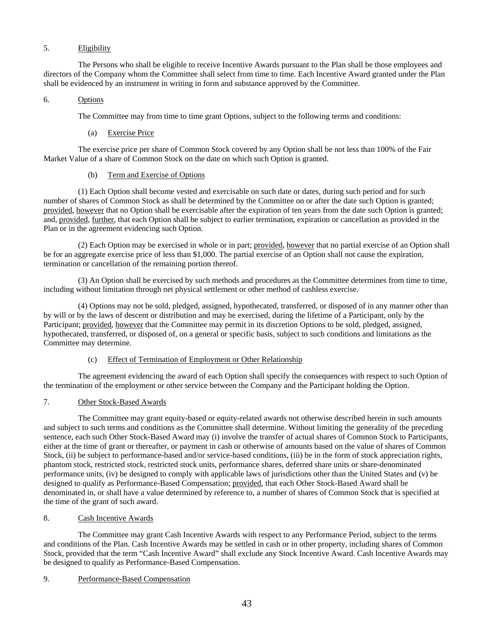# 5. Eligibility

The Persons who shall be eligible to receive Incentive Awards pursuant to the Plan shall be those employees and directors of the Company whom the Committee shall select from time to time. Each Incentive Award granted under the Plan shall be evidenced by an instrument in writing in form and substance approved by the Committee.

# 6. Options

The Committee may from time to time grant Options, subject to the following terms and conditions:

(a) Exercise Price

The exercise price per share of Common Stock covered by any Option shall be not less than 100% of the Fair Market Value of a share of Common Stock on the date on which such Option is granted.

# (b) Term and Exercise of Options

(1) Each Option shall become vested and exercisable on such date or dates, during such period and for such number of shares of Common Stock as shall be determined by the Committee on or after the date such Option is granted; provided, however that no Option shall be exercisable after the expiration of ten years from the date such Option is granted; and, provided, further, that each Option shall be subject to earlier termination, expiration or cancellation as provided in the Plan or in the agreement evidencing such Option.

(2) Each Option may be exercised in whole or in part; provided, however that no partial exercise of an Option shall be for an aggregate exercise price of less than \$1,000. The partial exercise of an Option shall not cause the expiration, termination or cancellation of the remaining portion thereof.

(3) An Option shall be exercised by such methods and procedures as the Committee determines from time to time, including without limitation through net physical settlement or other method of cashless exercise.

(4) Options may not be sold, pledged, assigned, hypothecated, transferred, or disposed of in any manner other than by will or by the laws of descent or distribution and may be exercised, during the lifetime of a Participant, only by the Participant; provided, however that the Committee may permit in its discretion Options to be sold, pledged, assigned, hypothecated, transferred, or disposed of, on a general or specific basis, subject to such conditions and limitations as the Committee may determine.

### (c) Effect of Termination of Employment or Other Relationship

The agreement evidencing the award of each Option shall specify the consequences with respect to such Option of the termination of the employment or other service between the Company and the Participant holding the Option.

# 7. Other Stock-Based Awards

The Committee may grant equity-based or equity-related awards not otherwise described herein in such amounts and subject to such terms and conditions as the Committee shall determine. Without limiting the generality of the preceding sentence, each such Other Stock-Based Award may (i) involve the transfer of actual shares of Common Stock to Participants, either at the time of grant or thereafter, or payment in cash or otherwise of amounts based on the value of shares of Common Stock, (ii) be subject to performance-based and/or service-based conditions, (iii) be in the form of stock appreciation rights, phantom stock, restricted stock, restricted stock units, performance shares, deferred share units or share-denominated performance units, (iv) be designed to comply with applicable laws of jurisdictions other than the United States and (v) be designed to qualify as Performance-Based Compensation; provided, that each Other Stock-Based Award shall be denominated in, or shall have a value determined by reference to, a number of shares of Common Stock that is specified at the time of the grant of such award.

# 8. Cash Incentive Awards

The Committee may grant Cash Incentive Awards with respect to any Performance Period, subject to the terms and conditions of the Plan. Cash Incentive Awards may be settled in cash or in other property, including shares of Common Stock, provided that the term "Cash Incentive Award" shall exclude any Stock Incentive Award. Cash Incentive Awards may be designed to qualify as Performance-Based Compensation.

### 9. Performance-Based Compensation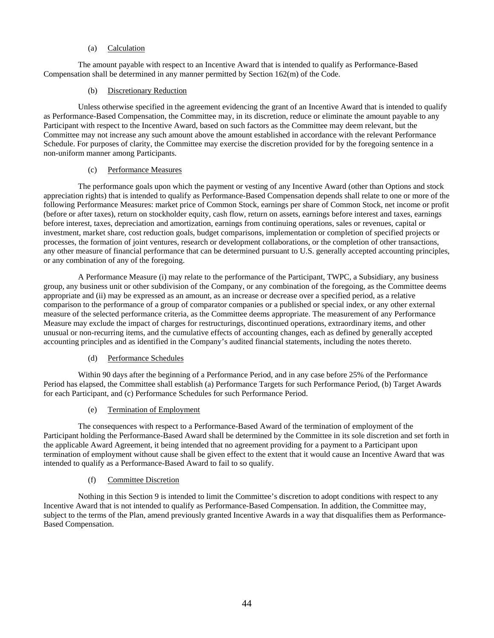# (a) Calculation

The amount payable with respect to an Incentive Award that is intended to qualify as Performance-Based Compensation shall be determined in any manner permitted by Section 162(m) of the Code.

### (b) Discretionary Reduction

Unless otherwise specified in the agreement evidencing the grant of an Incentive Award that is intended to qualify as Performance-Based Compensation, the Committee may, in its discretion, reduce or eliminate the amount payable to any Participant with respect to the Incentive Award, based on such factors as the Committee may deem relevant, but the Committee may not increase any such amount above the amount established in accordance with the relevant Performance Schedule. For purposes of clarity, the Committee may exercise the discretion provided for by the foregoing sentence in a non-uniform manner among Participants.

## (c) Performance Measures

The performance goals upon which the payment or vesting of any Incentive Award (other than Options and stock appreciation rights) that is intended to qualify as Performance-Based Compensation depends shall relate to one or more of the following Performance Measures: market price of Common Stock, earnings per share of Common Stock, net income or profit (before or after taxes), return on stockholder equity, cash flow, return on assets, earnings before interest and taxes, earnings before interest, taxes, depreciation and amortization, earnings from continuing operations, sales or revenues, capital or investment, market share, cost reduction goals, budget comparisons, implementation or completion of specified projects or processes, the formation of joint ventures, research or development collaborations, or the completion of other transactions, any other measure of financial performance that can be determined pursuant to U.S. generally accepted accounting principles, or any combination of any of the foregoing.

A Performance Measure (i) may relate to the performance of the Participant, TWPC, a Subsidiary, any business group, any business unit or other subdivision of the Company, or any combination of the foregoing, as the Committee deems appropriate and (ii) may be expressed as an amount, as an increase or decrease over a specified period, as a relative comparison to the performance of a group of comparator companies or a published or special index, or any other external measure of the selected performance criteria, as the Committee deems appropriate. The measurement of any Performance Measure may exclude the impact of charges for restructurings, discontinued operations, extraordinary items, and other unusual or non-recurring items, and the cumulative effects of accounting changes, each as defined by generally accepted accounting principles and as identified in the Company's audited financial statements, including the notes thereto.

### (d) Performance Schedules

Within 90 days after the beginning of a Performance Period, and in any case before 25% of the Performance Period has elapsed, the Committee shall establish (a) Performance Targets for such Performance Period, (b) Target Awards for each Participant, and (c) Performance Schedules for such Performance Period.

# (e) Termination of Employment

The consequences with respect to a Performance-Based Award of the termination of employment of the Participant holding the Performance-Based Award shall be determined by the Committee in its sole discretion and set forth in the applicable Award Agreement, it being intended that no agreement providing for a payment to a Participant upon termination of employment without cause shall be given effect to the extent that it would cause an Incentive Award that was intended to qualify as a Performance-Based Award to fail to so qualify.

# (f) Committee Discretion

Nothing in this Section 9 is intended to limit the Committee's discretion to adopt conditions with respect to any Incentive Award that is not intended to qualify as Performance-Based Compensation. In addition, the Committee may, subject to the terms of the Plan, amend previously granted Incentive Awards in a way that disqualifies them as Performance-Based Compensation.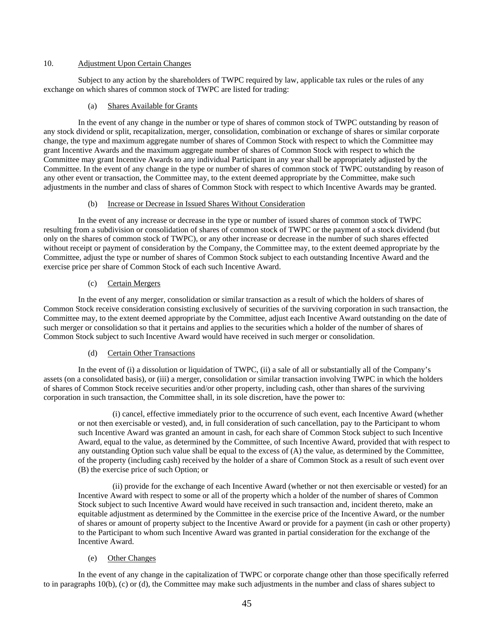### 10. Adjustment Upon Certain Changes

Subject to any action by the shareholders of TWPC required by law, applicable tax rules or the rules of any exchange on which shares of common stock of TWPC are listed for trading:

### (a) Shares Available for Grants

In the event of any change in the number or type of shares of common stock of TWPC outstanding by reason of any stock dividend or split, recapitalization, merger, consolidation, combination or exchange of shares or similar corporate change, the type and maximum aggregate number of shares of Common Stock with respect to which the Committee may grant Incentive Awards and the maximum aggregate number of shares of Common Stock with respect to which the Committee may grant Incentive Awards to any individual Participant in any year shall be appropriately adjusted by the Committee. In the event of any change in the type or number of shares of common stock of TWPC outstanding by reason of any other event or transaction, the Committee may, to the extent deemed appropriate by the Committee, make such adjustments in the number and class of shares of Common Stock with respect to which Incentive Awards may be granted.

### (b) Increase or Decrease in Issued Shares Without Consideration

In the event of any increase or decrease in the type or number of issued shares of common stock of TWPC resulting from a subdivision or consolidation of shares of common stock of TWPC or the payment of a stock dividend (but only on the shares of common stock of TWPC), or any other increase or decrease in the number of such shares effected without receipt or payment of consideration by the Company, the Committee may, to the extent deemed appropriate by the Committee, adjust the type or number of shares of Common Stock subject to each outstanding Incentive Award and the exercise price per share of Common Stock of each such Incentive Award.

# (c) Certain Mergers

In the event of any merger, consolidation or similar transaction as a result of which the holders of shares of Common Stock receive consideration consisting exclusively of securities of the surviving corporation in such transaction, the Committee may, to the extent deemed appropriate by the Committee, adjust each Incentive Award outstanding on the date of such merger or consolidation so that it pertains and applies to the securities which a holder of the number of shares of Common Stock subject to such Incentive Award would have received in such merger or consolidation.

### (d) Certain Other Transactions

In the event of (i) a dissolution or liquidation of TWPC, (ii) a sale of all or substantially all of the Company's assets (on a consolidated basis), or (iii) a merger, consolidation or similar transaction involving TWPC in which the holders of shares of Common Stock receive securities and/or other property, including cash, other than shares of the surviving corporation in such transaction, the Committee shall, in its sole discretion, have the power to:

(i) cancel, effective immediately prior to the occurrence of such event, each Incentive Award (whether or not then exercisable or vested), and, in full consideration of such cancellation, pay to the Participant to whom such Incentive Award was granted an amount in cash, for each share of Common Stock subject to such Incentive Award, equal to the value, as determined by the Committee, of such Incentive Award, provided that with respect to any outstanding Option such value shall be equal to the excess of (A) the value, as determined by the Committee, of the property (including cash) received by the holder of a share of Common Stock as a result of such event over (B) the exercise price of such Option; or

(ii) provide for the exchange of each Incentive Award (whether or not then exercisable or vested) for an Incentive Award with respect to some or all of the property which a holder of the number of shares of Common Stock subject to such Incentive Award would have received in such transaction and, incident thereto, make an equitable adjustment as determined by the Committee in the exercise price of the Incentive Award, or the number of shares or amount of property subject to the Incentive Award or provide for a payment (in cash or other property) to the Participant to whom such Incentive Award was granted in partial consideration for the exchange of the Incentive Award.

# (e) Other Changes

In the event of any change in the capitalization of TWPC or corporate change other than those specifically referred to in paragraphs 10(b), (c) or (d), the Committee may make such adjustments in the number and class of shares subject to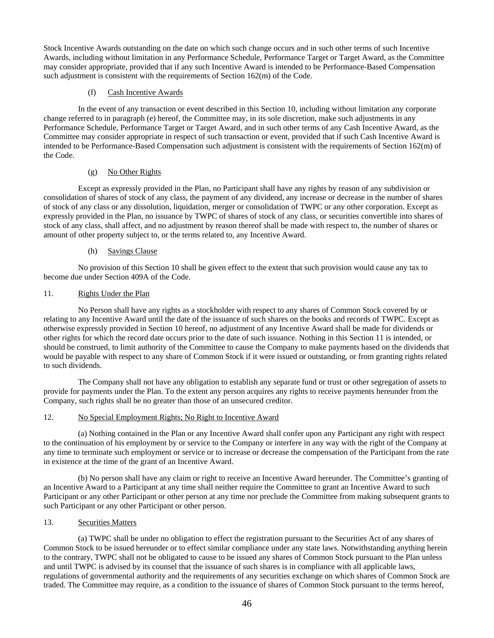Stock Incentive Awards outstanding on the date on which such change occurs and in such other terms of such Incentive Awards, including without limitation in any Performance Schedule, Performance Target or Target Award, as the Committee may consider appropriate, provided that if any such Incentive Award is intended to be Performance-Based Compensation such adjustment is consistent with the requirements of Section 162(m) of the Code.

# (f) Cash Incentive Awards

In the event of any transaction or event described in this Section 10, including without limitation any corporate change referred to in paragraph (e) hereof, the Committee may, in its sole discretion, make such adjustments in any Performance Schedule, Performance Target or Target Award, and in such other terms of any Cash Incentive Award, as the Committee may consider appropriate in respect of such transaction or event, provided that if such Cash Incentive Award is intended to be Performance-Based Compensation such adjustment is consistent with the requirements of Section 162(m) of the Code.

# (g) No Other Rights

Except as expressly provided in the Plan, no Participant shall have any rights by reason of any subdivision or consolidation of shares of stock of any class, the payment of any dividend, any increase or decrease in the number of shares of stock of any class or any dissolution, liquidation, merger or consolidation of TWPC or any other corporation. Except as expressly provided in the Plan, no issuance by TWPC of shares of stock of any class, or securities convertible into shares of stock of any class, shall affect, and no adjustment by reason thereof shall be made with respect to, the number of shares or amount of other property subject to, or the terms related to, any Incentive Award.

## (h) Savings Clause

No provision of this Section 10 shall be given effect to the extent that such provision would cause any tax to become due under Section 409A of the Code.

## 11. Rights Under the Plan

No Person shall have any rights as a stockholder with respect to any shares of Common Stock covered by or relating to any Incentive Award until the date of the issuance of such shares on the books and records of TWPC. Except as otherwise expressly provided in Section 10 hereof, no adjustment of any Incentive Award shall be made for dividends or other rights for which the record date occurs prior to the date of such issuance. Nothing in this Section 11 is intended, or should be construed, to limit authority of the Committee to cause the Company to make payments based on the dividends that would be payable with respect to any share of Common Stock if it were issued or outstanding, or from granting rights related to such dividends.

The Company shall not have any obligation to establish any separate fund or trust or other segregation of assets to provide for payments under the Plan. To the extent any person acquires any rights to receive payments hereunder from the Company, such rights shall be no greater than those of an unsecured creditor.

# 12. No Special Employment Rights; No Right to Incentive Award

(a) Nothing contained in the Plan or any Incentive Award shall confer upon any Participant any right with respect to the continuation of his employment by or service to the Company or interfere in any way with the right of the Company at any time to terminate such employment or service or to increase or decrease the compensation of the Participant from the rate in existence at the time of the grant of an Incentive Award.

(b) No person shall have any claim or right to receive an Incentive Award hereunder. The Committee's granting of an Incentive Award to a Participant at any time shall neither require the Committee to grant an Incentive Award to such Participant or any other Participant or other person at any time nor preclude the Committee from making subsequent grants to such Participant or any other Participant or other person.

# 13. Securities Matters

(a) TWPC shall be under no obligation to effect the registration pursuant to the Securities Act of any shares of Common Stock to be issued hereunder or to effect similar compliance under any state laws. Notwithstanding anything herein to the contrary, TWPC shall not be obligated to cause to be issued any shares of Common Stock pursuant to the Plan unless and until TWPC is advised by its counsel that the issuance of such shares is in compliance with all applicable laws, regulations of governmental authority and the requirements of any securities exchange on which shares of Common Stock are traded. The Committee may require, as a condition to the issuance of shares of Common Stock pursuant to the terms hereof,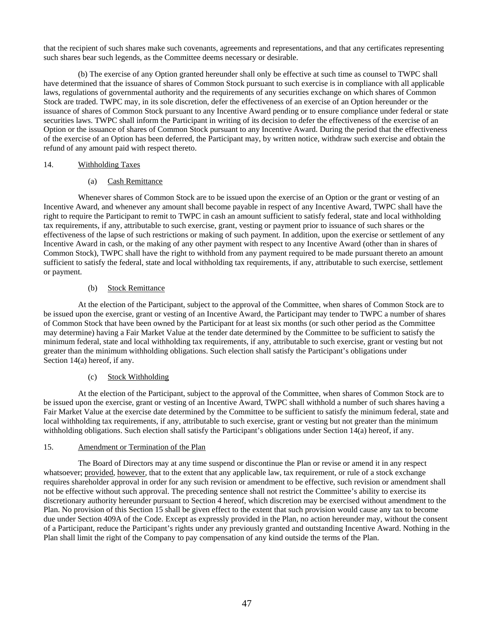that the recipient of such shares make such covenants, agreements and representations, and that any certificates representing such shares bear such legends, as the Committee deems necessary or desirable.

(b) The exercise of any Option granted hereunder shall only be effective at such time as counsel to TWPC shall have determined that the issuance of shares of Common Stock pursuant to such exercise is in compliance with all applicable laws, regulations of governmental authority and the requirements of any securities exchange on which shares of Common Stock are traded. TWPC may, in its sole discretion, defer the effectiveness of an exercise of an Option hereunder or the issuance of shares of Common Stock pursuant to any Incentive Award pending or to ensure compliance under federal or state securities laws. TWPC shall inform the Participant in writing of its decision to defer the effectiveness of the exercise of an Option or the issuance of shares of Common Stock pursuant to any Incentive Award. During the period that the effectiveness of the exercise of an Option has been deferred, the Participant may, by written notice, withdraw such exercise and obtain the refund of any amount paid with respect thereto.

## 14. Withholding Taxes

# (a) Cash Remittance

Whenever shares of Common Stock are to be issued upon the exercise of an Option or the grant or vesting of an Incentive Award, and whenever any amount shall become payable in respect of any Incentive Award, TWPC shall have the right to require the Participant to remit to TWPC in cash an amount sufficient to satisfy federal, state and local withholding tax requirements, if any, attributable to such exercise, grant, vesting or payment prior to issuance of such shares or the effectiveness of the lapse of such restrictions or making of such payment. In addition, upon the exercise or settlement of any Incentive Award in cash, or the making of any other payment with respect to any Incentive Award (other than in shares of Common Stock), TWPC shall have the right to withhold from any payment required to be made pursuant thereto an amount sufficient to satisfy the federal, state and local withholding tax requirements, if any, attributable to such exercise, settlement or payment.

## (b) Stock Remittance

At the election of the Participant, subject to the approval of the Committee, when shares of Common Stock are to be issued upon the exercise, grant or vesting of an Incentive Award, the Participant may tender to TWPC a number of shares of Common Stock that have been owned by the Participant for at least six months (or such other period as the Committee may determine) having a Fair Market Value at the tender date determined by the Committee to be sufficient to satisfy the minimum federal, state and local withholding tax requirements, if any, attributable to such exercise, grant or vesting but not greater than the minimum withholding obligations. Such election shall satisfy the Participant's obligations under Section 14(a) hereof, if any.

# (c) Stock Withholding

At the election of the Participant, subject to the approval of the Committee, when shares of Common Stock are to be issued upon the exercise, grant or vesting of an Incentive Award, TWPC shall withhold a number of such shares having a Fair Market Value at the exercise date determined by the Committee to be sufficient to satisfy the minimum federal, state and local withholding tax requirements, if any, attributable to such exercise, grant or vesting but not greater than the minimum withholding obligations. Such election shall satisfy the Participant's obligations under Section 14(a) hereof, if any.

### 15. Amendment or Termination of the Plan

The Board of Directors may at any time suspend or discontinue the Plan or revise or amend it in any respect whatsoever; provided, however, that to the extent that any applicable law, tax requirement, or rule of a stock exchange requires shareholder approval in order for any such revision or amendment to be effective, such revision or amendment shall not be effective without such approval. The preceding sentence shall not restrict the Committee's ability to exercise its discretionary authority hereunder pursuant to Section 4 hereof, which discretion may be exercised without amendment to the Plan. No provision of this Section 15 shall be given effect to the extent that such provision would cause any tax to become due under Section 409A of the Code. Except as expressly provided in the Plan, no action hereunder may, without the consent of a Participant, reduce the Participant's rights under any previously granted and outstanding Incentive Award. Nothing in the Plan shall limit the right of the Company to pay compensation of any kind outside the terms of the Plan.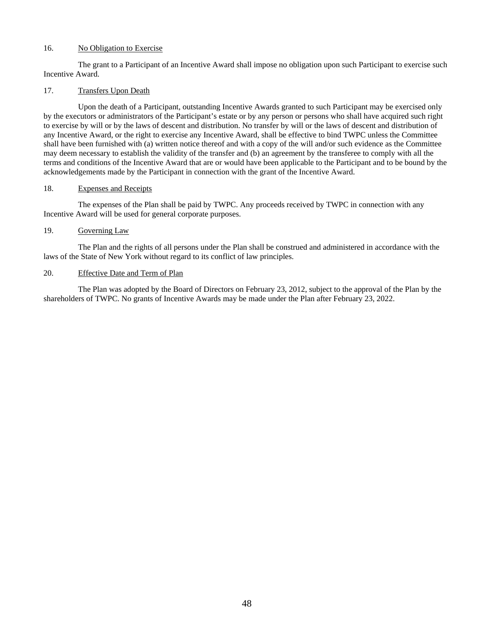# 16. No Obligation to Exercise

The grant to a Participant of an Incentive Award shall impose no obligation upon such Participant to exercise such Incentive Award.

# 17. Transfers Upon Death

Upon the death of a Participant, outstanding Incentive Awards granted to such Participant may be exercised only by the executors or administrators of the Participant's estate or by any person or persons who shall have acquired such right to exercise by will or by the laws of descent and distribution. No transfer by will or the laws of descent and distribution of any Incentive Award, or the right to exercise any Incentive Award, shall be effective to bind TWPC unless the Committee shall have been furnished with (a) written notice thereof and with a copy of the will and/or such evidence as the Committee may deem necessary to establish the validity of the transfer and (b) an agreement by the transferee to comply with all the terms and conditions of the Incentive Award that are or would have been applicable to the Participant and to be bound by the acknowledgements made by the Participant in connection with the grant of the Incentive Award.

### 18. Expenses and Receipts

The expenses of the Plan shall be paid by TWPC. Any proceeds received by TWPC in connection with any Incentive Award will be used for general corporate purposes.

# 19. Governing Law

The Plan and the rights of all persons under the Plan shall be construed and administered in accordance with the laws of the State of New York without regard to its conflict of law principles.

### 20. Effective Date and Term of Plan

The Plan was adopted by the Board of Directors on February 23, 2012, subject to the approval of the Plan by the shareholders of TWPC. No grants of Incentive Awards may be made under the Plan after February 23, 2022.